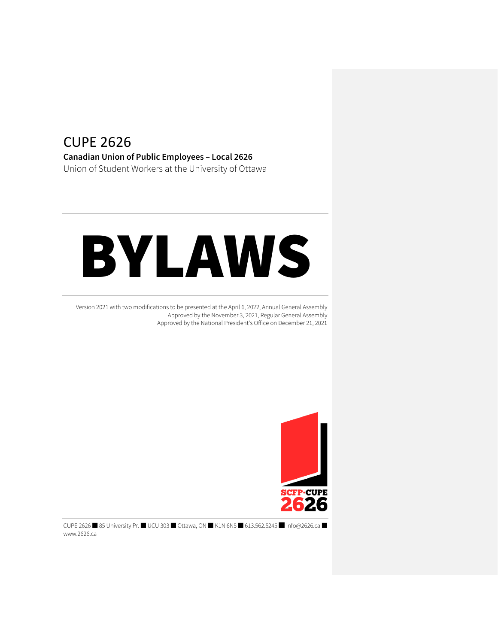# CUPE 2626

**Canadian Union of Public Employees – Local 2626** Union of Student Workers at the University of Ottawa

# BYLAWS

Version 2021 with two modifications to be presented at the April 6, 2022, Annual General Assembly Approved by the November 3, 2021, Regular General Assembly Approved by the National President's Office on December 21, 2021



CUPE 2626 ■ 85 University Pr. ■ UCU 303 ■ Ottawa, ON ■ K1N 6N5 ■ 613.562.5245 ■ info@2626.ca ■ www.2626.ca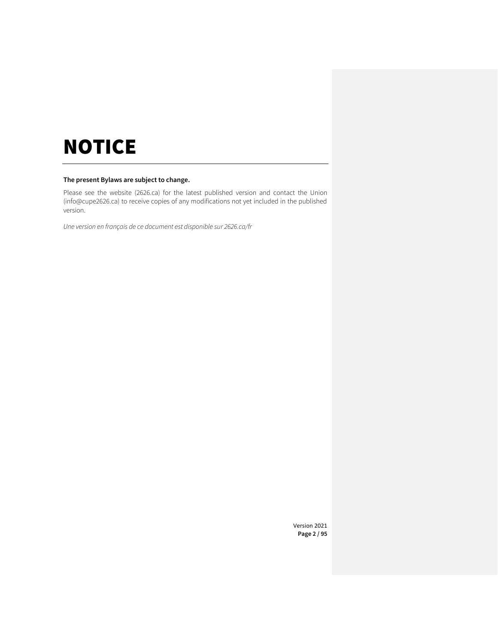# <span id="page-1-0"></span>**NOTICE**

# **The present Bylaws are subject to change.**

Please see the website (2626.ca) for the latest published version and contact the Union (info@cupe2626.ca) to receive copies of any modifications not yet included in the published version.

*Une version en français de ce document est disponible sur 2626.ca/fr*

Version 2021 **Page 2 / 95**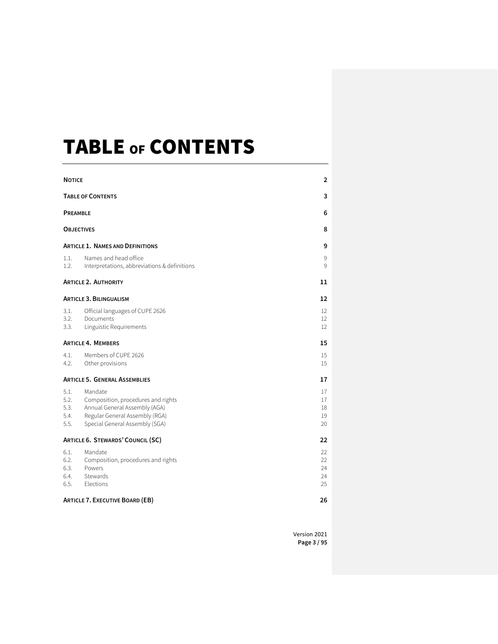# <span id="page-2-0"></span>TABLE OF CONTENTS

| <b>NOTICE</b>                            |                                                                                                                                                    | 2                                |
|------------------------------------------|----------------------------------------------------------------------------------------------------------------------------------------------------|----------------------------------|
| <b>TABLE OF CONTENTS</b>                 |                                                                                                                                                    | 3                                |
| <b>PREAMBLE</b><br><b>OBJECTIVES</b>     |                                                                                                                                                    | 6                                |
|                                          |                                                                                                                                                    | 8                                |
|                                          | <b>ARTICLE 1. NAMES AND DEFINITIONS</b>                                                                                                            | 9                                |
| 1.1.<br>1.2.                             | Names and head office<br>Interpretations, abbreviations & definitions                                                                              | 9<br>9                           |
| <b>ARTICLE 2. AUTHORITY</b>              |                                                                                                                                                    | 11                               |
|                                          | <b>ARTICLE 3. BILINGUALISM</b>                                                                                                                     | 12                               |
| 3.1.<br>3.2.<br>3.3.                     | Official languages of CUPE 2626<br>Documents<br>Linguistic Requirements                                                                            | 12<br>$12 \overline{ }$<br>12    |
| <b>ARTICLE 4. MEMBERS</b>                |                                                                                                                                                    | 15                               |
| 4.1.<br>4.2.                             | Members of CUPE 2626<br>Other provisions                                                                                                           | 15<br>15                         |
| <b>ARTICLE 5. GENERAL ASSEMBLIES</b>     |                                                                                                                                                    | 17                               |
| 5.1.<br>5.2.<br>5.3.<br>5.4.<br>5.5.     | Mandate<br>Composition, procedures and rights<br>Annual General Assembly (AGA)<br>Regular General Assembly (RGA)<br>Special General Assembly (SGA) | 17<br>17<br>18<br>19<br>20       |
| <b>ARTICLE 6. STEWARDS' COUNCIL (SC)</b> |                                                                                                                                                    | 22                               |
| 6.1.<br>6.2.<br>6.3.<br>6.4.<br>6.5.     | Mandate<br>Composition, procedures and rights<br>Powers<br>Stewards<br>Elections<br><b>ARTICLE 7. EXECUTIVE BOARD (EB)</b>                         | 22<br>22<br>24<br>24<br>25<br>26 |
|                                          |                                                                                                                                                    |                                  |

Version 2021 **Page 3 / 95**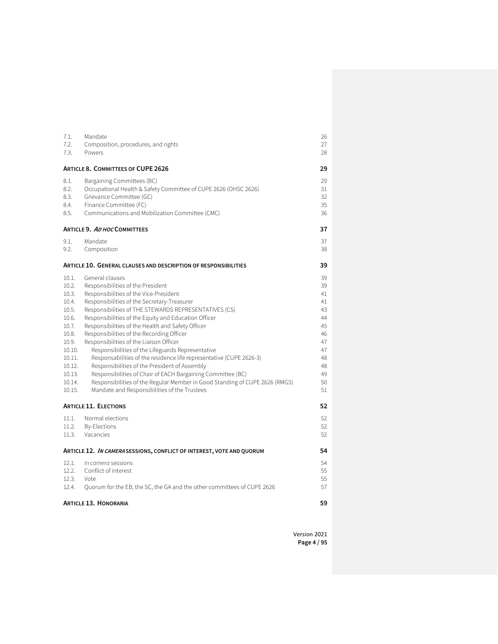| 7.1.<br>7.2.     | Mandate<br>Composition, procedures, and rights                                                                              | 26<br>27 |
|------------------|-----------------------------------------------------------------------------------------------------------------------------|----------|
| 7.3.             | Powers                                                                                                                      | 28       |
|                  |                                                                                                                             |          |
|                  | <b>ARTICLE 8. COMMITTEES OF CUPE 2626</b>                                                                                   | 29       |
| 8.1.             | Bargaining Committees (BC)                                                                                                  | 29       |
| 8.2.<br>8.3.     | Occupational Health & Safety Committee of CUPE 2626 (OHSC 2626)                                                             | 31<br>32 |
| 8.4.             | Grievance Committee (GC)<br>Finance Committee (FC)                                                                          | 35       |
| 8.5.             | Communications and Mobilization Committee (CMC)                                                                             | 36       |
|                  | <b>ARTICLE 9. AD HOCCOMMITTEES</b>                                                                                          | 37       |
| 9.1.             | Mandate                                                                                                                     | 37       |
| 9.2.             | Composition                                                                                                                 | 38       |
|                  | ARTICLE 10. GENERAL CLAUSES AND DESCRIPTION OF RESPONSIBILITIES                                                             | 39       |
| 10.1.            | General clauses                                                                                                             | 39       |
| 10.2.            | Responsibilities of the President                                                                                           | 39       |
| 10.3.            | Responsibilities of the Vice-President                                                                                      | 41       |
| 10.4.<br>10.5.   | Responsibilities of the Secretary-Treasurer<br>Responsibilities of THE STEWARDS REPRESENTATIVES (CS)                        | 41<br>43 |
| 10.6.            | Responsibilities of the Equity and Education Officer                                                                        | 44       |
| 10.7.            | Responsibilities of the Health and Safety Officer                                                                           | 45       |
| 10.8.            | Responsibilities of the Recording Officer                                                                                   | 46       |
| 10.9.            | Responsibilities of the Liaison Officer                                                                                     | 47       |
| 10.10.           | Responsibilities of the Lifeguards Representative                                                                           | 47       |
| 10.11.           | Responsabilities of the residence life representative (CUPE 2626-3)                                                         | 48       |
| 10.12.           | Responsibilities of the President of Assembly                                                                               | 48       |
| 10.13.           | Responsibilities of Chair of EACH Bargaining Committee (BC)                                                                 | 49<br>50 |
| 10.14.<br>10.15. | Responsibilities of the Regular Member in Good Standing of CUPE 2626 (RMGS)<br>Mandate and Responsibilities of the Trustees | 51       |
|                  | <b>ARTICLE 11. ELECTIONS</b>                                                                                                | 52       |
| 11.1.            | Normal elections                                                                                                            | 52       |
| 11.2.            | <b>By-Elections</b>                                                                                                         | 52       |
| 11.3.            | Vacancies                                                                                                                   | 52       |
|                  | ARTICLE 12. IN CAMERA SESSIONS, CONFLICT OF INTEREST, VOTE AND QUORUM                                                       | 54       |
| 12.1.            | In camera sessions                                                                                                          | 54       |
| 12.2.            | Conflict of interest                                                                                                        | 55       |
| 12.3.            | Vote                                                                                                                        | 55       |
| 12.4.            | Quorum for the EB, the SC, the GA and the other committees of CUPE 2626                                                     | 57       |
|                  | <b>ARTICLE 13. HONORARIA</b>                                                                                                | 59       |

Version 2021 **Page 4 / 95**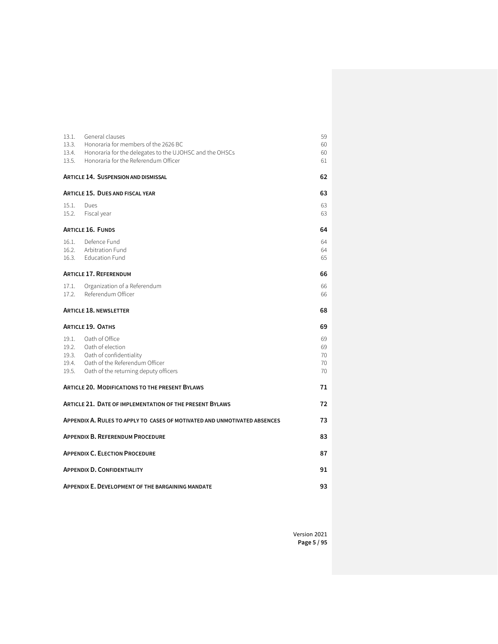| 13.1.<br>13.3.<br>13.4.<br>13.5.                         | General clauses<br>Honoraria for members of the 2626 BC<br>Honoraria for the delegates to the UJOHSC and the OHSCs<br>Honoraria for the Referendum Officer | 59<br>60<br>60<br>61       |
|----------------------------------------------------------|------------------------------------------------------------------------------------------------------------------------------------------------------------|----------------------------|
|                                                          | <b>ARTICLE 14. SUSPENSION AND DISMISSAL</b>                                                                                                                | 62                         |
| <b>ARTICLE 15. DUES AND FISCAL YEAR</b>                  |                                                                                                                                                            | 63                         |
| 15.1.<br>15.2.                                           | Dues<br>Fiscal year                                                                                                                                        | 63<br>63                   |
|                                                          | <b>ARTICLE 16. FUNDS</b>                                                                                                                                   | 64                         |
|                                                          | 16.1. Defence Fund<br>16.2. Arbitration Fund<br>16.3. Education Fund                                                                                       | 64<br>64<br>65             |
|                                                          | <b>ARTICLE 17. REFERENDUM</b>                                                                                                                              | 66                         |
| 17.1.<br>17.2.                                           | Organization of a Referendum<br>Referendum Officer                                                                                                         | 66<br>66                   |
|                                                          | <b>ARTICLE 18. NEWSLETTER</b>                                                                                                                              | 68                         |
|                                                          | <b>ARTICLE 19. OATHS</b>                                                                                                                                   | 69                         |
| 19.1.<br>19.2.<br>19.4.<br>19.5.                         | Oath of Office<br>Oath of election<br>19.3. Oath of confidentiality<br>Oath of the Referendum Officer<br>Oath of the returning deputy officers             | 69<br>69<br>70<br>70<br>70 |
| <b>ARTICLE 20. MODIFICATIONS TO THE PRESENT BYLAWS</b>   |                                                                                                                                                            | 71                         |
|                                                          | <b>ARTICLE 21. DATE OF IMPLEMENTATION OF THE PRESENT BYLAWS</b>                                                                                            | 72                         |
|                                                          | APPENDIX A. RULES TO APPLY TO CASES OF MOTIVATED AND UNMOTIVATED ABSENCES                                                                                  | 73                         |
|                                                          | <b>APPENDIX B. REFERENDUM PROCEDURE</b>                                                                                                                    | 83                         |
|                                                          | <b>APPENDIX C. ELECTION PROCEDURE</b>                                                                                                                      |                            |
| <b>APPENDIX D. CONFIDENTIALITY</b>                       |                                                                                                                                                            |                            |
| <b>APPENDIX E. DEVELOPMENT OF THE BARGAINING MANDATE</b> |                                                                                                                                                            | 93                         |

Version 2021 **Page 5 / 95**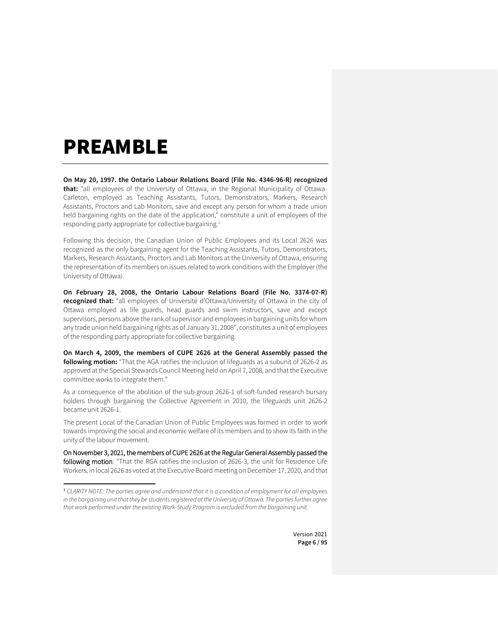# <span id="page-5-0"></span>PREAMBLE

**On May 20, 1997. the Ontario Labour Relations Board (File No. 4346-96-R) recognized that:** "all employees of the University of Ottawa, in the Regional Municipality of Ottawa-Carleton, employed as Teaching Assistants, Tutors, Demonstrators, Markers, Research Assistants, Proctors and Lab Monitors, save and except any person for whom a trade union held bargaining rights on the date of the application," constitute a unit of employees of the responding party appropriate for collective bargaining.<sup>1</sup>

Following this decision, the Canadian Union of Public Employees and its Local 2626 was recognized as the only bargaining agent for the Teaching Assistants, Tutors, Demonstrators, Markers, Research Assistants, Proctors and Lab Monitors at the University of Ottawa, ensuring the representation of its members on issues related to work conditions with the Employer (the University of Ottawa).

**On February 28, 2008, the Ontario Labour Relations Board (File No. 3374-07-R) recognized that:** "all employees of Université d'Ottawa/University of Ottawa in the city of Ottawa employed as life guards, head guards and swim instructors, save and except supervisors, persons above the rank of supervisor and employees in bargaining units for whom any trade union held bargaining rights as of January 31, 2008", constitutes a unit of employees of the responding party appropriate for collective bargaining.

**On March 4, 2009, the members of CUPE 2626 at the General Assembly passed the following motion:** "That the AGA ratifies the inclusion of lifeguards as a subunit of 2626-2 as approved at the Special Stewards Council Meeting held on April 7, 2008, and that the Executive committee works to integrate them."

As a consequence of the abolition of the sub-group 2626-1 of soft-funded research bursary holders through bargaining the Collective Agreement in 2010, the lifeguards unit 2626-2 became unit 2626-1.

The present Local of the Canadian Union of Public Employees was formed in order to work towards improving the social and economic welfare of its members and to show its faith in the unity of the labour movement.

On November 3, 2021, the members of CUPE 2626 at the Regular General Assembly passed the following motion: "That the RGA ratifies the inclusion of 2626-3, the unit for Residence Life Workers, in local 2626 as voted at the Executive Board meeting on December 17, 2020, and that

<sup>1</sup> *CLARITY NOTE: The parties agree and understand that it is a condition of employment for all employees in the bargaining unit that they be students registered at the University of Ottawa. The parties further agree that work performed under the existing Work-Study Program is excluded from the bargaining unit.*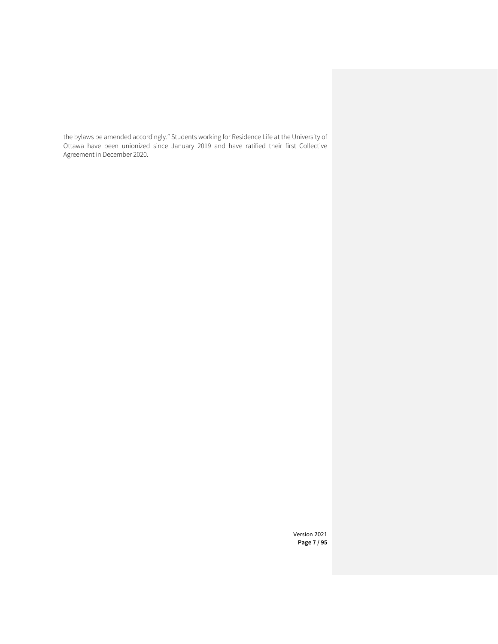the bylaws be amended accordingly." Students working for Residence Life at the University of Ottawa have been unionized since January 2019 and have ratified their first Collective Agreement in December 2020.

> Version 2021 **Page 7 / 95**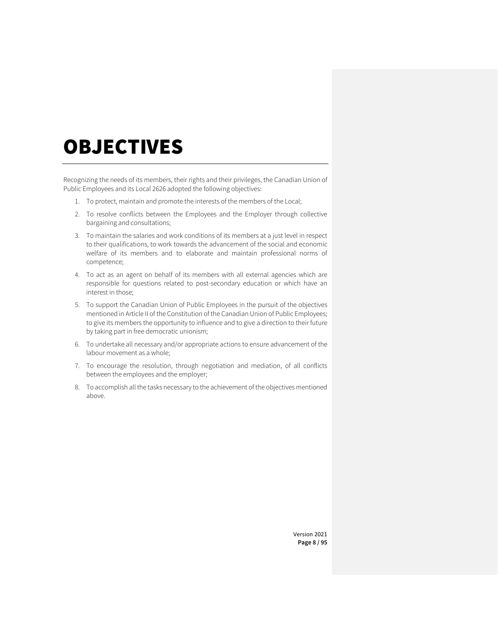# <span id="page-7-0"></span>OBJECTIVES

Recognizing the needs of its members, their rights and their privileges, the Canadian Union of Public Employees and its Local 2626 adopted the following objectives:

- 1. To protect, maintain and promote the interests of the members of the Local;
- 2. To resolve conflicts between the Employees and the Employer through collective bargaining and consultations;
- 3. To maintain the salaries and work conditions of its members at a just level in respect to their qualifications, to work towards the advancement of the social and economic welfare of its members and to elaborate and maintain professional norms of competence;
- 4. To act as an agent on behalf of its members with all external agencies which are responsible for questions related to post-secondary education or which have an interest in those;
- 5. To support the Canadian Union of Public Employees in the pursuit of the objectives mentioned in Article II of the Constitution of the Canadian Union of Public Employees; to give its members the opportunity to influence and to give a direction to their future by taking part in free democratic unionism;
- 6. To undertake all necessary and/or appropriate actions to ensure advancement of the labour movement as a whole;
- 7. To encourage the resolution, through negotiation and mediation, of all conflicts between the employees and the employer;
- 8. To accomplish all the tasks necessary to the achievement of the objectives mentioned above.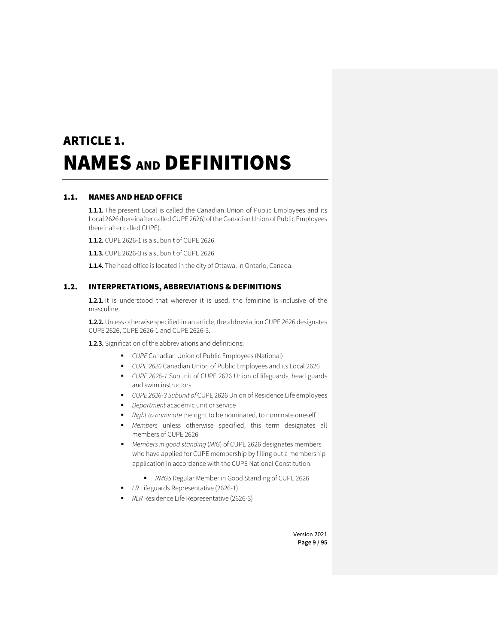# <span id="page-8-0"></span>ARTICLE 1. NAMES AND DEFINITIONS

# <span id="page-8-1"></span>1.1. NAMES AND HEAD OFFICE

**1.1.1.** The present Local is called the Canadian Union of Public Employees and its Local 2626 (hereinafter called CUPE 2626) of the Canadian Union of Public Employees (hereinafter called CUPE).

**1.1.2.** CUPE 2626-1 is a subunit of CUPE 2626.

**1.1.3.** CUPE 2626-3 is a subunit of CUPE 2626.

**1.1.4.** The head office is located in the city of Ottawa, in Ontario, Canada.

# <span id="page-8-2"></span>1.2. INTERPRETATIONS, ABBREVIATIONS & DEFINITIONS

**1.2.1.** It is understood that wherever it is used, the feminine is inclusive of the masculine.

**1.2.2.** Unless otherwise specified in an article, the abbreviation CUPE 2626 designates CUPE 2626, CUPE 2626-1 and CUPE 2626-3.

**1.2.3.** Signification of the abbreviations and definitions:

- *CUPE* Canadian Union of Public Employees (National)
- *CUPE 2626* Canadian Union of Public Employees and its Local 2626
- *CUPE 2626-1* Subunit of CUPE 2626 Union of lifeguards, head guards and swim instructors
- *CUPE 2626-3 Subunit of* CUPE 2626 Union of Residence Life employees
- *Department* academic unit or service
- *Right to nominate* the right to be nominated, to nominate oneself
- *Members* unless otherwise specified, this term designates all members of CUPE 2626
- *Members in good standing* (*MIG*) of CUPE 2626 designates members who have applied for CUPE membership by filling out a membership application in accordance with the CUPE National Constitution.
	- *RMGS* Regular Member in Good Standing of CUPE 2626
- *LR* Lifeguards Representative (2626-1)
- *RLR* Residence Life Representative (2626-3)

Version 2021 **Page 9 / 95**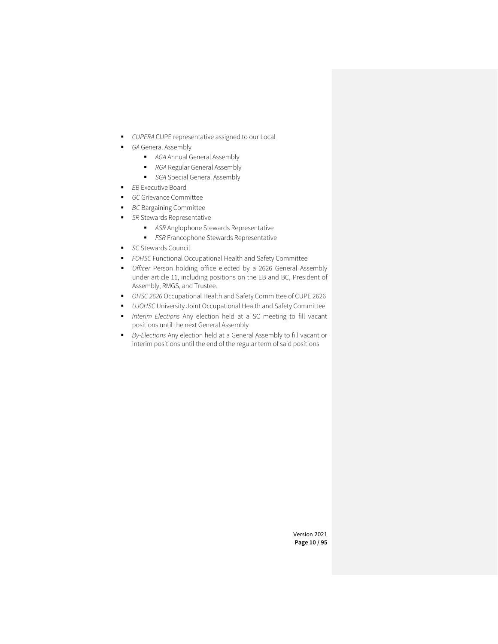- *CUPERA* CUPE representative assigned to our Local
- *GA* General Assembly
	- *AGA* Annual General Assembly
	- *RGA* Regular General Assembly
	- *SGA* Special General Assembly
- *EB* Executive Board
- *GC* Grievance Committee
- *BC* Bargaining Committee
- *SR* Stewards Representative
	- *ASR* Anglophone Stewards Representative
	- *FSR* Francophone Stewards Representative
- *SC* Stewards Council
- *FOHSC* Functional Occupational Health and Safety Committee
- **E** *Officer* Person holding office elected by a 2626 General Assembly under article 11, including positions on the EB and BC, President of Assembly, RMGS, and Trustee.
- *OHSC 2626* Occupational Health and Safety Committee of CUPE 2626
- *UJOHSC* University Joint Occupational Health and Safety Committee
- *Interim Elections* Any election held at a SC meeting to fill vacant positions until the next General Assembly
- *By-Elections* Any election held at a General Assembly to fill vacant or interim positions until the end of the regular term of said positions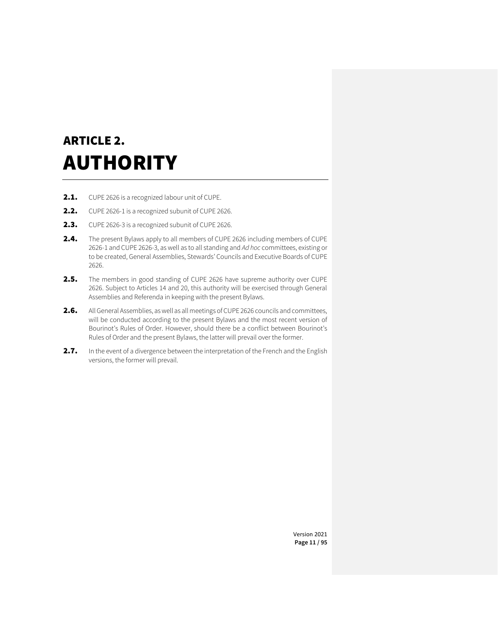# <span id="page-10-0"></span>ARTICLE 2. AUTHORITY

- 2.1. CUPE 2626 is a recognized labour unit of CUPE.
- 2.2. CUPE 2626-1 is a recognized subunit of CUPE 2626.
- 2.3. CUPE 2626-3 is a recognized subunit of CUPE 2626.
- **2.4.** The present Bylaws apply to all members of CUPE 2626 including members of CUPE 2626-1 and CUPE 2626-3, as well as to all standing and *Ad hoc* committees, existing or to be created, General Assemblies, Stewards' Councils and Executive Boards of CUPE 2626.
- 2.5. The members in good standing of CUPE 2626 have supreme authority over CUPE 2626. Subject to Articles 14 and 20, this authority will be exercised through General Assemblies and Referenda in keeping with the present Bylaws.
- 2.6. All General Assemblies, as well as all meetings of CUPE 2626 councils and committees, will be conducted according to the present Bylaws and the most recent version of Bourinot's Rules of Order. However, should there be a conflict between Bourinot's Rules of Order and the present Bylaws, the latter will prevail over the former.
- 2.7. In the event of a divergence between the interpretation of the French and the English versions, the former will prevail.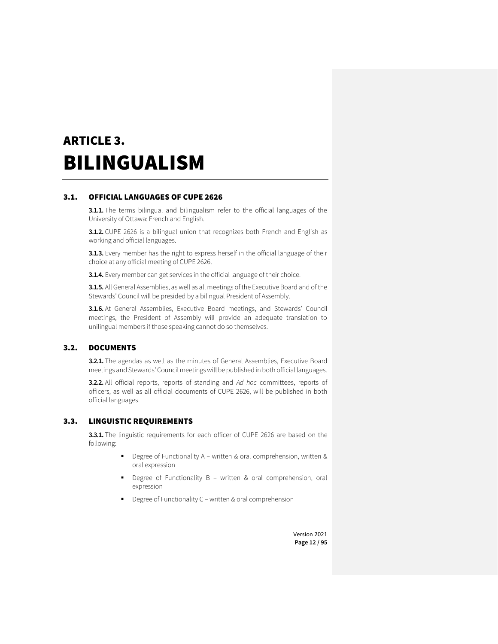# <span id="page-11-0"></span>ARTICLE 3. BILINGUALISM

# <span id="page-11-1"></span>3.1. OFFICIAL LANGUAGES OF CUPE 2626

**3.1.1.** The terms bilingual and bilingualism refer to the official languages of the University of Ottawa: French and English.

**3.1.2.** CUPE 2626 is a bilingual union that recognizes both French and English as working and official languages.

**3.1.3.** Every member has the right to express herself in the official language of their choice at any official meeting of CUPE 2626.

**3.1.4.** Every member can get services in the official language of their choice.

**3.1.5.** All General Assemblies, as well as all meetings of the Executive Board and of the Stewards' Council will be presided by a bilingual President of Assembly.

**3.1.6.** At General Assemblies, Executive Board meetings, and Stewards' Council meetings, the President of Assembly will provide an adequate translation to unilingual members if those speaking cannot do so themselves.

# <span id="page-11-2"></span>3.2. DOCUMENTS

**3.2.1.** The agendas as well as the minutes of General Assemblies, Executive Board meetings and Stewards' Council meetings will be published in both official languages.

**3.2.2.** All official reports, reports of standing and *Ad hoc* committees, reports of officers, as well as all official documents of CUPE 2626, will be published in both official languages.

# <span id="page-11-3"></span>3.3. LINGUISTIC REQUIREMENTS

**3.3.1.** The linguistic requirements for each officer of CUPE 2626 are based on the following:

- Degree of Functionality A written & oral comprehension, written & oral expression
- Degree of Functionality B written & oral comprehension, oral expression
- Degree of Functionality C written & oral comprehension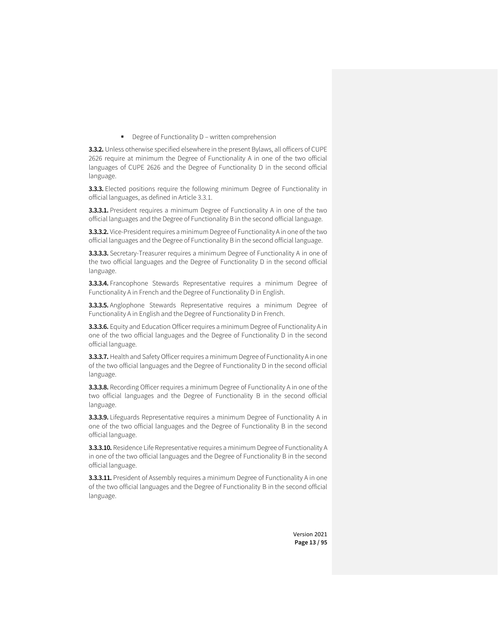■ Degree of Functionality D – written comprehension

**3.3.2.** Unless otherwise specified elsewhere in the present Bylaws, all officers of CUPE 2626 require at minimum the Degree of Functionality A in one of the two official languages of CUPE 2626 and the Degree of Functionality D in the second official language.

**3.3.3.** Elected positions require the following minimum Degree of Functionality in official languages, as defined in Article 3.3.1.

**3.3.3.1.** President requires a minimum Degree of Functionality A in one of the two official languages and the Degree of Functionality B in the second official language.

**3.3.3.2.** Vice-President requires a minimum Degree of Functionality A in one of the two official languages and the Degree of Functionality B in the second official language.

**3.3.3.3.** Secretary-Treasurer requires a minimum Degree of Functionality A in one of the two official languages and the Degree of Functionality D in the second official language.

**3.3.3.4.** Francophone Stewards Representative requires a minimum Degree of Functionality A in French and the Degree of Functionality D in English.

**3.3.3.5.** Anglophone Stewards Representative requires a minimum Degree of Functionality A in English and the Degree of Functionality D in French.

**3.3.3.6.** Equity and Education Officer requires a minimum Degree of Functionality A in one of the two official languages and the Degree of Functionality D in the second official language.

**3.3.3.7.** Health and Safety Officer requires a minimum Degree of Functionality A in one of the two official languages and the Degree of Functionality D in the second official language.

**3.3.3.8.** Recording Officer requires a minimum Degree of Functionality A in one of the two official languages and the Degree of Functionality B in the second official language.

**3.3.3.9.** Lifeguards Representative requires a minimum Degree of Functionality A in one of the two official languages and the Degree of Functionality B in the second official language.

**3.3.3.10.** Residence Life Representative requires a minimum Degree of Functionality A in one of the two official languages and the Degree of Functionality B in the second official language.

**3.3.3.11.** President of Assembly requires a minimum Degree of Functionality A in one of the two official languages and the Degree of Functionality B in the second official language.

> Version 2021 **Page 13 / 95**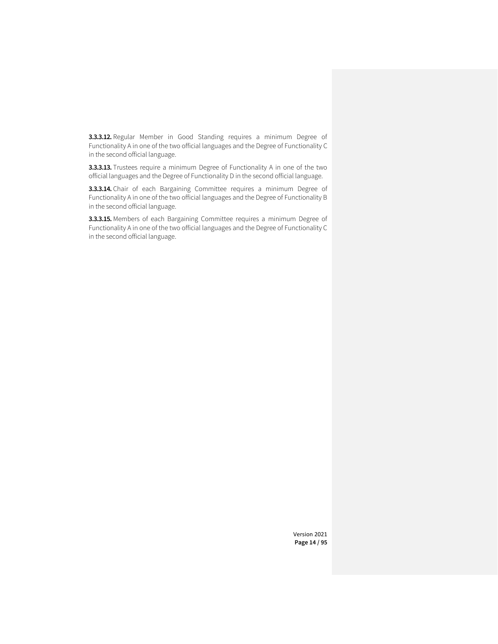**3.3.3.12.** Regular Member in Good Standing requires a minimum Degree of Functionality A in one of the two official languages and the Degree of Functionality C in the second official language.

**3.3.3.13.** Trustees require a minimum Degree of Functionality A in one of the two official languages and the Degree of Functionality D in the second official language.

**3.3.3.14.** Chair of each Bargaining Committee requires a minimum Degree of Functionality A in one of the two official languages and the Degree of Functionality B in the second official language.

**3.3.3.15.** Members of each Bargaining Committee requires a minimum Degree of Functionality A in one of the two official languages and the Degree of Functionality C in the second official language.

> Version 2021 **Page 14 / 95**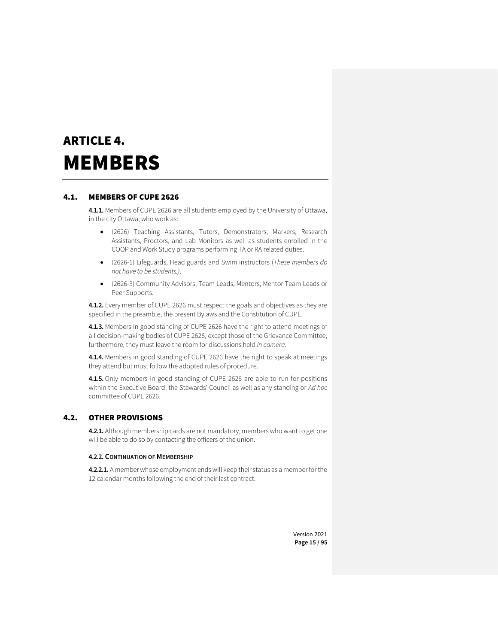# <span id="page-14-0"></span>ARTICLE 4. MEMBERS

# <span id="page-14-1"></span>4.1. MEMBERS OF CUPE 2626

**4.1.1.** Members of CUPE 2626 are all students employed by the University of Ottawa, in the city Ottawa, who work as:

- (2626) Teaching Assistants, Tutors, Demonstrators, Markers, Research Assistants, Proctors, and Lab Monitors as well as students enrolled in the COOP and Work Study programs performing TA or RA related duties.
- (2626-1) Lifeguards, Head guards and Swim instructors (*These members do not have to be students.)*.
- (2626-3) Community Advisors, Team Leads, Mentors, Mentor Team Leads or Peer Supports.

**4.1.2.** Every member of CUPE 2626 must respect the goals and objectives as they are specified in the preamble, the present Bylaws and the Constitution of CUPE.

**4.1.3.** Members in good standing of CUPE 2626 have the right to attend meetings of all decision-making bodies of CUPE 2626, except those of the Grievance Committee; furthermore, they must leave the room for discussions held *In camera*.

**4.1.4.** Members in good standing of CUPE 2626 have the right to speak at meetings they attend but must follow the adopted rules of procedure.

**4.1.5.** Only members in good standing of CUPE 2626 are able to run for positions within the Executive Board, the Stewards' Council as well as any standing or *Ad hoc* committee of CUPE 2626.

# <span id="page-14-2"></span>4.2. OTHER PROVISIONS

**4.2.1.** Although membership cards are not mandatory, members who want to get one will be able to do so by contacting the officers of the union.

### **4.2.2. CONTINUATION OF MEMBERSHIP**

**4.2.2.1.** A member whose employment ends will keep their status as a member for the 12 calendar months following the end of their last contract.

> Version 2021 **Page 15 / 95**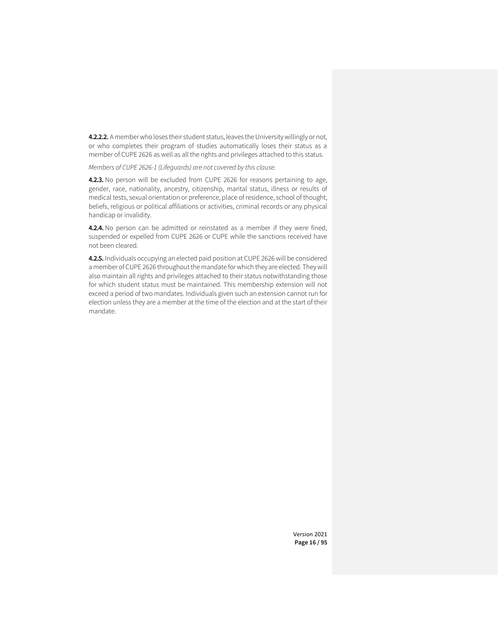**4.2.2.2.** A member who loses their student status, leaves the University willingly or not, or who completes their program of studies automatically loses their status as a member of CUPE 2626 as well as all the rights and privileges attached to this status.

*Members of CUPE 2626-1 (Lifeguards) are not covered by this clause.* 

**4.2.3.** No person will be excluded from CUPE 2626 for reasons pertaining to age, gender, race, nationality, ancestry, citizenship, marital status, illness or results of medical tests, sexual orientation or preference, place of residence, school of thought, beliefs, religious or political affiliations or activities, criminal records or any physical handicap or invalidity.

**4.2.4.** No person can be admitted or reinstated as a member if they were fined, suspended or expelled from CUPE 2626 or CUPE while the sanctions received have not been cleared.

**4.2.5.** Individuals occupying an elected paid position at CUPE 2626 will be considered a member of CUPE 2626 throughout the mandate for which they are elected. They will also maintain all rights and privileges attached to their status notwithstanding those for which student status must be maintained. This membership extension will not exceed a period of two mandates. Individuals given such an extension cannot run for election unless they are a member at the time of the election and at the start of their mandate.

> Version 2021 **Page 16 / 95**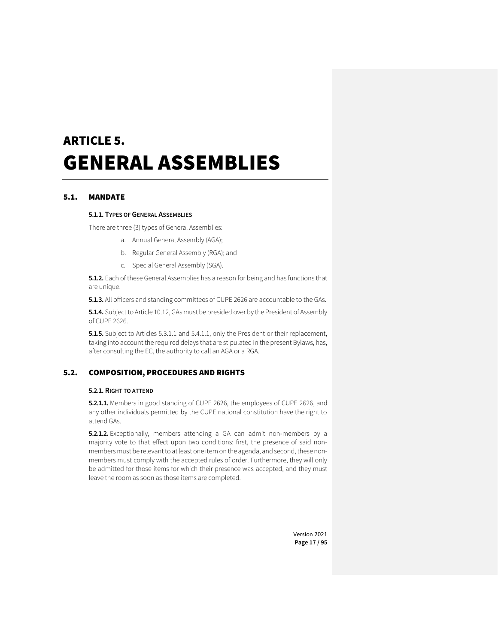# <span id="page-16-0"></span>ARTICLE 5. GENERAL ASSEMBLIES

# <span id="page-16-1"></span>5.1. MANDATE

### **5.1.1. TYPES OF GENERAL ASSEMBLIES**

There are three (3) types of General Assemblies:

- a. Annual General Assembly (AGA);
- b. Regular General Assembly (RGA); and
- c. Special General Assembly (SGA).

**5.1.2.** Each of these General Assemblies has a reason for being and has functions that are unique.

**5.1.3.** All officers and standing committees of CUPE 2626 are accountable to the GAs.

**5.1.4.** Subject to Article 10.12, GAs must be presided over by the President of Assembly of CUPE 2626.

**5.1.5.** Subject to Articles 5.3.1.1 and 5.4.1.1, only the President or their replacement, taking into account the required delays that are stipulated in the present Bylaws, has, after consulting the EC, the authority to call an AGA or a RGA.

# <span id="page-16-2"></span>5.2. COMPOSITION, PROCEDURES AND RIGHTS

### **5.2.1. RIGHT TO ATTEND**

**5.2.1.1.** Members in good standing of CUPE 2626, the employees of CUPE 2626, and any other individuals permitted by the CUPE national constitution have the right to attend GAs.

**5.2.1.2.** Exceptionally, members attending a GA can admit non-members by a majority vote to that effect upon two conditions: first, the presence of said nonmembers must be relevant to at least one item on the agenda, and second, these nonmembers must comply with the accepted rules of order. Furthermore, they will only be admitted for those items for which their presence was accepted, and they must leave the room as soon as those items are completed.

> Version 2021 **Page 17 / 95**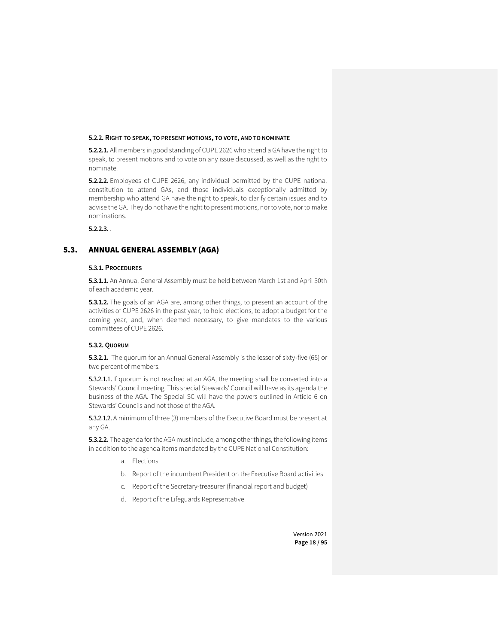### **5.2.2. RIGHT TO SPEAK, TO PRESENT MOTIONS, TO VOTE, AND TO NOMINATE**

**5.2.2.1.** All members in good standing of CUPE 2626 who attend a GA have the right to speak, to present motions and to vote on any issue discussed, as well as the right to nominate.

**5.2.2.2.** Employees of CUPE 2626, any individual permitted by the CUPE national constitution to attend GAs, and those individuals exceptionally admitted by membership who attend GA have the right to speak, to clarify certain issues and to advise the GA. They do not have the right to present motions, nor to vote, nor to make nominations.

**5.2.2.3.** .

# <span id="page-17-0"></span>5.3. ANNUAL GENERAL ASSEMBLY (AGA)

### **5.3.1. PROCEDURES**

**5.3.1.1.** An Annual General Assembly must be held between March 1st and April 30th of each academic year.

**5.3.1.2.** The goals of an AGA are, among other things, to present an account of the activities of CUPE 2626 in the past year, to hold elections, to adopt a budget for the coming year, and, when deemed necessary, to give mandates to the various committees of CUPE 2626.

## **5.3.2. QUORUM**

**5.3.2.1.** The quorum for an Annual General Assembly is the lesser of sixty-five (65) or two percent of members.

5.3.2.1.1. If quorum is not reached at an AGA, the meeting shall be converted into a Stewards' Council meeting. This special Stewards' Council will have as its agenda the business of the AGA. The Special SC will have the powers outlined in Article 6 on Stewards' Councils and not those of the AGA.

5.3.2.1.2. A minimum of three (3) members of the Executive Board must be present at any GA.

**5.3.2.2.** The agenda for the AGA must include, among other things, the following items in addition to the agenda items mandated by the CUPE National Constitution:

- a. Elections
- b. Report of the incumbent President on the Executive Board activities
- c. Report of the Secretary-treasurer (financial report and budget)
- d. Report of the Lifeguards Representative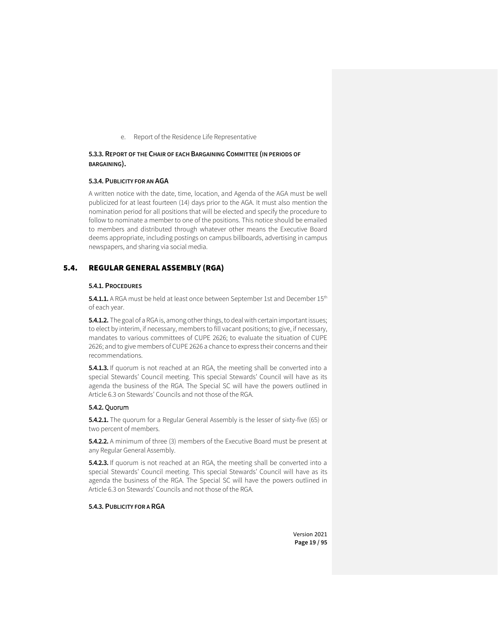### e. Report of the Residence Life Representative

### **5.3.3. REPORT OF THE CHAIR OF EACH BARGAINING COMMITTEE (IN PERIODS OF BARGAINING).**

## **5.3.4. PUBLICITY FOR AN AGA**

A written notice with the date, time, location, and Agenda of the AGA must be well publicized for at least fourteen (14) days prior to the AGA. It must also mention the nomination period for all positions that will be elected and specify the procedure to follow to nominate a member to one of the positions. This notice should be emailed to members and distributed through whatever other means the Executive Board deems appropriate, including postings on campus billboards, advertising in campus newspapers, and sharing via social media.

# <span id="page-18-0"></span>5.4. REGULAR GENERAL ASSEMBLY (RGA)

## **5.4.1. PROCEDURES**

5.4.1.1. A RGA must be held at least once between September 1st and December 15<sup>th</sup> of each year.

**5.4.1.2.** The goal of a RGA is, among other things, to deal with certain important issues; to elect by interim, if necessary, members to fill vacant positions; to give, if necessary, mandates to various committees of CUPE 2626; to evaluate the situation of CUPE 2626; and to give members of CUPE 2626 a chance to express their concerns and their recommendations.

**5.4.1.3.** If quorum is not reached at an RGA, the meeting shall be converted into a special Stewards' Council meeting. This special Stewards' Council will have as its agenda the business of the RGA. The Special SC will have the powers outlined in Article 6.3 on Stewards' Councils and not those of the RGA.

### **5.4.2.** Quorum

**5.4.2.1.** The quorum for a Regular General Assembly is the lesser of sixty-five (65) or two percent of members.

**5.4.2.2.** A minimum of three (3) members of the Executive Board must be present at any Regular General Assembly.

**5.4.2.3.** If quorum is not reached at an RGA, the meeting shall be converted into a special Stewards' Council meeting. This special Stewards' Council will have as its agenda the business of the RGA. The Special SC will have the powers outlined in Article 6.3 on Stewards' Councils and not those of the RGA.

# **5.4.3. PUBLICITY FOR A RGA**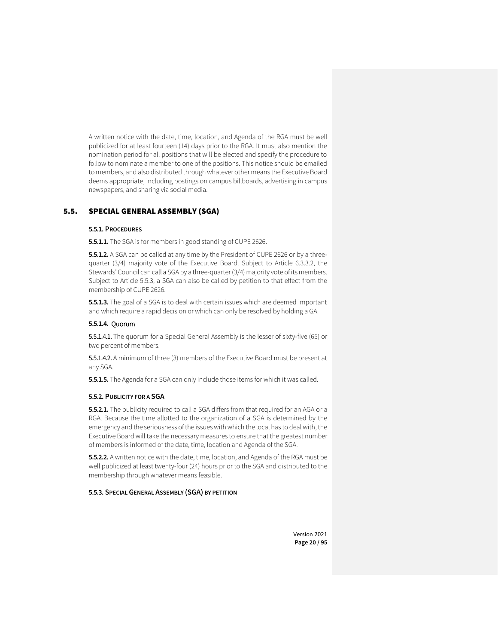A written notice with the date, time, location, and Agenda of the RGA must be well publicized for at least fourteen (14) days prior to the RGA. It must also mention the nomination period for all positions that will be elected and specify the procedure to follow to nominate a member to one of the positions. This notice should be emailed to members, and also distributed through whatever other means the Executive Board deems appropriate, including postings on campus billboards, advertising in campus newspapers, and sharing via social media.

# <span id="page-19-0"></span>5.5. SPECIAL GENERAL ASSEMBLY (SGA)

### **5.5.1. PROCEDURES**

**5.5.1.1.** The SGA is for members in good standing of CUPE 2626.

**5.5.1.2.** A SGA can be called at any time by the President of CUPE 2626 or by a threequarter (3/4) majority vote of the Executive Board. Subject to Article 6.3.3.2, the Stewards' Council can call a SGA by a three-quarter (3/4) majority vote of its members. Subject to Article 5.5.3, a SGA can also be called by petition to that effect from the membership of CUPE 2626.

**5.5.1.3.** The goal of a SGA is to deal with certain issues which are deemed important and which require a rapid decision or which can only be resolved by holding a GA.

### **5.5.1.4.** Quorum

5.5.1.4.1. The quorum for a Special General Assembly is the lesser of sixty-five (65) or two percent of members.

5.5.1.4.2. A minimum of three (3) members of the Executive Board must be present at any SGA.

**5.5.1.5.** The Agenda for a SGA can only include those items for which it was called.

### **5.5.2. PUBLICITY FOR A SGA**

**5.5.2.1.** The publicity required to call a SGA differs from that required for an AGA or a RGA. Because the time allotted to the organization of a SGA is determined by the emergency and the seriousness of the issues with which the local has to deal with, the Executive Board will take the necessary measures to ensure that the greatest number of members is informed of the date, time, location and Agenda of the SGA.

**5.5.2.2.** A written notice with the date, time, location, and Agenda of the RGA must be well publicized at least twenty-four (24) hours prior to the SGA and distributed to the membership through whatever means feasible.

### **5.5.3. SPECIAL GENERAL ASSEMBLY (SGA) BY PETITION**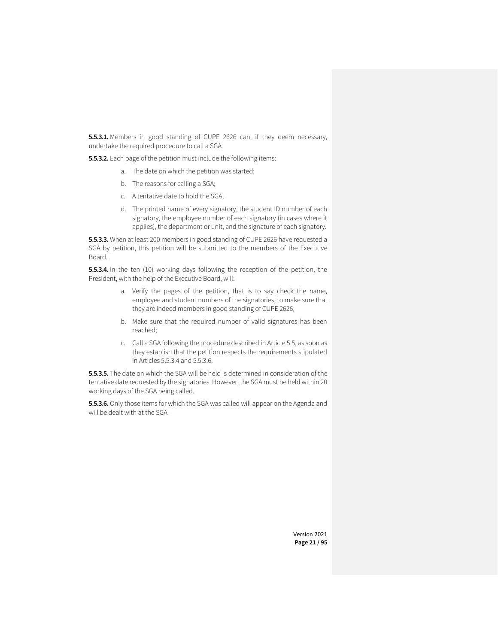**5.5.3.1.** Members in good standing of CUPE 2626 can, if they deem necessary, undertake the required procedure to call a SGA.

**5.5.3.2.** Each page of the petition must include the following items:

- a. The date on which the petition was started;
- b. The reasons for calling a SGA;
- c. A tentative date to hold the SGA;
- d. The printed name of every signatory, the student ID number of each signatory, the employee number of each signatory (in cases where it applies), the department or unit, and the signature of each signatory.

**5.5.3.3.** When at least 200 members in good standing of CUPE 2626 have requested a SGA by petition, this petition will be submitted to the members of the Executive Board.

**5.5.3.4.** In the ten (10) working days following the reception of the petition, the President, with the help of the Executive Board, will:

- a. Verify the pages of the petition, that is to say check the name, employee and student numbers of the signatories, to make sure that they are indeed members in good standing of CUPE 2626;
- b. Make sure that the required number of valid signatures has been reached;
- c. Call a SGA following the procedure described in Article 5.5, as soon as they establish that the petition respects the requirements stipulated in Articles 5.5.3.4 and 5.5.3.6.

**5.5.3.5.** The date on which the SGA will be held is determined in consideration of the tentative date requested by the signatories. However, the SGA must be held within 20 working days of the SGA being called.

**5.5.3.6.** Only those items for which the SGA was called will appear on the Agenda and will be dealt with at the SGA.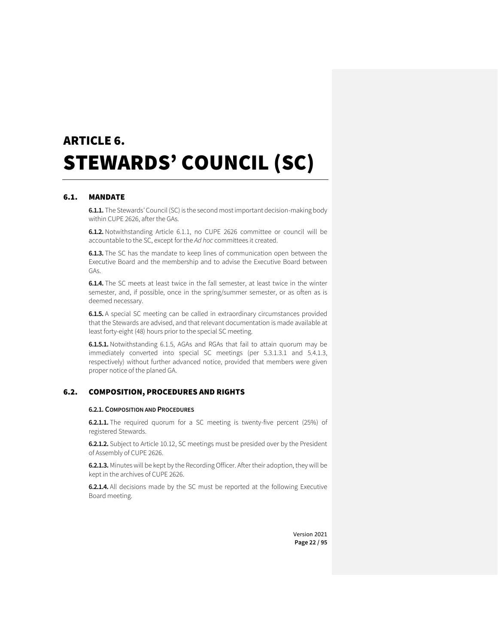# <span id="page-21-0"></span>ARTICLE 6. STEWARDS' COUNCIL (SC)

# <span id="page-21-1"></span>6.1. MANDATE

**6.1.1.** The Stewards' Council (SC) is the second most important decision-making body within CUPE 2626, after the GAs.

**6.1.2.** Notwithstanding Article 6.1.1, no CUPE 2626 committee or council will be accountable to the SC, except for the *Ad hoc* committees it created.

**6.1.3.** The SC has the mandate to keep lines of communication open between the Executive Board and the membership and to advise the Executive Board between GAs.

**6.1.4.** The SC meets at least twice in the fall semester, at least twice in the winter semester, and, if possible, once in the spring/summer semester, or as often as is deemed necessary.

**6.1.5.** A special SC meeting can be called in extraordinary circumstances provided that the Stewards are advised, and that relevant documentation is made available at least forty-eight (48) hours prior to the special SC meeting.

**6.1.5.1.** Notwithstanding 6.1.5, AGAs and RGAs that fail to attain quorum may be immediately converted into special SC meetings (per 5.3.1.3.1 and 5.4.1.3, respectively) without further advanced notice, provided that members were given proper notice of the planed GA.

# <span id="page-21-2"></span>6.2. COMPOSITION, PROCEDURES AND RIGHTS

### **6.2.1. COMPOSITION AND PROCEDURES**

**6.2.1.1.** The required quorum for a SC meeting is twenty-five percent (25%) of registered Stewards.

**6.2.1.2.** Subject to Article 10.12, SC meetings must be presided over by the President of Assembly of CUPE 2626.

**6.2.1.3.** Minutes will be kept by the Recording Officer. After their adoption, they will be kept in the archives of CUPE 2626.

**6.2.1.4.** All decisions made by the SC must be reported at the following Executive Board meeting.

> Version 2021 **Page 22 / 95**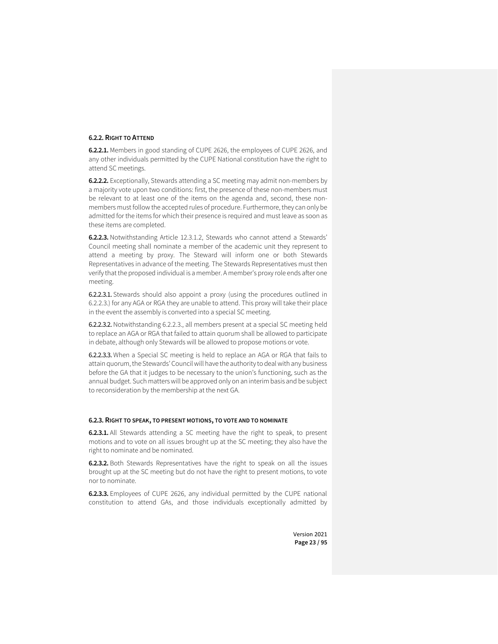#### **6.2.2. RIGHT TO ATTEND**

**6.2.2.1.** Members in good standing of CUPE 2626, the employees of CUPE 2626, and any other individuals permitted by the CUPE National constitution have the right to attend SC meetings.

**6.2.2.2.** Exceptionally, Stewards attending a SC meeting may admit non-members by a majority vote upon two conditions: first, the presence of these non-members must be relevant to at least one of the items on the agenda and, second, these nonmembers must follow the accepted rules of procedure. Furthermore, they can only be admitted for the items for which their presence is required and must leave as soon as these items are completed.

**6.2.2.3.** Notwithstanding Article 12.3.1.2, Stewards who cannot attend a Stewards' Council meeting shall nominate a member of the academic unit they represent to attend a meeting by proxy. The Steward will inform one or both Stewards Representatives in advance of the meeting. The Stewards Representatives must then verify that the proposed individual is a member. A member's proxy role ends after one meeting.

6.2.2.3.1. Stewards should also appoint a proxy (using the procedures outlined in 6.2.2.3.) for any AGA or RGA they are unable to attend. This proxy will take their place in the event the assembly is converted into a special SC meeting.

6.2.2.3.2. Notwithstanding 6.2.2.3., all members present at a special SC meeting held to replace an AGA or RGA that failed to attain quorum shall be allowed to participate in debate, although only Stewards will be allowed to propose motions or vote.

6.2.2.3.3. When a Special SC meeting is held to replace an AGA or RGA that fails to attain quorum, the Stewards' Council will have the authority to deal with any business before the GA that it judges to be necessary to the union's functioning, such as the annual budget. Such matters will be approved only on an interim basis and be subject to reconsideration by the membership at the next GA.

#### **6.2.3. RIGHT TO SPEAK, TO PRESENT MOTIONS, TO VOTE AND TO NOMINATE**

**6.2.3.1.** All Stewards attending a SC meeting have the right to speak, to present motions and to vote on all issues brought up at the SC meeting; they also have the right to nominate and be nominated.

**6.2.3.2.** Both Stewards Representatives have the right to speak on all the issues brought up at the SC meeting but do not have the right to present motions, to vote nor to nominate.

**6.2.3.3.** Employees of CUPE 2626, any individual permitted by the CUPE national constitution to attend GAs, and those individuals exceptionally admitted by

> Version 2021 **Page 23 / 95**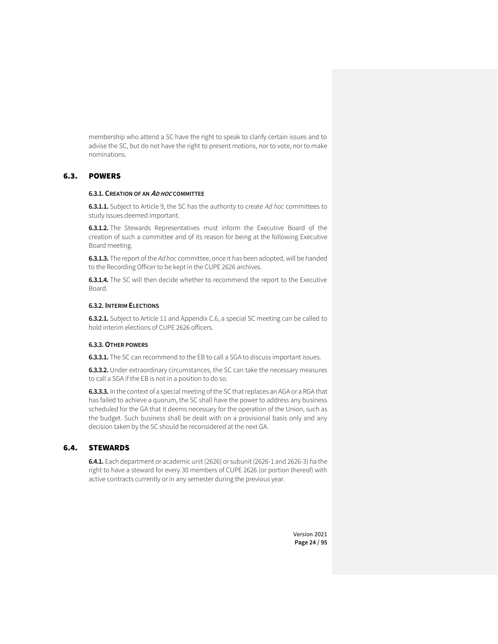membership who attend a SC have the right to speak to clarify certain issues and to advise the SC, but do not have the right to present motions, nor to vote, nor to make nominations.

# <span id="page-23-0"></span>6.3. POWERS

### **6.3.1. CREATION OF AN AD HOC COMMITTEE**

**6.3.1.1.** Subject to Article 9, the SC has the authority to create *Ad hoc* committees to study issues deemed important.

**6.3.1.2.** The Stewards Representatives must inform the Executive Board of the creation of such a committee and of its reason for being at the following Executive Board meeting.

**6.3.1.3.** The report of the *Ad hoc* committee, once it has been adopted, will be handed to the Recording Officer to be kept in the CUPE 2626 archives.

**6.3.1.4.** The SC will then decide whether to recommend the report to the Executive Board.

### **6.3.2. INTERIM ELECTIONS**

**6.3.2.1.** Subject to Article 11 and Appendix C.6, a special SC meeting can be called to hold interim elections of CUPE 2626 officers.

# **6.3.3. OTHER POWERS**

**6.3.3.1.** The SC can recommend to the EB to call a SGA to discuss important issues.

**6.3.3.2.** Under extraordinary circumstances, the SC can take the necessary measures to call a SGA if the EB is not in a position to do so.

**6.3.3.3.** In the context of a special meeting of the SC that replaces an AGA or a RGA that has failed to achieve a quorum, the SC shall have the power to address any business scheduled for the GA that it deems necessary for the operation of the Union, such as the budget. Such business shall be dealt with on a provisional basis only and any decision taken by the SC should be reconsidered at the next GA.

# <span id="page-23-1"></span>6.4. STEWARDS

**6.4.1.** Each department or academic unit (2626) or subunit (2626-1 and 2626-3) ha the right to have a steward for every 30 members of CUPE 2626 (or portion thereof) with active contracts currently or in any semester during the previous year.

> Version 2021 **Page 24 / 95**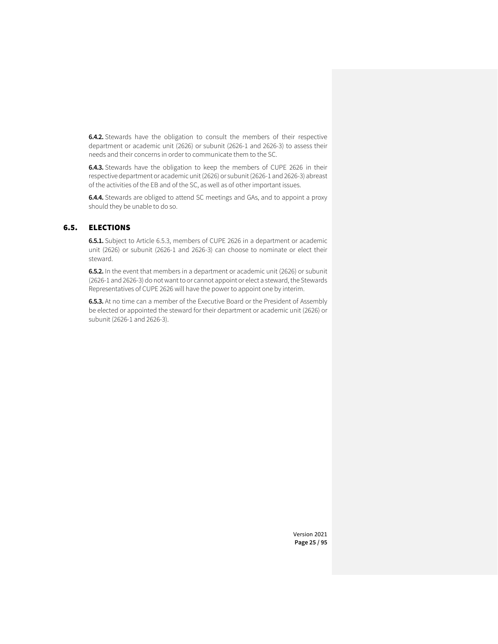**6.4.2.** Stewards have the obligation to consult the members of their respective department or academic unit (2626) or subunit (2626-1 and 2626-3) to assess their needs and their concerns in order to communicate them to the SC.

**6.4.3.** Stewards have the obligation to keep the members of CUPE 2626 in their respective department or academic unit(2626) or subunit (2626-1 and 2626-3) abreast of the activities of the EB and of the SC, as well as of other important issues.

**6.4.4.** Stewards are obliged to attend SC meetings and GAs, and to appoint a proxy should they be unable to do so.

# <span id="page-24-0"></span>6.5. ELECTIONS

**6.5.1.** Subject to Article 6.5.3, members of CUPE 2626 in a department or academic unit (2626) or subunit (2626-1 and 2626-3) can choose to nominate or elect their steward.

**6.5.2.** In the event that members in a department or academic unit (2626) or subunit (2626-1 and 2626-3) do not want to or cannot appoint or elect a steward, the Stewards Representatives of CUPE 2626 will have the power to appoint one by interim.

**6.5.3.** At no time can a member of the Executive Board or the President of Assembly be elected or appointed the steward for their department or academic unit (2626) or subunit (2626-1 and 2626-3).

> Version 2021 **Page 25 / 95**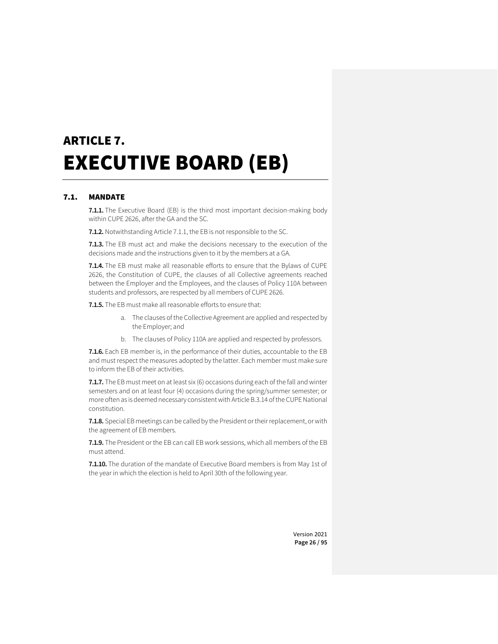# <span id="page-25-0"></span>ARTICLE 7. EXECUTIVE BOARD (EB)

# <span id="page-25-1"></span>7.1. MANDATE

**7.1.1.** The Executive Board (EB) is the third most important decision-making body within CUPE 2626, after the GA and the SC.

**7.1.2.** Notwithstanding Article 7.1.1, the EB is not responsible to the SC.

**7.1.3.** The EB must act and make the decisions necessary to the execution of the decisions made and the instructions given to it by the members at a GA.

**7.1.4.** The EB must make all reasonable efforts to ensure that the Bylaws of CUPE 2626, the Constitution of CUPE, the clauses of all Collective agreements reached between the Employer and the Employees, and the clauses of Policy 110A between students and professors, are respected by all members of CUPE 2626.

**7.1.5.** The EB must make all reasonable efforts to ensure that:

- a. The clauses of the Collective Agreement are applied and respected by the Employer; and
- b. The clauses of Policy 110A are applied and respected by professors.

**7.1.6.** Each EB member is, in the performance of their duties, accountable to the EB and must respect the measures adopted by the latter. Each member must make sure to inform the EB of their activities.

**7.1.7.** The EB must meet on at least six (6) occasions during each of the fall and winter semesters and on at least four (4) occasions during the spring/summer semester; or more often as is deemed necessary consistent with Article B.3.14 of the CUPE National constitution.

**7.1.8.** Special EB meetings can be called by the President or their replacement, or with the agreement of EB members.

**7.1.9.** The President or the EB can call EB work sessions, which all members of the EB must attend.

**7.1.10.** The duration of the mandate of Executive Board members is from May 1st of the year in which the election is held to April 30th of the following year.

> Version 2021 **Page 26 / 95**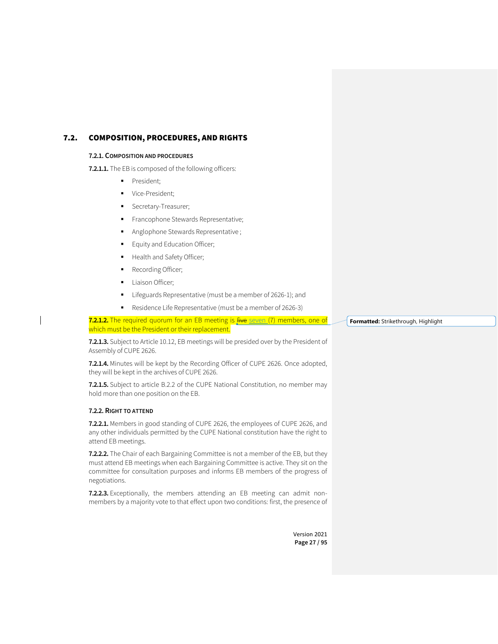# <span id="page-26-0"></span>7.2. COMPOSITION, PROCEDURES, AND RIGHTS

### **7.2.1. COMPOSITION AND PROCEDURES**

**7.2.1.1.** The EB is composed of the following officers:

- **■** President:
- **■** Vice-President;
- Secretary-Treasurer;
- Francophone Stewards Representative;
- Anglophone Stewards Representative;
- Equity and Education Officer;
- Health and Safety Officer;
- Recording Officer;
- Liaison Officer;
- Lifeguards Representative (must be a member of 2626-1); and

■ Residence Life Representative (must be a member of 2626-3)

**7.2.1.2.** The required quorum for an EB meeting is five seven (7) members, one of which must be the President or their replacement.

**7.2.1.3.** Subject to Article 10.12, EB meetings will be presided over by the President of Assembly of CUPE 2626.

**7.2.1.4.** Minutes will be kept by the Recording Officer of CUPE 2626. Once adopted, they will be kept in the archives of CUPE 2626.

**7.2.1.5.** Subject to article B.2.2 of the CUPE National Constitution, no member may hold more than one position on the EB.

### **7.2.2. RIGHT TO ATTEND**

**7.2.2.1.** Members in good standing of CUPE 2626, the employees of CUPE 2626, and any other individuals permitted by the CUPE National constitution have the right to attend EB meetings.

**7.2.2.2.** The Chair of each Bargaining Committee is not a member of the EB, but they must attend EB meetings when each Bargaining Committee is active. They sit on the committee for consultation purposes and informs EB members of the progress of negotiations.

**7.2.2.3.** Exceptionally, the members attending an EB meeting can admit nonmembers by a majority vote to that effect upon two conditions: first, the presence of

**Formatted:** Strikethrough, Highlight

Version 2021 **Page 27 / 95**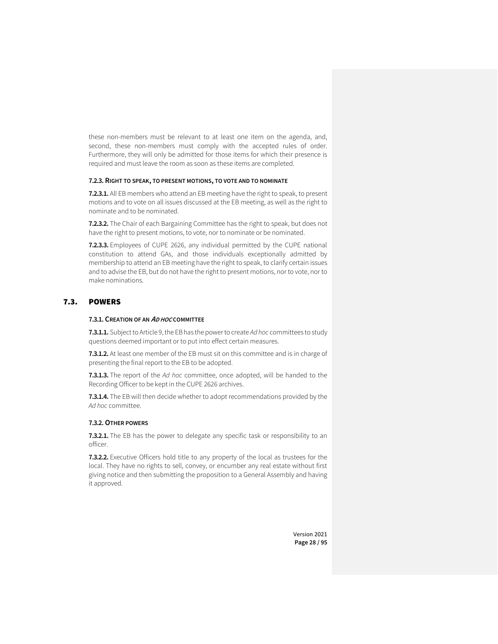these non-members must be relevant to at least one item on the agenda, and, second, these non-members must comply with the accepted rules of order. Furthermore, they will only be admitted for those items for which their presence is required and must leave the room as soon as these items are completed.

### **7.2.3. RIGHT TO SPEAK, TO PRESENT MOTIONS, TO VOTE AND TO NOMINATE**

**7.2.3.1.** All EB members who attend an EB meeting have the right to speak, to present motions and to vote on all issues discussed at the EB meeting, as well as the right to nominate and to be nominated.

**7.2.3.2.** The Chair of each Bargaining Committee has the right to speak, but does not have the right to present motions, to vote, nor to nominate or be nominated.

**7.2.3.3.** Employees of CUPE 2626, any individual permitted by the CUPE national constitution to attend GAs, and those individuals exceptionally admitted by membership to attend an EB meeting have the right to speak, to clarify certain issues and to advise the EB, but do not have the right to present motions, nor to vote, nor to make nominations.

# <span id="page-27-0"></span>7.3. POWERS

### **7.3.1. CREATION OF AN AD HOC COMMITTEE**

**7.3.1.1.** Subject to Article 9, the EB has the power to create *Ad hoc* committees to study questions deemed important or to put into effect certain measures.

**7.3.1.2.** At least one member of the EB must sit on this committee and is in charge of presenting the final report to the EB to be adopted.

**7.3.1.3.** The report of the *Ad hoc* committee, once adopted, will be handed to the Recording Officer to be kept in the CUPE 2626 archives.

**7.3.1.4.** The EB will then decide whether to adopt recommendations provided by the *Ad hoc* committee.

### **7.3.2. OTHER POWERS**

**7.3.2.1.** The EB has the power to delegate any specific task or responsibility to an officer.

**7.3.2.2.** Executive Officers hold title to any property of the local as trustees for the local. They have no rights to sell, convey, or encumber any real estate without first giving notice and then submitting the proposition to a General Assembly and having it approved.

> Version 2021 **Page 28 / 95**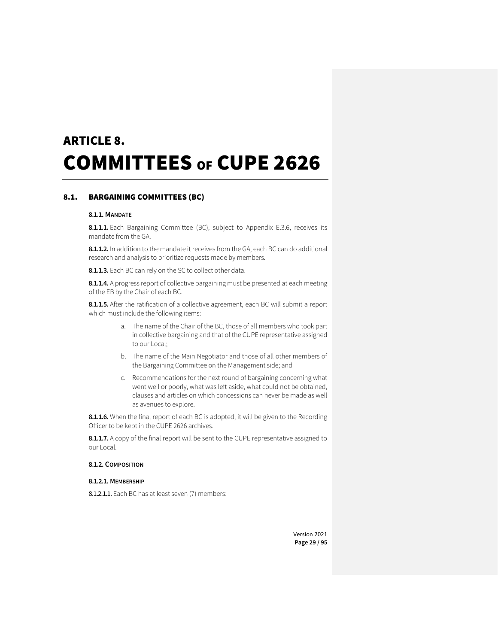# <span id="page-28-0"></span>ARTICLE 8. COMMITTEES OF CUPE 2626

# <span id="page-28-1"></span>8.1. BARGAINING COMMITTEES (BC)

### **8.1.1. MANDATE**

**8.1.1.1.** Each Bargaining Committee (BC), subject to Appendix E.3.6, receives its mandate from the GA.

**8.1.1.2.** In addition to the mandate it receives from the GA, each BC can do additional research and analysis to prioritize requests made by members.

**8.1.1.3.** Each BC can rely on the SC to collect other data.

**8.1.1.4.** A progress report of collective bargaining must be presented at each meeting of the EB by the Chair of each BC.

**8.1.1.5.** After the ratification of a collective agreement, each BC will submit a report which must include the following items:

- a. The name of the Chair of the BC, those of all members who took part in collective bargaining and that of the CUPE representative assigned to our Local;
- b. The name of the Main Negotiator and those of all other members of the Bargaining Committee on the Management side; and
- c. Recommendations for the next round of bargaining concerning what went well or poorly, what was left aside, what could not be obtained, clauses and articles on which concessions can never be made as well as avenues to explore.

**8.1.1.6.** When the final report of each BC is adopted, it will be given to the Recording Officer to be kept in the CUPE 2626 archives.

8.1.1.7. A copy of the final report will be sent to the CUPE representative assigned to our Local.

# **8.1.2. COMPOSITION**

### **8.1.2.1. MEMBERSHIP**

8.1.2.1.1. Each BC has at least seven (7) members: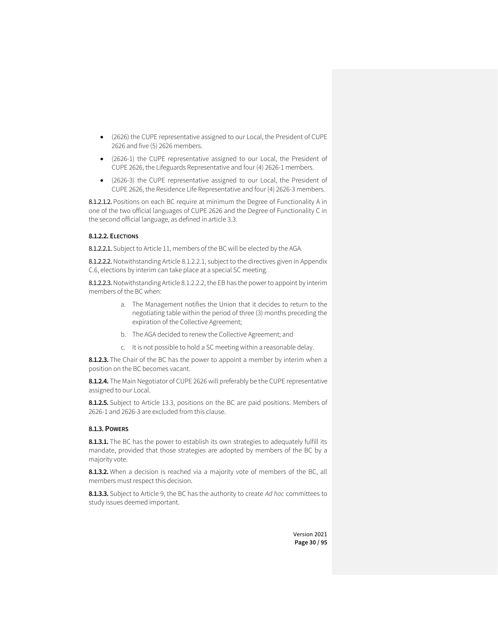- (2626) the CUPE representative assigned to our Local, the President of CUPE 2626 and five (5) 2626 members.
- (2626-1) the CUPE representative assigned to our Local, the President of CUPE 2626, the Lifeguards Representative and four (4) 2626-1 members.
- (2626-3) the CUPE representative assigned to our Local, the President of CUPE 2626, the Residence Life Representative and four (4) 2626-3 members.

8.1.2.1.2. Positions on each BC require at minimum the Degree of Functionality A in one of the two official languages of CUPE 2626 and the Degree of Functionality C in the second official language, as defined in article 3.3.

### **8.1.2.2. ELECTIONS**

8.1.2.2.1. Subject to Article 11, members of the BC will be elected by the AGA.

8.1.2.2.2. Notwithstanding Article 8.1.2.2.1, subject to the directives given in Appendix C.6, elections by interim can take place at a special SC meeting.

8.1.2.2.3. Notwithstanding Article 8.1.2.2.2, the EB has the power to appoint by interim members of the BC when:

- a. The Management notifies the Union that it decides to return to the negotiating table within the period of three (3) months preceding the expiration of the Collective Agreement;
- b. The AGA decided to renew the Collective Agreement; and
- c. It is not possible to hold a SC meeting within a reasonable delay.

**8.1.2.3.** The Chair of the BC has the power to appoint a member by interim when a position on the BC becomes vacant.

**8.1.2.4.** The Main Negotiator of CUPE 2626 will preferably be the CUPE representative assigned to our Local.

**8.1.2.5.** Subject to Article 13.3, positions on the BC are paid positions. Members of 2626-1 and 2626-3 are excluded from this clause.

## **8.1.3. POWERS**

8.1.3.1. The BC has the power to establish its own strategies to adequately fulfill its mandate, provided that those strategies are adopted by members of the BC by a majority vote.

**8.1.3.2.** When a decision is reached via a majority vote of members of the BC, all members must respect this decision.

**8.1.3.3.** Subject to Article 9, the BC has the authority to create *Ad hoc* committees to study issues deemed important.

> Version 2021 **Page 30 / 95**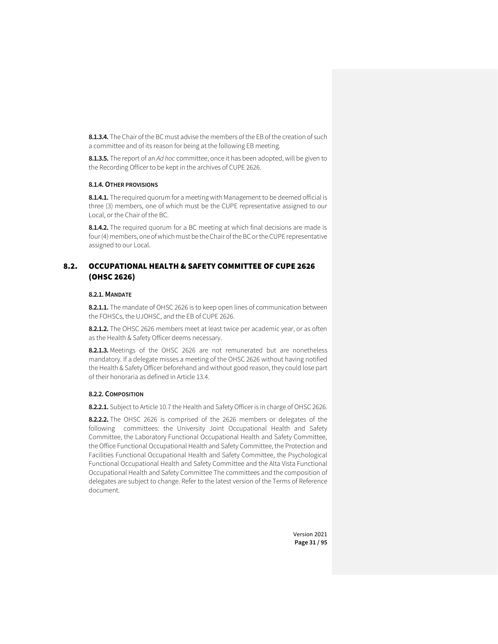8.1.3.4. The Chair of the BC must advise the members of the EB of the creation of such a committee and of its reason for being at the following EB meeting.

**8.1.3.5.** The report of an *Ad hoc* committee, once it has been adopted, will be given to the Recording Officer to be kept in the archives of CUPE 2626.

### **8.1.4. OTHER PROVISIONS**

**8.1.4.1.** The required quorum for a meeting with Management to be deemed official is three (3) members, one of which must be the CUPE representative assigned to our Local, or the Chair of the BC.

**8.1.4.2.** The required quorum for a BC meeting at which final decisions are made is four (4) members, one of which must be the Chair of the BC or the CUPE representative assigned to our Local.

# <span id="page-30-0"></span>8.2. OCCUPATIONAL HEALTH & SAFETY COMMITTEE OF CUPE 2626 (OHSC 2626)

# **8.2.1. MANDATE**

**8.2.1.1.** The mandate of OHSC 2626 is to keep open lines of communication between the FOHSCs, the UJOHSC, and the EB of CUPE 2626.

**8.2.1.2.** The OHSC 2626 members meet at least twice per academic year, or as often as the Health & Safety Officer deems necessary.

**8.2.1.3.** Meetings of the OHSC 2626 are not remunerated but are nonetheless mandatory. If a delegate misses a meeting of the OHSC 2626 without having notified the Health & Safety Officer beforehand and without good reason, they could lose part of their honoraria as defined in Article 13.4.

# **8.2.2. COMPOSITION**

**8.2.2.1.** Subject to Article 10.7 the Health and Safety Officer is in charge of OHSC 2626.

**8.2.2.2.** The OHSC 2626 is comprised of the 2626 members or delegates of the following committees: the University Joint Occupational Health and Safety Committee, the Laboratory Functional Occupational Health and Safety Committee, the Office Functional Occupational Health and Safety Committee, the Protection and Facilities Functional Occupational Health and Safety Committee, the Psychological Functional Occupational Health and Safety Committee and the Alta Vista Functional Occupational Health and Safety Committee The committees and the composition of delegates are subject to change. Refer to the latest version of the Terms of Reference document.

> Version 2021 **Page 31 / 95**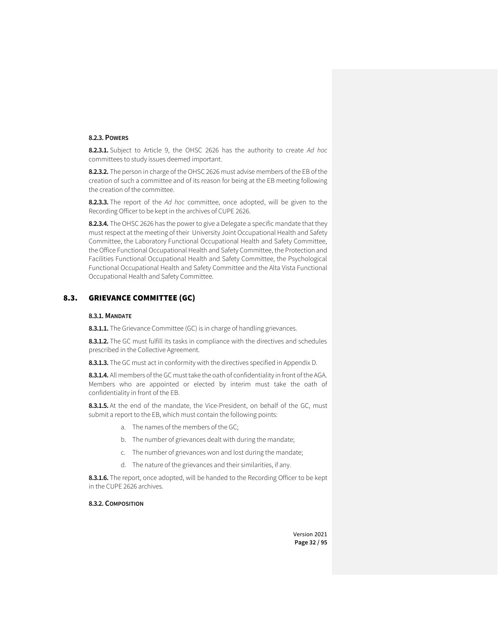#### **8.2.3. POWERS**

**8.2.3.1.** Subject to Article 9, the OHSC 2626 has the authority to create *Ad hoc* committees to study issues deemed important.

**8.2.3.2.** The person in charge of the OHSC 2626 must advise members of the EB of the creation of such a committee and of its reason for being at the EB meeting following the creation of the committee.

**8.2.3.3.** The report of the *Ad hoc* committee, once adopted, will be given to the Recording Officer to be kept in the archives of CUPE 2626.

**8.2.3.4.** The OHSC 2626 has the power to give a Delegate a specific mandate that they must respect at the meeting of their University Joint Occupational Health and Safety Committee, the Laboratory Functional Occupational Health and Safety Committee, the Office Functional Occupational Health and Safety Committee, the Protection and Facilities Functional Occupational Health and Safety Committee, the Psychological Functional Occupational Health and Safety Committee and the Alta Vista Functional Occupational Health and Safety Committee.

# <span id="page-31-0"></span>8.3. GRIEVANCE COMMITTEE (GC)

### **8.3.1. MANDATE**

**8.3.1.1.** The Grievance Committee (GC) is in charge of handling grievances.

**8.3.1.2.** The GC must fulfill its tasks in compliance with the directives and schedules prescribed in the Collective Agreement.

**8.3.1.3.** The GC must act in conformity with the directives specified in Appendix D.

**8.3.1.4.** All members of the GC must take the oath of confidentiality in front of the AGA. Members who are appointed or elected by interim must take the oath of confidentiality in front of the EB.

**8.3.1.5.** At the end of the mandate, the Vice-President, on behalf of the GC, must submit a report to the EB, which must contain the following points:

- a. The names of the members of the GC;
- b. The number of grievances dealt with during the mandate;
- c. The number of grievances won and lost during the mandate;
- d. The nature of the grievances and their similarities, if any.

8.3.1.6. The report, once adopted, will be handed to the Recording Officer to be kept in the CUPE 2626 archives.

#### **8.3.2. COMPOSITION**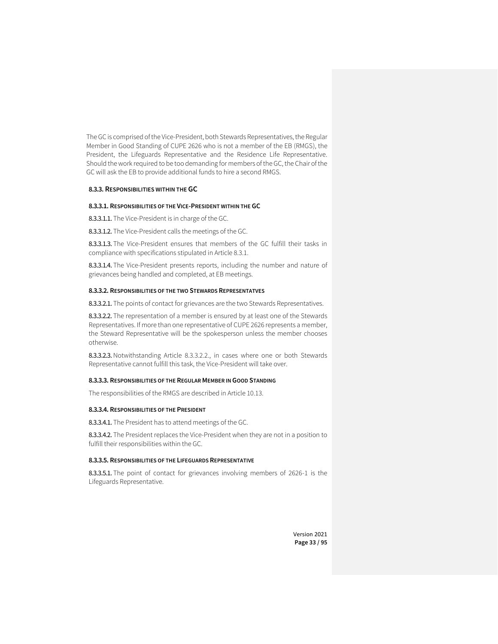The GC is comprised of the Vice-President, both Stewards Representatives, the Regular Member in Good Standing of CUPE 2626 who is not a member of the EB (RMGS), the President, the Lifeguards Representative and the Residence Life Representative. Should the work required to be too demanding for members of the GC, the Chair of the GC will ask the EB to provide additional funds to hire a second RMGS.

#### **8.3.3. RESPONSIBILITIES WITHIN THE GC**

#### **8.3.3.1. RESPONSIBILITIES OF THE VICE-PRESIDENT WITHIN THE GC**

8.3.3.1.1. The Vice-President is in charge of the GC.

8.3.3.1.2. The Vice-President calls the meetings of the GC.

8.3.3.1.3. The Vice-President ensures that members of the GC fulfill their tasks in compliance with specifications stipulated in Article 8.3.1.

8.3.3.1.4. The Vice-President presents reports, including the number and nature of grievances being handled and completed, at EB meetings.

### **8.3.3.2. RESPONSIBILITIES OF THE TWO STEWARDS REPRESENTATVES**

8.3.3.2.1. The points of contact for grievances are the two Stewards Representatives.

8.3.3.2.2. The representation of a member is ensured by at least one of the Stewards Representatives. If more than one representative of CUPE 2626 represents a member, the Steward Representative will be the spokesperson unless the member chooses otherwise.

8.3.3.2.3. Notwithstanding Article 8.3.3.2.2., in cases where one or both Stewards Representative cannot fulfill this task, the Vice-President will take over.

### **8.3.3.3. RESPONSIBILITIES OF THE REGULAR MEMBER IN GOOD STANDING**

The responsibilities of the RMGS are described in Article 10.13.

#### **8.3.3.4. RESPONSIBILITIES OF THE PRESIDENT**

8.3.3.4.1. The President has to attend meetings of the GC.

8.3.3.4.2. The President replaces the Vice-President when they are not in a position to fulfill their responsibilities within the GC.

### **8.3.3.5. RESPONSIBILITIES OF THE LIFEGUARDS REPRESENTATIVE**

8.3.3.5.1. The point of contact for grievances involving members of 2626-1 is the Lifeguards Representative.

> Version 2021 **Page 33 / 95**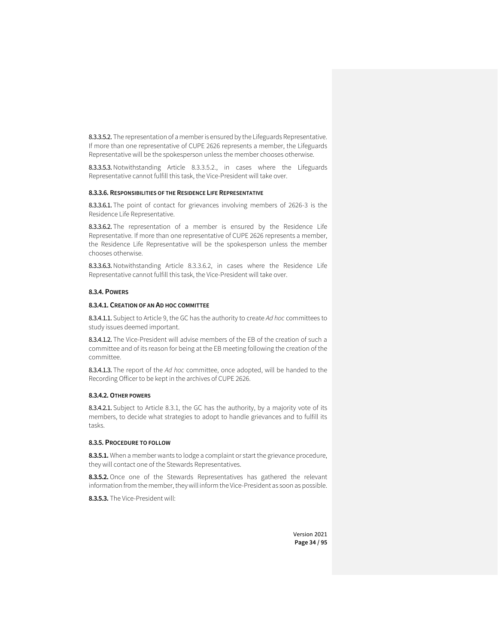8.3.3.5.2. The representation of a member is ensured by the Lifeguards Representative. If more than one representative of CUPE 2626 represents a member, the Lifeguards Representative will be the spokesperson unless the member chooses otherwise.

8.3.3.5.3. Notwithstanding Article 8.3.3.5.2., in cases where the Lifeguards Representative cannot fulfill this task, the Vice-President will take over.

#### **8.3.3.6. RESPONSIBILITIES OF THE RESIDENCE LIFE REPRESENTATIVE**

8.3.3.6.1. The point of contact for grievances involving members of 2626-3 is the Residence Life Representative.

8.3.3.6.2. The representation of a member is ensured by the Residence Life Representative. If more than one representative of CUPE 2626 represents a member, the Residence Life Representative will be the spokesperson unless the member chooses otherwise.

8.3.3.6.3. Notwithstanding Article 8.3.3.6.2, in cases where the Residence Life Representative cannot fulfill this task, the Vice-President will take over.

### **8.3.4. POWERS**

#### **8.3.4.1. CREATION OF AN AD HOC COMMITTEE**

8.3.4.1.1. Subject to Article 9, the GC has the authority to create *Ad hoc* committees to study issues deemed important.

8.3.4.1.2. The Vice-President will advise members of the EB of the creation of such a committee and of its reason for being at the EB meeting following the creation of the committee.

8.3.4.1.3. The report of the *Ad hoc* committee, once adopted, will be handed to the Recording Officer to be kept in the archives of CUPE 2626.

### **8.3.4.2. OTHER POWERS**

8.3.4.2.1. Subject to Article 8.3.1, the GC has the authority, by a majority vote of its members, to decide what strategies to adopt to handle grievances and to fulfill its tasks.

### **8.3.5. PROCEDURE TO FOLLOW**

**8.3.5.1.** When a member wants to lodge a complaint or start the grievance procedure, they will contact one of the Stewards Representatives.

**8.3.5.2.** Once one of the Stewards Representatives has gathered the relevant information from the member, they will inform the Vice-President as soon as possible.

**8.3.5.3.** The Vice-President will: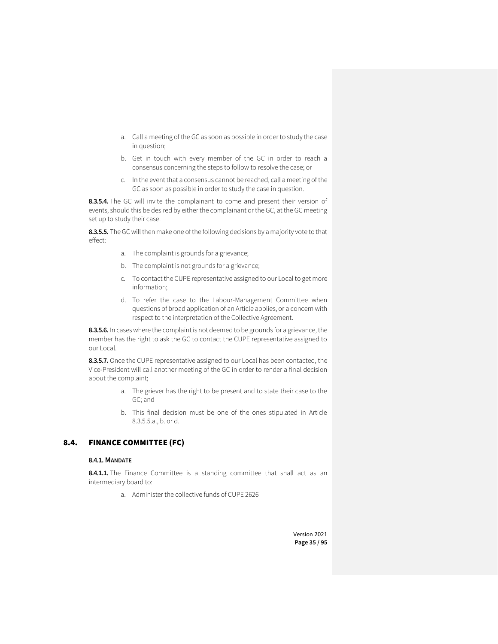- a. Call a meeting of the GC as soon as possible in order to study the case in question;
- b. Get in touch with every member of the GC in order to reach a consensus concerning the steps to follow to resolve the case; or
- c. In the event that a consensus cannot be reached, call a meeting of the GC as soon as possible in order to study the case in question.

**8.3.5.4.** The GC will invite the complainant to come and present their version of events, should this be desired by either the complainant or the GC, at the GC meeting set up to study their case.

**8.3.5.5.** The GC will then make one of the following decisions by a majority vote to that effect:

- a. The complaint is grounds for a grievance;
- b. The complaint is not grounds for a grievance;
- c. To contact the CUPE representative assigned to our Local to get more information;
- d. To refer the case to the Labour-Management Committee when questions of broad application of an Article applies, or a concern with respect to the interpretation of the Collective Agreement.

**8.3.5.6.** In cases where the complaint is not deemed to be grounds for a grievance, the member has the right to ask the GC to contact the CUPE representative assigned to our Local.

**8.3.5.7.** Once the CUPE representative assigned to our Local has been contacted, the Vice-President will call another meeting of the GC in order to render a final decision about the complaint;

- a. The griever has the right to be present and to state their case to the GC; and
- b. This final decision must be one of the ones stipulated in Article 8.3.5.5.a., b. or d.

# <span id="page-34-0"></span>8.4. FINANCE COMMITTEE (FC)

### **8.4.1. MANDATE**

**8.4.1.1.** The Finance Committee is a standing committee that shall act as an intermediary board to:

a. Administer the collective funds of CUPE 2626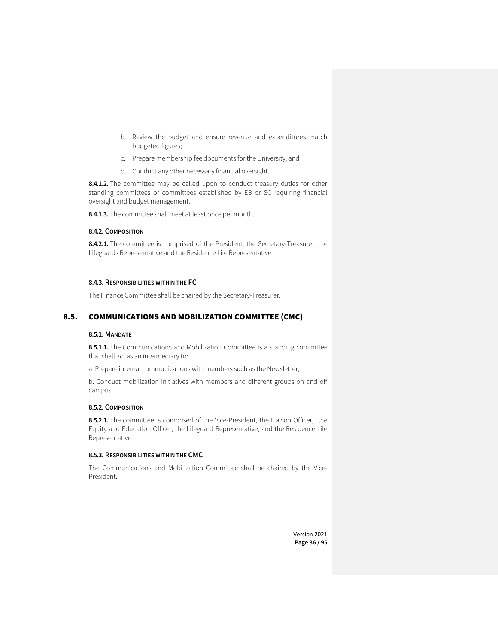- b. Review the budget and ensure revenue and expenditures match budgeted figures;
- c. Prepare membership fee documents for the University; and
- d. Conduct any other necessary financial oversight.

8.4.1.2. The committee may be called upon to conduct treasury duties for other standing committees or committees established by EB or SC requiring financial oversight and budget management.

**8.4.1.3.** The committee shall meet at least once per month.

### **8.4.2. COMPOSITION**

**8.4.2.1.** The committee is comprised of the President, the Secretary-Treasurer, the Lifeguards Representative and the Residence Life Representative.

# **8.4.3. RESPONSIBILITIES WITHIN THE FC**

The Finance Committee shall be chaired by the Secretary-Treasurer.

# <span id="page-35-0"></span>8.5. COMMUNICATIONS AND MOBILIZATION COMMITTEE (CMC)

### **8.5.1. MANDATE**

**8.5.1.1.** The Communications and Mobilization Committee is a standing committee that shall act as an intermediary to:

a. Prepare internal communications with members such as the Newsletter;

b. Conduct mobilization initiatives with members and different groups on and off campus

### **8.5.2. COMPOSITION**

**8.5.2.1.** The committee is comprised of the Vice-President, the Liaison Officer, the Equity and Education Officer, the Lifeguard Representative, and the Residence Life Representative.

### **8.5.3. RESPONSIBILITIES WITHIN THE CMC**

The Communications and Mobilization Committee shall be chaired by the Vice-President.

> Version 2021 **Page 36 / 95**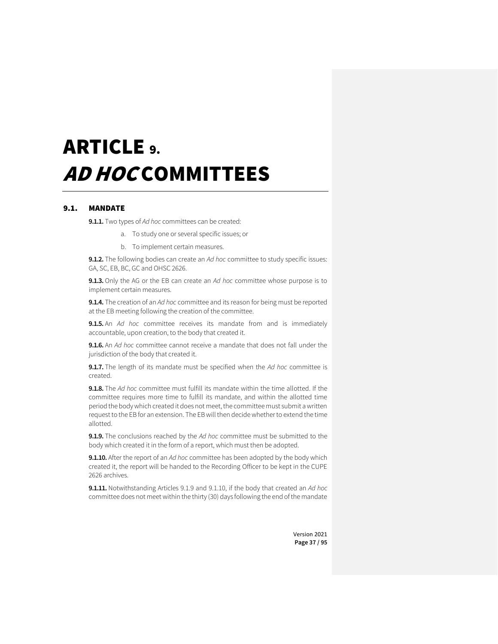# ARTICLE 9. AD HOC COMMITTEES

#### 9.1. MANDATE

**9.1.1.** Two types of *Ad hoc* committees can be created:

- a. To study one or several specific issues; or
- b. To implement certain measures.

**9.1.2.** The following bodies can create an *Ad hoc* committee to study specific issues: GA, SC, EB, BC, GC and OHSC 2626.

**9.1.3.** Only the AG or the EB can create an *Ad hoc* committee whose purpose is to implement certain measures.

**9.1.4.** The creation of an *Ad hoc* committee and its reason for being must be reported at the EB meeting following the creation of the committee.

**9.1.5.** An *Ad hoc* committee receives its mandate from and is immediately accountable, upon creation, to the body that created it.

**9.1.6.** An *Ad hoc* committee cannot receive a mandate that does not fall under the jurisdiction of the body that created it.

**9.1.7.** The length of its mandate must be specified when the *Ad hoc* committee is created.

**9.1.8.** The *Ad hoc* committee must fulfill its mandate within the time allotted. If the committee requires more time to fulfill its mandate, and within the allotted time period the body which created it does not meet, the committee must submit a written request to the EB for an extension. The EB will then decide whether to extend the time allotted.

**9.1.9.** The conclusions reached by the *Ad hoc* committee must be submitted to the body which created it in the form of a report, which must then be adopted.

**9.1.10.** After the report of an *Ad hoc* committee has been adopted by the body which created it, the report will be handed to the Recording Officer to be kept in the CUPE 2626 archives.

**9.1.11.** Notwithstanding Articles 9.1.9 and 9.1.10, if the body that created an *Ad hoc* committee does not meet within the thirty (30) days following the end of the mandate

> Version 2021 **Page 37 / 95**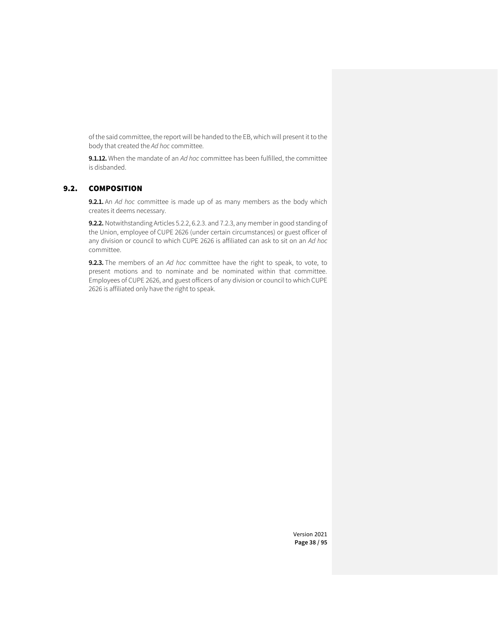of the said committee, the report will be handed to the EB, which will present it to the body that created the *Ad hoc* committee.

**9.1.12.** When the mandate of an *Ad hoc* committee has been fulfilled, the committee is disbanded.

# 9.2. COMPOSITION

**9.2.1.** An *Ad hoc* committee is made up of as many members as the body which creates it deems necessary.

**9.2.2.** Notwithstanding Articles 5.2.2, 6.2.3. and 7.2.3, any member in good standing of the Union, employee of CUPE 2626 (under certain circumstances) or guest officer of any division or council to which CUPE 2626 is affiliated can ask to sit on an *Ad hoc* committee.

**9.2.3.** The members of an *Ad hoc* committee have the right to speak, to vote, to present motions and to nominate and be nominated within that committee. Employees of CUPE 2626, and guest officers of any division or council to which CUPE 2626 is affiliated only have the right to speak.

> Version 2021 **Page 38 / 95**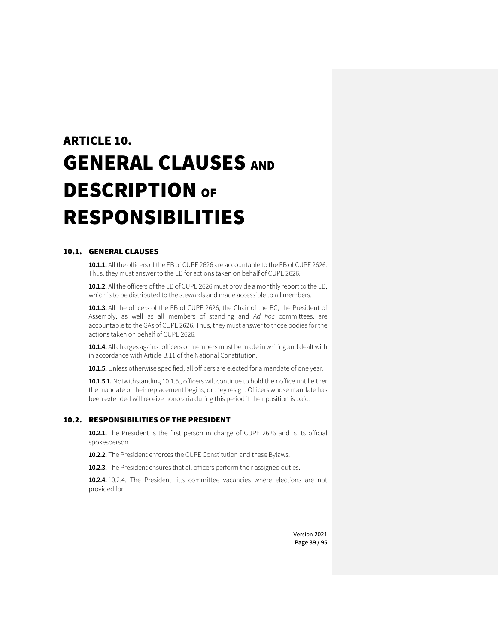# ARTICLE 10. **GENERAL CLAUSES AND** DESCRIPTION OF RESPONSIBILITIES

### 10.1. GENERAL CLAUSES

**10.1.1.** All the officers of the EB of CUPE 2626 are accountable to the EB of CUPE 2626. Thus, they must answer to the EB for actions taken on behalf of CUPE 2626.

**10.1.2.** All the officers of the EB of CUPE 2626 must provide a monthly report to the EB, which is to be distributed to the stewards and made accessible to all members.

**10.1.3.** All the officers of the EB of CUPE 2626, the Chair of the BC, the President of Assembly, as well as all members of standing and *Ad hoc* committees, are accountable to the GAs of CUPE 2626. Thus, they must answer to those bodies for the actions taken on behalf of CUPE 2626.

**10.1.4.** All charges against officers or members must be made in writing and dealt with in accordance with Article B.11 of the National Constitution.

**10.1.5.** Unless otherwise specified, all officers are elected for a mandate of one year.

**10.1.5.1.** Notwithstanding 10.1.5., officers will continue to hold their office until either the mandate of their replacement begins, or they resign. Officers whose mandate has been extended will receive honoraria during this period if their position is paid.

#### 10.2. RESPONSIBILITIES OF THE PRESIDENT

**10.2.1.** The President is the first person in charge of CUPE 2626 and is its official spokesperson.

**10.2.2.** The President enforces the CUPE Constitution and these Bylaws.

**10.2.3.** The President ensures that all officers perform their assigned duties.

**10.2.4.** 10.2.4. The President fills committee vacancies where elections are not provided for.

> Version 2021 **Page 39 / 95**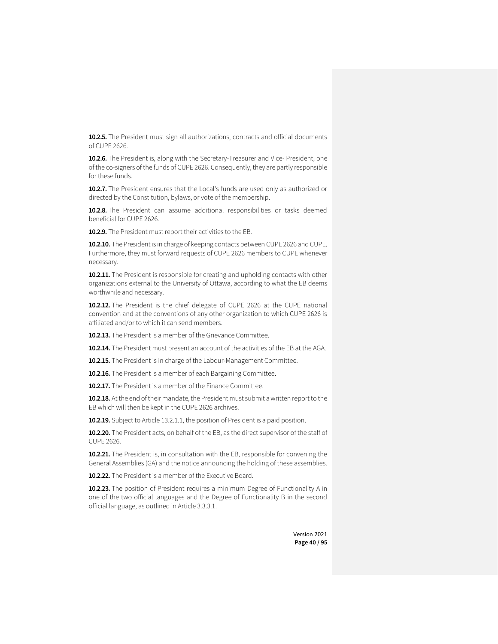**10.2.5.** The President must sign all authorizations, contracts and official documents of CUPE 2626.

**10.2.6.** The President is, along with the Secretary-Treasurer and Vice- President, one of the co-signers of the funds of CUPE 2626. Consequently, they are partly responsible for these funds.

**10.2.7.** The President ensures that the Local's funds are used only as authorized or directed by the Constitution, bylaws, or vote of the membership.

**10.2.8.** The President can assume additional responsibilities or tasks deemed beneficial for CUPE 2626.

**10.2.9.** The President must report their activities to the EB.

**10.2.10.** The President is in charge of keeping contacts between CUPE 2626 and CUPE. Furthermore, they must forward requests of CUPE 2626 members to CUPE whenever necessary.

**10.2.11.** The President is responsible for creating and upholding contacts with other organizations external to the University of Ottawa, according to what the EB deems worthwhile and necessary.

**10.2.12.** The President is the chief delegate of CUPE 2626 at the CUPE national convention and at the conventions of any other organization to which CUPE 2626 is affiliated and/or to which it can send members.

**10.2.13.** The President is a member of the Grievance Committee.

**10.2.14.** The President must present an account of the activities of the EB at the AGA.

**10.2.15.** The President is in charge of the Labour-Management Committee.

**10.2.16.** The President is a member of each Bargaining Committee.

**10.2.17.** The President is a member of the Finance Committee.

**10.2.18.** At the end of their mandate, the President must submit a written report to the EB which will then be kept in the CUPE 2626 archives.

**10.2.19.** Subject to Article 13.2.1.1, the position of President is a paid position.

**10.2.20.** The President acts, on behalf of the EB, as the direct supervisor of the staff of CUPE 2626.

**10.2.21.** The President is, in consultation with the EB, responsible for convening the General Assemblies (GA) and the notice announcing the holding of these assemblies.

**10.2.22.** The President is a member of the Executive Board.

**10.2.23.** The position of President requires a minimum Degree of Functionality A in one of the two official languages and the Degree of Functionality B in the second official language, as outlined in Article 3.3.3.1.

> Version 2021 **Page 40 / 95**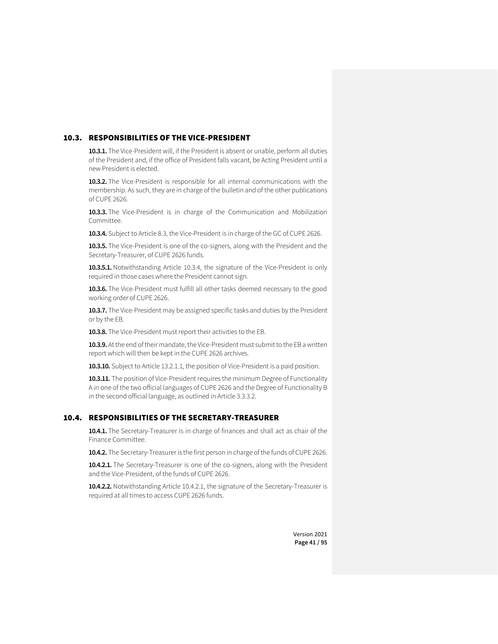#### 10.3. RESPONSIBILITIES OF THE VICE-PRESIDENT

10.3.1. The Vice-President will, if the President is absent or unable, perform all duties of the President and, if the office of President falls vacant, be Acting President until a new President is elected.

**10.3.2.** The Vice-President is responsible for all internal communications with the membership. As such, they are in charge of the bulletin and of the other publications of CUPE 2626.

**10.3.3.** The Vice-President is in charge of the Communication and Mobilization Committee.

**10.3.4.** Subject to Article 8.3, the Vice-President is in charge of the GC of CUPE 2626.

**10.3.5.** The Vice-President is one of the co-signers, along with the President and the Secretary-Treasurer, of CUPE 2626 funds.

**10.3.5.1.** Notwithstanding Article 10.3.4, the signature of the Vice-President is only required in those cases where the President cannot sign.

**10.3.6.** The Vice-President must fulfill all other tasks deemed necessary to the good working order of CUPE 2626.

**10.3.7.** The Vice-President may be assigned specific tasks and duties by the President or by the EB.

**10.3.8.** The Vice-President must report their activities to the EB.

**10.3.9.** At the end of their mandate, the Vice-President must submit to the EB a written report which will then be kept in the CUPE 2626 archives.

**10.3.10.** Subject to Article 13.2.1.1, the position of Vice-President is a paid position.

10.3.11. The position of Vice-President requires the minimum Degree of Functionality A in one of the two official languages of CUPE 2626 and the Degree of Functionality B in the second official language, as outlined in Article 3.3.3.2.

#### 10.4. RESPONSIBILITIES OF THE SECRETARY-TREASURER

**10.4.1.** The Secretary-Treasurer is in charge of finances and shall act as chair of the Finance Committee.

**10.4.2.** The Secretary-Treasurer is the first person in charge of the funds of CUPE 2626.

**10.4.2.1.** The Secretary-Treasurer is one of the co-signers, along with the President and the Vice-President, of the funds of CUPE 2626.

**10.4.2.2.** Notwithstanding Article 10.4.2.1, the signature of the Secretary-Treasurer is required at all times to access CUPE 2626 funds.

> Version 2021 **Page 41 / 95**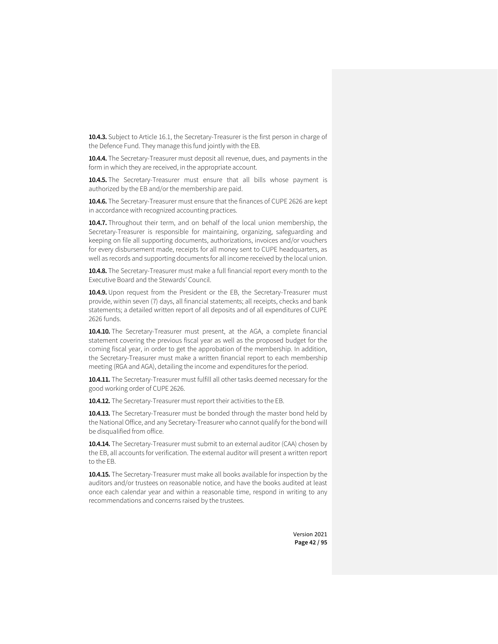**10.4.3.** Subject to Article 16.1, the Secretary-Treasurer is the first person in charge of the Defence Fund. They manage this fund jointly with the EB.

**10.4.4.** The Secretary-Treasurer must deposit all revenue, dues, and payments in the form in which they are received, in the appropriate account.

**10.4.5.** The Secretary-Treasurer must ensure that all bills whose payment is authorized by the EB and/or the membership are paid.

**10.4.6.** The Secretary-Treasurer must ensure that the finances of CUPE 2626 are kept in accordance with recognized accounting practices.

**10.4.7.** Throughout their term, and on behalf of the local union membership, the Secretary-Treasurer is responsible for maintaining, organizing, safeguarding and keeping on file all supporting documents, authorizations, invoices and/or vouchers for every disbursement made, receipts for all money sent to CUPE headquarters, as well as records and supporting documents for all income received by the local union.

**10.4.8.** The Secretary-Treasurer must make a full financial report every month to the Executive Board and the Stewards' Council.

**10.4.9.** Upon request from the President or the EB, the Secretary-Treasurer must provide, within seven (7) days, all financial statements; all receipts, checks and bank statements; a detailed written report of all deposits and of all expenditures of CUPE 2626 funds.

**10.4.10.** The Secretary-Treasurer must present, at the AGA, a complete financial statement covering the previous fiscal year as well as the proposed budget for the coming fiscal year, in order to get the approbation of the membership. In addition, the Secretary-Treasurer must make a written financial report to each membership meeting (RGA and AGA), detailing the income and expenditures for the period.

**10.4.11.** The Secretary-Treasurer must fulfill all other tasks deemed necessary for the good working order of CUPE 2626.

**10.4.12.** The Secretary-Treasurer must report their activities to the EB.

**10.4.13.** The Secretary-Treasurer must be bonded through the master bond held by the National Office, and any Secretary-Treasurer who cannot qualify for the bond will be disqualified from office.

**10.4.14.** The Secretary-Treasurer must submit to an external auditor (CAA) chosen by the EB, all accounts for verification. The external auditor will present a written report to the EB.

**10.4.15.** The Secretary-Treasurer must make all books available for inspection by the auditors and/or trustees on reasonable notice, and have the books audited at least once each calendar year and within a reasonable time, respond in writing to any recommendations and concerns raised by the trustees.

> Version 2021 **Page 42 / 95**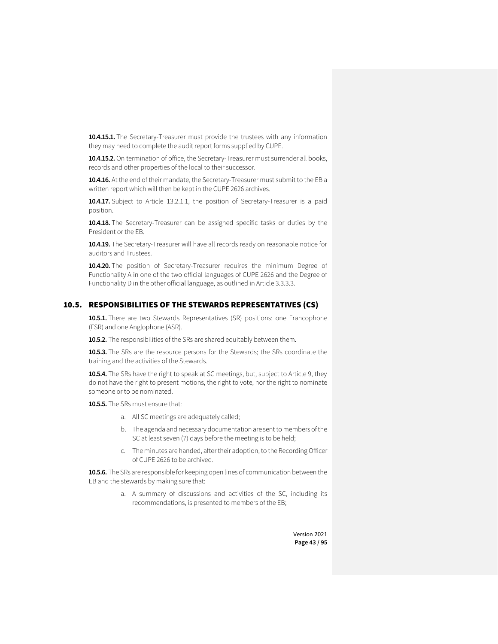**10.4.15.1.** The Secretary-Treasurer must provide the trustees with any information they may need to complete the audit report forms supplied by CUPE.

**10.4.15.2.** On termination of office, the Secretary-Treasurer must surrender all books, records and other properties of the local to their successor.

**10.4.16.** At the end of their mandate, the Secretary-Treasurer must submit to the EB a written report which will then be kept in the CUPE 2626 archives.

**10.4.17.** Subject to Article 13.2.1.1, the position of Secretary-Treasurer is a paid position.

**10.4.18.** The Secretary-Treasurer can be assigned specific tasks or duties by the President or the EB.

**10.4.19.** The Secretary-Treasurer will have all records ready on reasonable notice for auditors and Trustees.

**10.4.20.** The position of Secretary-Treasurer requires the minimum Degree of Functionality A in one of the two official languages of CUPE 2626 and the Degree of Functionality D in the other official language, as outlined in Article 3.3.3.3.

#### 10.5. RESPONSIBILITIES OF THE STEWARDS REPRESENTATIVES (CS)

**10.5.1.** There are two Stewards Representatives (SR) positions: one Francophone (FSR) and one Anglophone (ASR).

**10.5.2.** The responsibilities of the SRs are shared equitably between them.

**10.5.3.** The SRs are the resource persons for the Stewards; the SRs coordinate the training and the activities of the Stewards.

**10.5.4.** The SRs have the right to speak at SC meetings, but, subject to Article 9, they do not have the right to present motions, the right to vote, nor the right to nominate someone or to be nominated.

**10.5.5.** The SRs must ensure that:

- a. All SC meetings are adequately called;
- b. The agenda and necessary documentation are sent to members of the SC at least seven (7) days before the meeting is to be held;
- c. The minutes are handed, after their adoption, to the Recording Officer of CUPE 2626 to be archived.

**10.5.6.** The SRs are responsible for keeping open lines of communication between the EB and the stewards by making sure that:

> a. A summary of discussions and activities of the SC, including its recommendations, is presented to members of the EB;

> > Version 2021 **Page 43 / 95**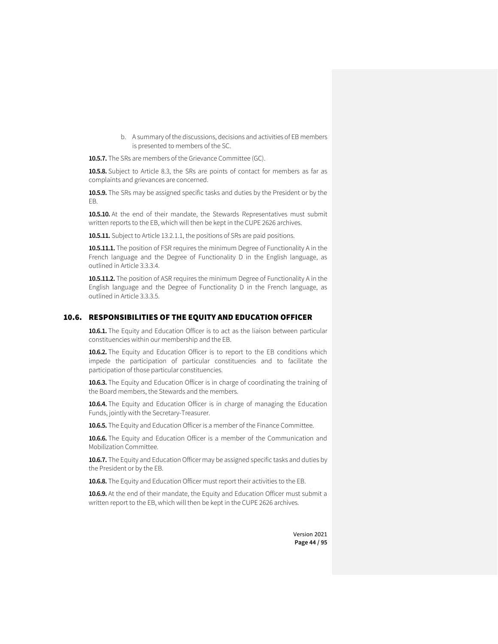b. A summary of the discussions, decisions and activities of EB members is presented to members of the SC.

**10.5.7.** The SRs are members of the Grievance Committee (GC).

**10.5.8.** Subject to Article 8.3, the SRs are points of contact for members as far as complaints and grievances are concerned.

**10.5.9.** The SRs may be assigned specific tasks and duties by the President or by the EB.

**10.5.10.** At the end of their mandate, the Stewards Representatives must submit written reports to the EB, which will then be kept in the CUPE 2626 archives.

10.5.11. Subject to Article 13.2.1.1, the positions of SRs are paid positions.

**10.5.11.1.** The position of FSR requires the minimum Degree of Functionality A in the French language and the Degree of Functionality D in the English language, as outlined in Article 3.3.3.4.

**10.5.11.2.** The position of ASR requires the minimum Degree of Functionality A in the English language and the Degree of Functionality D in the French language, as outlined in Article 3.3.3.5.

#### 10.6. RESPONSIBILITIES OF THE EQUITY AND EDUCATION OFFICER

**10.6.1.** The Equity and Education Officer is to act as the liaison between particular constituencies within our membership and the EB.

**10.6.2.** The Equity and Education Officer is to report to the EB conditions which impede the participation of particular constituencies and to facilitate the participation of those particular constituencies.

**10.6.3.** The Equity and Education Officer is in charge of coordinating the training of the Board members, the Stewards and the members.

**10.6.4.** The Equity and Education Officer is in charge of managing the Education Funds, jointly with the Secretary-Treasurer.

**10.6.5.** The Equity and Education Officer is a member of the Finance Committee.

**10.6.6.** The Equity and Education Officer is a member of the Communication and Mobilization Committee.

**10.6.7.** The Equity and Education Officer may be assigned specific tasks and duties by the President or by the EB.

**10.6.8.** The Equity and Education Officer must report their activities to the EB.

**10.6.9.** At the end of their mandate, the Equity and Education Officer must submit a written report to the EB, which will then be kept in the CUPE 2626 archives.

> Version 2021 **Page 44 / 95**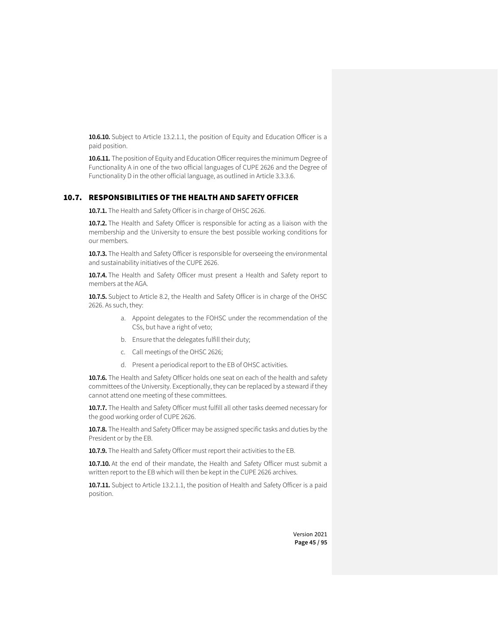**10.6.10.** Subject to Article 13.2.1.1, the position of Equity and Education Officer is a paid position.

**10.6.11.** The position of Equity and Education Officer requires the minimum Degree of Functionality A in one of the two official languages of CUPE 2626 and the Degree of Functionality D in the other official language, as outlined in Article 3.3.3.6.

# 10.7. RESPONSIBILITIES OF THE HEALTH AND SAFETY OFFICER

**10.7.1.** The Health and Safety Officer is in charge of OHSC 2626.

**10.7.2.** The Health and Safety Officer is responsible for acting as a liaison with the membership and the University to ensure the best possible working conditions for our members.

10.7.3. The Health and Safety Officer is responsible for overseeing the environmental and sustainability initiatives of the CUPE 2626.

**10.7.4.** The Health and Safety Officer must present a Health and Safety report to members at the AGA.

**10.7.5.** Subject to Article 8.2, the Health and Safety Officer is in charge of the OHSC 2626. As such, they:

- a. Appoint delegates to the FOHSC under the recommendation of the CSs, but have a right of veto;
- b. Ensure that the delegates fulfill their duty;
- c. Call meetings of the OHSC 2626;
- d. Present a periodical report to the EB of OHSC activities.

**10.7.6.** The Health and Safety Officer holds one seat on each of the health and safety committees of the University. Exceptionally, they can be replaced by a steward if they cannot attend one meeting of these committees.

**10.7.7.** The Health and Safety Officer must fulfill all other tasks deemed necessary for the good working order of CUPE 2626.

**10.7.8.** The Health and Safety Officer may be assigned specific tasks and duties by the President or by the EB.

**10.7.9.** The Health and Safety Officer must report their activities to the EB.

**10.7.10.** At the end of their mandate, the Health and Safety Officer must submit a written report to the EB which will then be kept in the CUPE 2626 archives.

**10.7.11.** Subject to Article 13.2.1.1, the position of Health and Safety Officer is a paid position.

> Version 2021 **Page 45 / 95**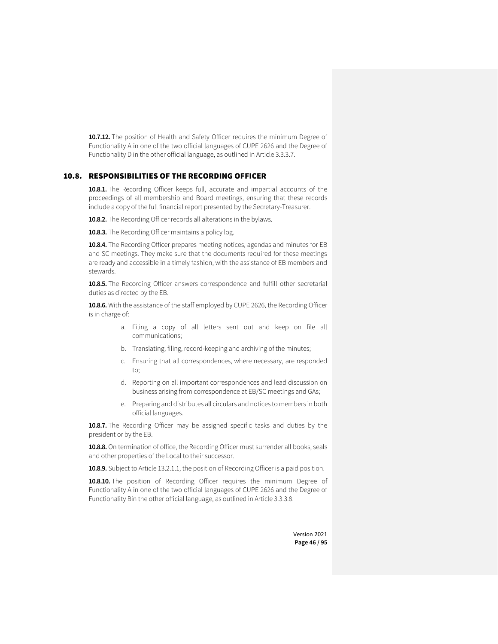**10.7.12.** The position of Health and Safety Officer requires the minimum Degree of Functionality A in one of the two official languages of CUPE 2626 and the Degree of Functionality D in the other official language, as outlined in Article 3.3.3.7.

#### 10.8. RESPONSIBILITIES OF THE RECORDING OFFICER

**10.8.1.** The Recording Officer keeps full, accurate and impartial accounts of the proceedings of all membership and Board meetings, ensuring that these records include a copy of the full financial report presented by the Secretary-Treasurer.

**10.8.2.** The Recording Officer records all alterations in the bylaws.

**10.8.3.** The Recording Officer maintains a policy log.

**10.8.4.** The Recording Officer prepares meeting notices, agendas and minutes for EB and SC meetings. They make sure that the documents required for these meetings are ready and accessible in a timely fashion, with the assistance of EB members and stewards.

**10.8.5.** The Recording Officer answers correspondence and fulfill other secretarial duties as directed by the EB.

**10.8.6.** With the assistance of the staff employed by CUPE 2626, the Recording Officer is in charge of:

- a. Filing a copy of all letters sent out and keep on file all communications;
- b. Translating, filing, record-keeping and archiving of the minutes;
- c. Ensuring that all correspondences, where necessary, are responded to;
- d. Reporting on all important correspondences and lead discussion on business arising from correspondence at EB/SC meetings and GAs;
- e. Preparing and distributes all circulars and notices to members in both official languages.

**10.8.7.** The Recording Officer may be assigned specific tasks and duties by the president or by the EB.

**10.8.8.** On termination of office, the Recording Officer must surrender all books, seals and other properties of the Local to their successor.

**10.8.9.** Subject to Article 13.2.1.1, the position of Recording Officer is a paid position.

**10.8.10.** The position of Recording Officer requires the minimum Degree of Functionality A in one of the two official languages of CUPE 2626 and the Degree of Functionality Bin the other official language, as outlined in Article 3.3.3.8.

> Version 2021 **Page 46 / 95**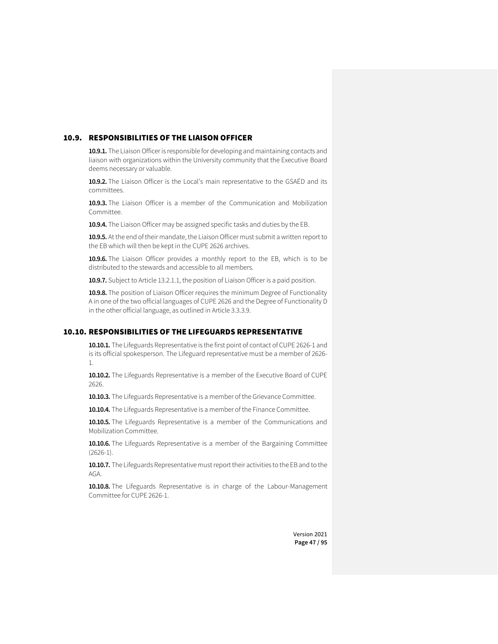### 10.9. RESPONSIBILITIES OF THE LIAISON OFFICER

**10.9.1.** The Liaison Officer is responsible for developing and maintaining contacts and liaison with organizations within the University community that the Executive Board deems necessary or valuable.

**10.9.2.** The Liaison Officer is the Local's main representative to the GSAÉD and its committees.

**10.9.3.** The Liaison Officer is a member of the Communication and Mobilization Committee.

**10.9.4.** The Liaison Officer may be assigned specific tasks and duties by the EB.

**10.9.5.** At the end of their mandate, the Liaison Officer must submit a written report to the EB which will then be kept in the CUPE 2626 archives.

**10.9.6.** The Liaison Officer provides a monthly report to the EB, which is to be distributed to the stewards and accessible to all members.

**10.9.7.** Subject to Article 13.2.1.1, the position of Liaison Officer is a paid position.

**10.9.8.** The position of Liaison Officer requires the minimum Degree of Functionality A in one of the two official languages of CUPE 2626 and the Degree of Functionality D in the other official language, as outlined in Article 3.3.3.9.

### 10.10. RESPONSIBILITIES OF THE LIFEGUARDS REPRESENTATIVE

**10.10.1.** The Lifeguards Representative is the first point of contact of CUPE 2626-1 and is its official spokesperson. The Lifeguard representative must be a member of 2626- 1.

**10.10.2.** The Lifeguards Representative is a member of the Executive Board of CUPE 2626.

**10.10.3.** The Lifeguards Representative is a member of the Grievance Committee.

**10.10.4.** The Lifeguards Representative is a member of the Finance Committee.

**10.10.5.** The Lifeguards Representative is a member of the Communications and Mobilization Committee.

**10.10.6.** The Lifeguards Representative is a member of the Bargaining Committee (2626-1).

**10.10.7.** The Lifeguards Representative must report their activities to the EB and to the AGA.

**10.10.8.** The Lifeguards Representative is in charge of the Labour-Management Committee for CUPE 2626-1.

> Version 2021 **Page 47 / 95**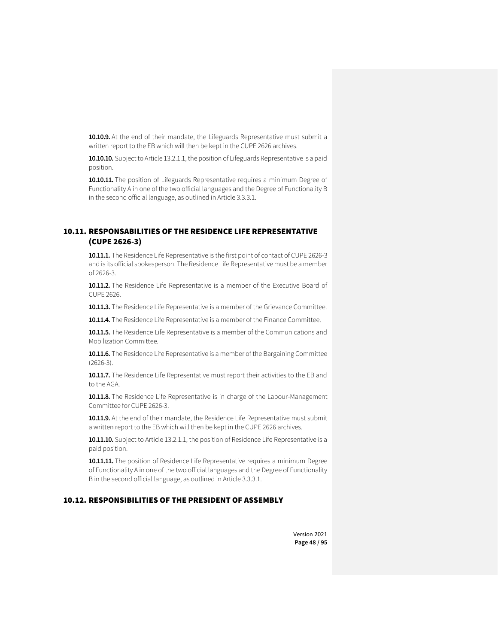**10.10.9.** At the end of their mandate, the Lifeguards Representative must submit a written report to the EB which will then be kept in the CUPE 2626 archives.

**10.10.10.** Subject to Article 13.2.1.1, the position of Lifeguards Representative is a paid position.

**10.10.11.** The position of Lifeguards Representative requires a minimum Degree of Functionality A in one of the two official languages and the Degree of Functionality B in the second official language, as outlined in Article 3.3.3.1.

# 10.11. RESPONSABILITIES OF THE RESIDENCE LIFE REPRESENTATIVE (CUPE 2626-3)

**10.11.1.** The Residence Life Representative is the first point of contact of CUPE 2626-3 and is its official spokesperson. The Residence Life Representative must be a member of 2626-3.

**10.11.2.** The Residence Life Representative is a member of the Executive Board of CUPE 2626.

**10.11.3.** The Residence Life Representative is a member of the Grievance Committee.

**10.11.4.** The Residence Life Representative is a member of the Finance Committee.

**10.11.5.** The Residence Life Representative is a member of the Communications and Mobilization Committee.

**10.11.6.** The Residence Life Representative is a member of the Bargaining Committee (2626-3).

10.11.7. The Residence Life Representative must report their activities to the EB and to the AGA.

**10.11.8.** The Residence Life Representative is in charge of the Labour-Management Committee for CUPE 2626-3.

**10.11.9.** At the end of their mandate, the Residence Life Representative must submit a written report to the EB which will then be kept in the CUPE 2626 archives.

10.11.10. Subject to Article 13.2.1.1, the position of Residence Life Representative is a paid position.

**10.11.11.** The position of Residence Life Representative requires a minimum Degree of Functionality A in one of the two official languages and the Degree of Functionality B in the second official language, as outlined in Article 3.3.3.1.

# 10.12. RESPONSIBILITIES OF THE PRESIDENT OF ASSEMBLY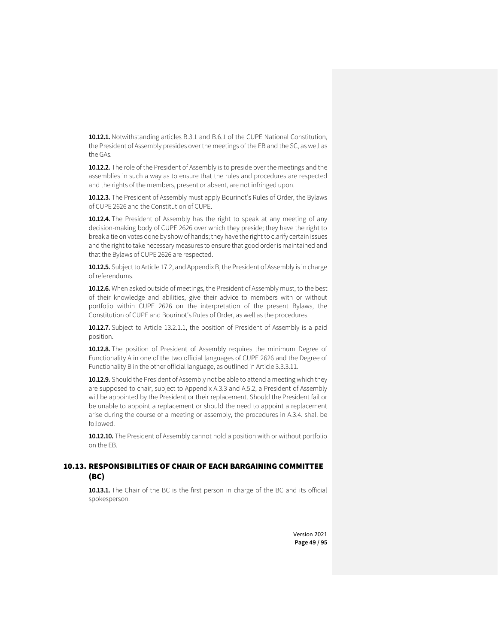**10.12.1.** Notwithstanding articles B.3.1 and B.6.1 of the CUPE National Constitution, the President of Assembly presides over the meetings of the EB and the SC, as well as the GAs.

**10.12.2.** The role of the President of Assembly is to preside over the meetings and the assemblies in such a way as to ensure that the rules and procedures are respected and the rights of the members, present or absent, are not infringed upon.

**10.12.3.** The President of Assembly must apply Bourinot's Rules of Order, the Bylaws of CUPE 2626 and the Constitution of CUPE.

**10.12.4.** The President of Assembly has the right to speak at any meeting of any decision-making body of CUPE 2626 over which they preside; they have the right to break a tie on votes done by show of hands; they have the right to clarify certain issues and the right to take necessary measures to ensure that good order is maintained and that the Bylaws of CUPE 2626 are respected.

10.12.5. Subject to Article 17.2, and Appendix B, the President of Assembly is in charge of referendums.

**10.12.6.** When asked outside of meetings, the President of Assembly must, to the best of their knowledge and abilities, give their advice to members with or without portfolio within CUPE 2626 on the interpretation of the present Bylaws, the Constitution of CUPE and Bourinot's Rules of Order, as well as the procedures.

10.12.7. Subject to Article 13.2.1.1, the position of President of Assembly is a paid position.

**10.12.8.** The position of President of Assembly requires the minimum Degree of Functionality A in one of the two official languages of CUPE 2626 and the Degree of Functionality B in the other official language, as outlined in Article 3.3.3.11.

**10.12.9.** Should the President of Assembly not be able to attend a meeting which they are supposed to chair, subject to Appendix A.3.3 and A.5.2, a President of Assembly will be appointed by the President or their replacement. Should the President fail or be unable to appoint a replacement or should the need to appoint a replacement arise during the course of a meeting or assembly, the procedures in A.3.4. shall be followed.

**10.12.10.** The President of Assembly cannot hold a position with or without portfolio on the EB.

# 10.13. RESPONSIBILITIES OF CHAIR OF EACH BARGAINING COMMITTEE (BC)

**10.13.1.** The Chair of the BC is the first person in charge of the BC and its official spokesperson.

> Version 2021 **Page 49 / 95**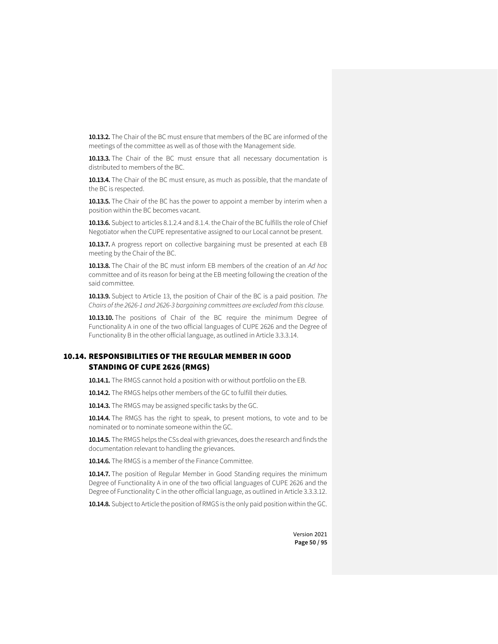**10.13.2.** The Chair of the BC must ensure that members of the BC are informed of the meetings of the committee as well as of those with the Management side.

**10.13.3.** The Chair of the BC must ensure that all necessary documentation is distributed to members of the BC.

**10.13.4.** The Chair of the BC must ensure, as much as possible, that the mandate of the BC is respected.

**10.13.5.** The Chair of the BC has the power to appoint a member by interim when a position within the BC becomes vacant.

**10.13.6.** Subject to articles 8.1.2.4 and 8.1.4. the Chair of the BC fulfills the role of Chief Negotiator when the CUPE representative assigned to our Local cannot be present.

**10.13.7.** A progress report on collective bargaining must be presented at each EB meeting by the Chair of the BC.

**10.13.8.** The Chair of the BC must inform EB members of the creation of an *Ad hoc* committee and of its reason for being at the EB meeting following the creation of the said committee.

**10.13.9.** Subject to Article 13, the position of Chair of the BC is a paid position. *The Chairs of the 2626-1 and 2626-3 bargaining committees are excluded from this clause.*

**10.13.10.** The positions of Chair of the BC require the minimum Degree of Functionality A in one of the two official languages of CUPE 2626 and the Degree of Functionality B in the other official language, as outlined in Article 3.3.3.14.

## 10.14. RESPONSIBILITIES OF THE REGULAR MEMBER IN GOOD STANDING OF CUPE 2626 (RMGS)

**10.14.1.** The RMGS cannot hold a position with or without portfolio on the EB.

**10.14.2.** The RMGS helps other members of the GC to fulfill their duties.

**10.14.3.** The RMGS may be assigned specific tasks by the GC.

**10.14.4.** The RMGS has the right to speak, to present motions, to vote and to be nominated or to nominate someone within the GC.

**10.14.5.** The RMGS helps the CSs deal with grievances, does the research and finds the documentation relevant to handling the grievances.

**10.14.6.** The RMGS is a member of the Finance Committee.

10.14.7. The position of Regular Member in Good Standing requires the minimum Degree of Functionality A in one of the two official languages of CUPE 2626 and the Degree of Functionality C in the other official language, as outlined in Article 3.3.3.12.

**10.14.8.** Subject to Article the position of RMGS is the only paid position within the GC.

Version 2021 **Page 50 / 95**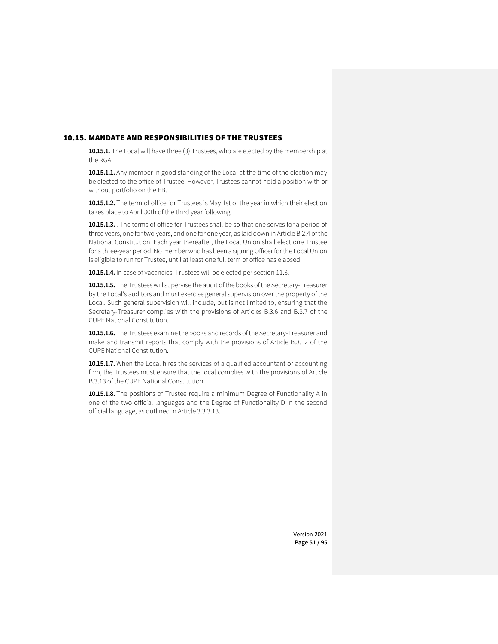# 10.15. MANDATE AND RESPONSIBILITIES OF THE TRUSTEES

**10.15.1.** The Local will have three (3) Trustees, who are elected by the membership at the RGA.

10.15.1.1. Any member in good standing of the Local at the time of the election may be elected to the office of Trustee. However, Trustees cannot hold a position with or without portfolio on the EB.

10.15.1.2. The term of office for Trustees is May 1st of the year in which their election takes place to April 30th of the third year following.

**10.15.1.3.** . The terms of office for Trustees shall be so that one serves for a period of three years, one for two years, and one for one year, as laid down in Article B.2.4 of the National Constitution. Each year thereafter, the Local Union shall elect one Trustee for a three-year period. No member who has been a signing Officer for the Local Union is eligible to run for Trustee, until at least one full term of office has elapsed.

**10.15.1.4.** In case of vacancies, Trustees will be elected per section 11.3.

**10.15.1.5.** The Trustees will supervise the audit of the books of the Secretary-Treasurer by the Local's auditors and must exercise general supervision over the property of the Local. Such general supervision will include, but is not limited to, ensuring that the Secretary-Treasurer complies with the provisions of Articles B.3.6 and B.3.7 of the CUPE National Constitution.

**10.15.1.6.** The Trustees examine the books and records of the Secretary-Treasurer and make and transmit reports that comply with the provisions of Article B.3.12 of the CUPE National Constitution.

10.15.1.7. When the Local hires the services of a qualified accountant or accounting firm, the Trustees must ensure that the local complies with the provisions of Article B.3.13 of the CUPE National Constitution.

**10.15.1.8.** The positions of Trustee require a minimum Degree of Functionality A in one of the two official languages and the Degree of Functionality D in the second official language, as outlined in Article 3.3.3.13.

> Version 2021 **Page 51 / 95**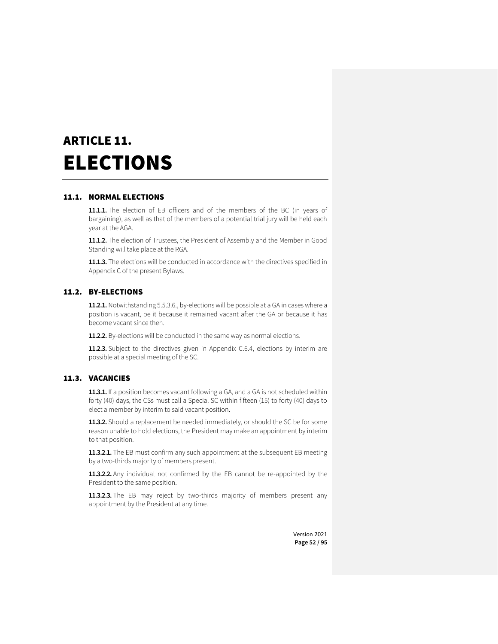# ARTICLE 11. ELECTIONS

# 11.1. NORMAL ELECTIONS

**11.1.1.** The election of EB officers and of the members of the BC (in years of bargaining), as well as that of the members of a potential trial jury will be held each year at the AGA.

**11.1.2.** The election of Trustees, the President of Assembly and the Member in Good Standing will take place at the RGA.

11.1.3. The elections will be conducted in accordance with the directives specified in Appendix C of the present Bylaws.

## 11.2. BY-ELECTIONS

**11.2.1.** Notwithstanding 5.5.3.6., by-elections will be possible at a GA in cases where a position is vacant, be it because it remained vacant after the GA or because it has become vacant since then.

**11.2.2.** By-elections will be conducted in the same way as normal elections.

11.2.3. Subject to the directives given in Appendix C.6.4, elections by interim are possible at a special meeting of the SC.

### 11.3. VACANCIES

**11.3.1.** If a position becomes vacant following a GA, and a GA is not scheduled within forty (40) days, the CSs must call a Special SC within fifteen (15) to forty (40) days to elect a member by interim to said vacant position.

**11.3.2.** Should a replacement be needed immediately, or should the SC be for some reason unable to hold elections, the President may make an appointment by interim to that position.

**11.3.2.1.** The EB must confirm any such appointment at the subsequent EB meeting by a two-thirds majority of members present.

**11.3.2.2.** Any individual not confirmed by the EB cannot be re-appointed by the President to the same position.

**11.3.2.3.** The EB may reject by two-thirds majority of members present any appointment by the President at any time.

> Version 2021 **Page 52 / 95**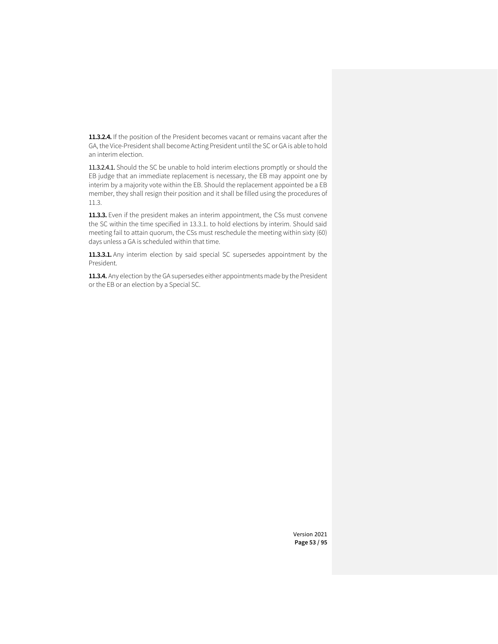**11.3.2.4.** If the position of the President becomes vacant or remains vacant after the GA, the Vice-President shall become Acting President until the SC or GA is able to hold an interim election.

11.3.2.4.1. Should the SC be unable to hold interim elections promptly or should the EB judge that an immediate replacement is necessary, the EB may appoint one by interim by a majority vote within the EB. Should the replacement appointed be a EB member, they shall resign their position and it shall be filled using the procedures of 11.3.

**11.3.3.** Even if the president makes an interim appointment, the CSs must convene the SC within the time specified in 13.3.1. to hold elections by interim. Should said meeting fail to attain quorum, the CSs must reschedule the meeting within sixty (60) days unless a GA is scheduled within that time.

11.3.3.1. Any interim election by said special SC supersedes appointment by the President.

**11.3.4.** Any election by the GA supersedes either appointments made by the President or the EB or an election by a Special SC.

> Version 2021 **Page 53 / 95**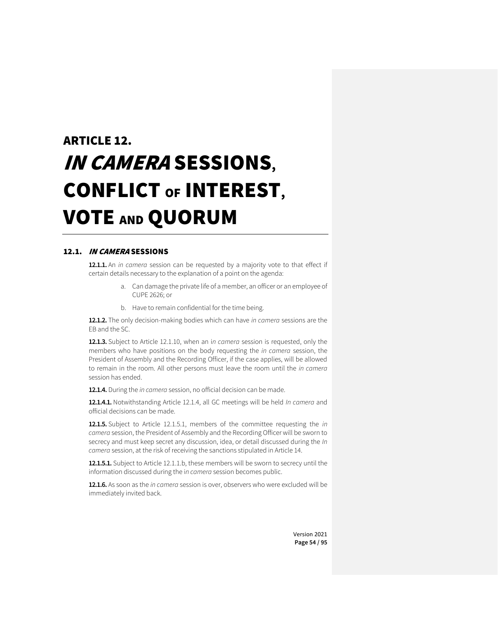# ARTICLE 12. IN CAMERA SESSIONS, CONFLICT OF INTEREST, VOTE AND QUORUM

### 12.1. IN CAMERA SESSIONS

**12.1.1.** An *in camera* session can be requested by a majority vote to that effect if certain details necessary to the explanation of a point on the agenda:

- a. Can damage the private life of a member, an officer or an employee of CUPE 2626; or
- b. Have to remain confidential for the time being.

**12.1.2.** The only decision-making bodies which can have *in camera* sessions are the EB and the SC.

**12.1.3.** Subject to Article 12.1.10, when an i*n camera* session is requested, only the members who have positions on the body requesting the *in camera* session, the President of Assembly and the Recording Officer, if the case applies, will be allowed to remain in the room. All other persons must leave the room until the *in camera* session has ended.

**12.1.4.** During the *in camera* session, no official decision can be made.

**12.1.4.1.** Notwithstanding Article 12.1.4, all GC meetings will be held *In camera* and official decisions can be made.

**12.1.5.** Subject to Article 12.1.5.1, members of the committee requesting the *in camera* session, the President of Assembly and the Recording Officer will be sworn to secrecy and must keep secret any discussion, idea, or detail discussed during the *In camera* session, at the risk of receiving the sanctions stipulated in Article 14.

12.1.5.1. Subject to Article 12.1.1.b, these members will be sworn to secrecy until the information discussed during the i*n camera* session becomes public.

**12.1.6.** As soon as the *in camera* session is over, observers who were excluded will be immediately invited back.

> Version 2021 **Page 54 / 95**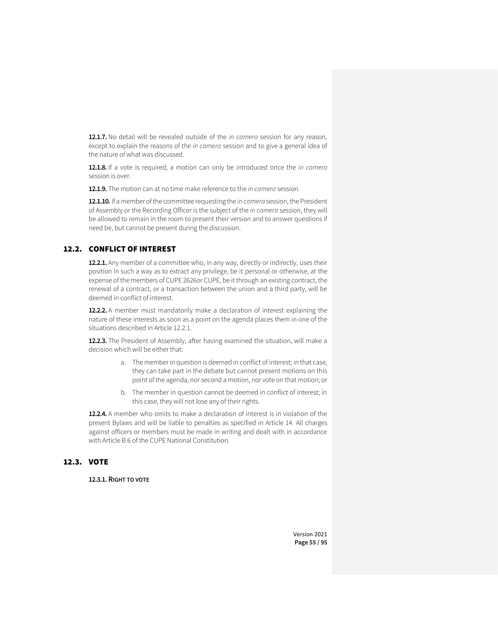**12.1.7.** No detail will be revealed outside of the *in camera* session for any reason, except to explain the reasons of the *in camera* session and to give a general idea of the nature of what was discussed.

**12.1.8.** If a vote is required, a motion can only be introduced once the *in camera* session is over.

**12.1.9.** The motion can at no time make reference to the *in camera* session.

**12.1.10.** If a member of the committee requesting the *in camera* session, the President of Assembly or the Recording Officer is the subject of the *in camera* session, they will be allowed to remain in the room to present their version and to answer questions if need be, but cannot be present during the discussion.

### 12.2. CONFLICT OF INTEREST

12.2.1. Any member of a committee who, in any way, directly or indirectly, uses their position in such a way as to extract any privilege, be it personal or otherwise, at the expense of the members of CUPE 2626or CUPE, be it through an existing contract, the renewal of a contract, or a transaction between the union and a third party, will be deemed in conflict of interest.

**12.2.2.** A member must mandatorily make a declaration of interest explaining the nature of these interests as soon as a point on the agenda places them in one of the situations described in Article 12.2.1.

**12.2.3.** The President of Assembly, after having examined the situation, will make a decision which will be either that:

- a. The member in question is deemed in conflict of interest; in that case, they can take part in the debate but cannot present motions on this point of the agenda, nor second a motion, nor vote on that motion; or
- b. The member in question cannot be deemed in conflict of interest; in this case, they will not lose any of their rights.

**12.2.4.** A member who omits to make a declaration of interest is in violation of the present Bylaws and will be liable to penalties as specified in Article 14. All charges against officers or members must be made in writing and dealt with in accordance with Article B.6 of the CUPE National Constitution.

# 12.3. VOTE

#### **12.3.1. RIGHT TO VOTE**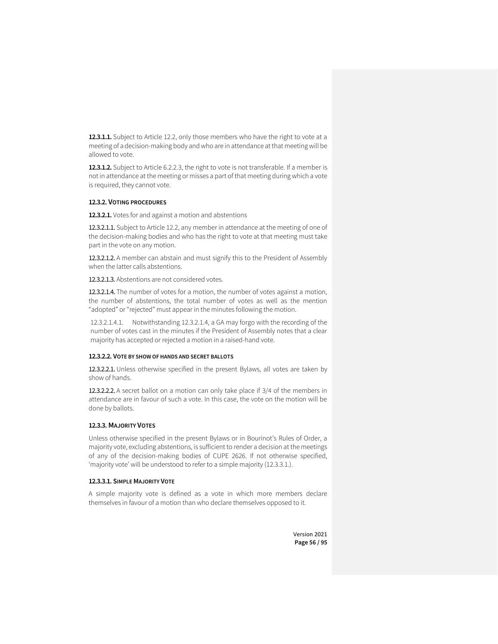12.3.1.1. Subject to Article 12.2, only those members who have the right to vote at a meeting of a decision-making body and who are in attendance at that meeting will be allowed to vote.

**12.3.1.2.** Subject to Article 6.2.2.3, the right to vote is not transferable. If a member is not in attendance at the meeting or misses a part of that meeting during which a vote is required, they cannot vote.

#### **12.3.2. VOTING PROCEDURES**

**12.3.2.1.** Votes for and against a motion and abstentions

12.3.2.1.1. Subject to Article 12.2, any member in attendance at the meeting of one of the decision-making bodies and who has the right to vote at that meeting must take part in the vote on any motion.

12.3.2.1.2. A member can abstain and must signify this to the President of Assembly when the latter calls abstentions.

12.3.2.1.3. Abstentions are not considered votes.

12.3.2.1.4. The number of votes for a motion, the number of votes against a motion, the number of abstentions, the total number of votes as well as the mention "adopted" or "rejected" must appear in the minutes following the motion.

12.3.2.1.4.1. Notwithstanding 12.3.2.1.4, a GA may forgo with the recording of the number of votes cast in the minutes if the President of Assembly notes that a clear majority has accepted or rejected a motion in a raised-hand vote.

#### **12.3.2.2. VOTE BY SHOW OF HANDS AND SECRET BALLOTS**

12.3.2.2.1. Unless otherwise specified in the present Bylaws, all votes are taken by show of hands.

12.3.2.2.2. A secret ballot on a motion can only take place if 3/4 of the members in attendance are in favour of such a vote. In this case, the vote on the motion will be done by ballots.

#### **12.3.3. MAJORITY VOTES**

Unless otherwise specified in the present Bylaws or in Bourinot's Rules of Order, a majority vote, excluding abstentions, is sufficient to render a decision at the meetings of any of the decision-making bodies of CUPE 2626. If not otherwise specified, 'majority vote' will be understood to refer to a simple majority (12.3.3.1.).

#### **12.3.3.1. SIMPLE MAJORITY VOTE**

A simple majority vote is defined as a vote in which more members declare themselves in favour of a motion than who declare themselves opposed to it.

> Version 2021 **Page 56 / 95**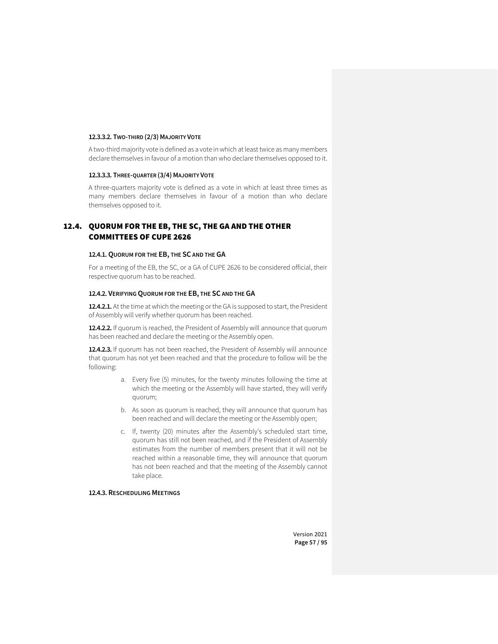#### **12.3.3.2. TWO-THIRD (2/3) MAJORITY VOTE**

A two-third majority vote is defined as a vote in which at least twice as many members declare themselves in favour of a motion than who declare themselves opposed to it.

#### **12.3.3.3. THREE-QUARTER (3/4) MAJORITY VOTE**

A three-quarters majority vote is defined as a vote in which at least three times as many members declare themselves in favour of a motion than who declare themselves opposed to it.

# 12.4. QUORUM FOR THE EB, THE SC, THE GA AND THE OTHER COMMITTEES OF CUPE 2626

#### **12.4.1.QUORUM FOR THE EB, THE SC AND THE GA**

For a meeting of the EB, the SC, or a GA of CUPE 2626 to be considered official, their respective quorum has to be reached.

#### **12.4.2. VERIFYING QUORUM FOR THE EB, THE SC AND THE GA**

**12.4.2.1.** At the time at which the meeting or the GA is supposed to start, the President of Assembly will verify whether quorum has been reached.

**12.4.2.2.** If quorum is reached, the President of Assembly will announce that quorum has been reached and declare the meeting or the Assembly open.

**12.4.2.3.** If quorum has not been reached, the President of Assembly will announce that quorum has not yet been reached and that the procedure to follow will be the following:

- a. Every five (5) minutes, for the twenty minutes following the time at which the meeting or the Assembly will have started, they will verify quorum;
- b. As soon as quorum is reached, they will announce that quorum has been reached and will declare the meeting or the Assembly open;
- c. If, twenty (20) minutes after the Assembly's scheduled start time, quorum has still not been reached, and if the President of Assembly estimates from the number of members present that it will not be reached within a reasonable time, they will announce that quorum has not been reached and that the meeting of the Assembly cannot take place.

#### **12.4.3. RESCHEDULING MEETINGS**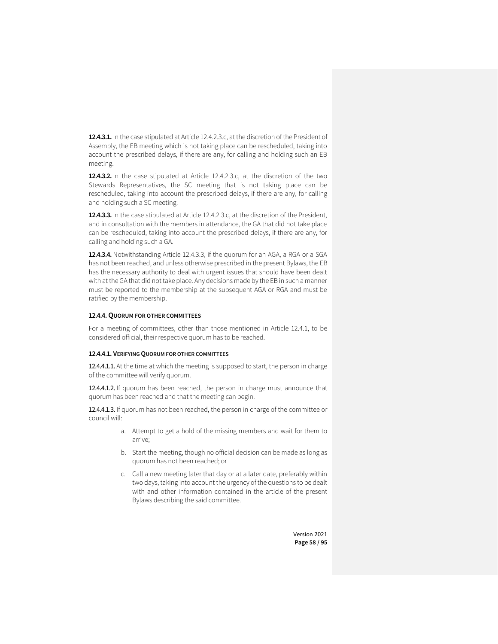**12.4.3.1.** In the case stipulated at Article 12.4.2.3.c, at the discretion of the President of Assembly, the EB meeting which is not taking place can be rescheduled, taking into account the prescribed delays, if there are any, for calling and holding such an EB meeting.

**12.4.3.2.** In the case stipulated at Article 12.4.2.3.c, at the discretion of the two Stewards Representatives, the SC meeting that is not taking place can be rescheduled, taking into account the prescribed delays, if there are any, for calling and holding such a SC meeting.

**12.4.3.3.** In the case stipulated at Article 12.4.2.3.c, at the discretion of the President, and in consultation with the members in attendance, the GA that did not take place can be rescheduled, taking into account the prescribed delays, if there are any, for calling and holding such a GA.

**12.4.3.4.** Notwithstanding Article 12.4.3.3, if the quorum for an AGA, a RGA or a SGA has not been reached, and unless otherwise prescribed in the present Bylaws, the EB has the necessary authority to deal with urgent issues that should have been dealt with at the GA that did not take place. Any decisions made by the EB in such a manner must be reported to the membership at the subsequent AGA or RGA and must be ratified by the membership.

#### **12.4.4.QUORUM FOR OTHER COMMITTEES**

For a meeting of committees, other than those mentioned in Article 12.4.1, to be considered official, their respective quorum has to be reached.

#### **12.4.4.1. VERIFYING QUORUM FOR OTHER COMMITTEES**

12.4.4.1.1. At the time at which the meeting is supposed to start, the person in charge of the committee will verify quorum.

12.4.4.1.2. If quorum has been reached, the person in charge must announce that quorum has been reached and that the meeting can begin.

12.4.4.1.3. If quorum has not been reached, the person in charge of the committee or council will:

- a. Attempt to get a hold of the missing members and wait for them to arrive;
- b. Start the meeting, though no official decision can be made as long as quorum has not been reached; or
- c. Call a new meeting later that day or at a later date, preferably within two days, taking into account the urgency of the questions to be dealt with and other information contained in the article of the present Bylaws describing the said committee.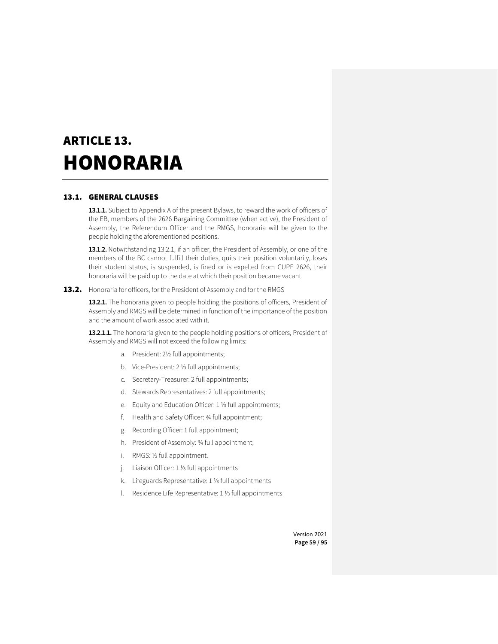# ARTICLE 13. HONORARIA

# 13.1. GENERAL CLAUSES

13.1.1. Subject to Appendix A of the present Bylaws, to reward the work of officers of the EB, members of the 2626 Bargaining Committee (when active), the President of Assembly, the Referendum Officer and the RMGS, honoraria will be given to the people holding the aforementioned positions.

**13.1.2.** Notwithstanding 13.2.1, if an officer, the President of Assembly, or one of the members of the BC cannot fulfill their duties, quits their position voluntarily, loses their student status, is suspended, is fined or is expelled from CUPE 2626, their honoraria will be paid up to the date at which their position became vacant.

#### 13.2. Honoraria for officers, for the President of Assembly and for the RMGS

13.2.1. The honoraria given to people holding the positions of officers, President of Assembly and RMGS will be determined in function of the importance of the position and the amount of work associated with it.

**13.2.1.1.** The honoraria given to the people holding positions of officers, President of Assembly and RMGS will not exceed the following limits:

- a. President: 2½ full appointments;
- b. Vice-President: 2 ⅓ full appointments;
- c. Secretary-Treasurer: 2 full appointments;
- d. Stewards Representatives: 2 full appointments;
- e. Equity and Education Officer: 1 ⅓ full appointments;
- f. Health and Safety Officer: ¾ full appointment;
- g. Recording Officer: 1 full appointment;
- h. President of Assembly: ¾ full appointment;
- i. RMGS: ⅓ full appointment.
- j. Liaison Officer: 1 ⅓ full appointments
- k. Lifeguards Representative: 1 ⅓ full appointments
- l. Residence Life Representative: 1 ⅓ full appointments

Version 2021 **Page 59 / 95**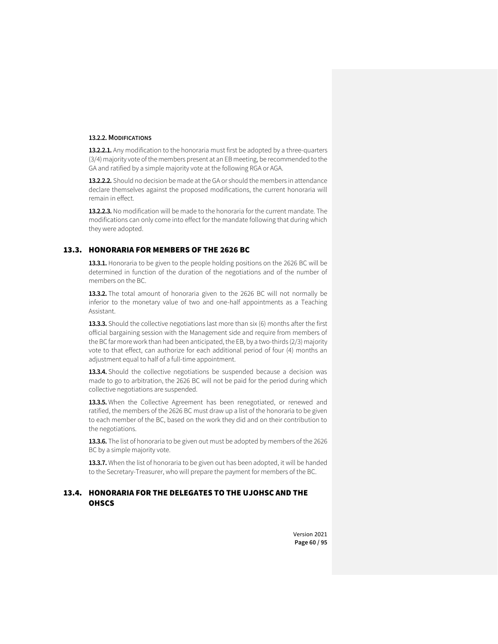#### **13.2.2. MODIFICATIONS**

13.2.2.1. Any modification to the honoraria must first be adopted by a three-quarters (3/4) majority vote of the members present at an EB meeting, be recommended to the GA and ratified by a simple majority vote at the following RGA or AGA.

**13.2.2.2.** Should no decision be made at the GA or should the members in attendance declare themselves against the proposed modifications, the current honoraria will remain in effect.

**13.2.2.3.** No modification will be made to the honoraria for the current mandate. The modifications can only come into effect for the mandate following that during which they were adopted.

#### 13.3. HONORARIA FOR MEMBERS OF THE 2626 BC

**13.3.1.** Honoraria to be given to the people holding positions on the 2626 BC will be determined in function of the duration of the negotiations and of the number of members on the BC.

**13.3.2.** The total amount of honoraria given to the 2626 BC will not normally be inferior to the monetary value of two and one-half appointments as a Teaching Assistant.

**13.3.3.** Should the collective negotiations last more than six (6) months after the first official bargaining session with the Management side and require from members of the BC far more work than had been anticipated, the EB, by a two-thirds (2/3) majority vote to that effect, can authorize for each additional period of four (4) months an adjustment equal to half of a full-time appointment.

13.3.4. Should the collective negotiations be suspended because a decision was made to go to arbitration, the 2626 BC will not be paid for the period during which collective negotiations are suspended.

**13.3.5.** When the Collective Agreement has been renegotiated, or renewed and ratified, the members of the 2626 BC must draw up a list of the honoraria to be given to each member of the BC, based on the work they did and on their contribution to the negotiations.

**13.3.6.** The list of honoraria to be given out must be adopted by members of the 2626 BC by a simple majority vote.

**13.3.7.** When the list of honoraria to be given out has been adopted, it will be handed to the Secretary-Treasurer, who will prepare the payment for members of the BC.

# 13.4. HONORARIA FOR THE DELEGATES TO THE UJOHSC AND THE **OHSCS**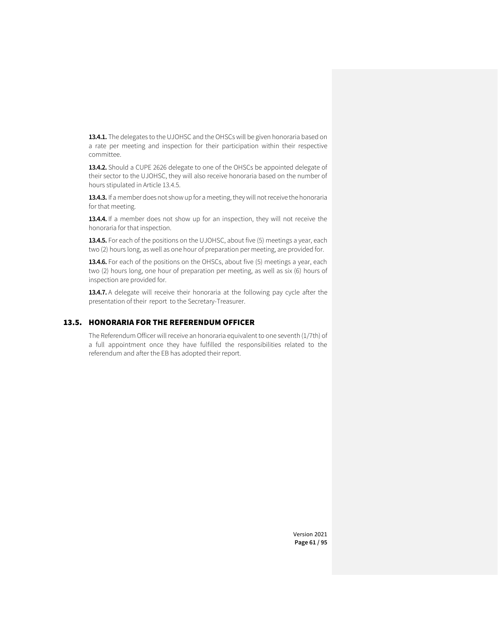13.4.1. The delegates to the UJOHSC and the OHSCs will be given honoraria based on a rate per meeting and inspection for their participation within their respective committee.

**13.4.2.** Should a CUPE 2626 delegate to one of the OHSCs be appointed delegate of their sector to the UJOHSC, they will also receive honoraria based on the number of hours stipulated in Article 13.4.5.

**13.4.3.** If a member does not show up for a meeting, they will not receive the honoraria for that meeting.

**13.4.4.** If a member does not show up for an inspection, they will not receive the honoraria for that inspection.

**13.4.5.** For each of the positions on the UJOHSC, about five (5) meetings a year, each two (2) hours long, as well as one hour of preparation per meeting, are provided for.

13.4.6. For each of the positions on the OHSCs, about five (5) meetings a year, each two (2) hours long, one hour of preparation per meeting, as well as six (6) hours of inspection are provided for.

13.4.7. A delegate will receive their honoraria at the following pay cycle after the presentation of their report to the Secretary-Treasurer.

#### 13.5. HONORARIA FOR THE REFERENDUM OFFICER

The Referendum Officer will receive an honoraria equivalent to one seventh (1/7th) of a full appointment once they have fulfilled the responsibilities related to the referendum and after the EB has adopted their report.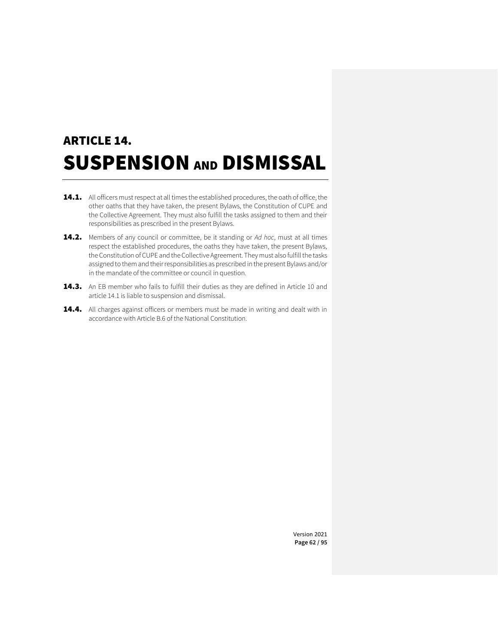# ARTICLE 14. SUSPENSION AND DISMISSAL

- 14.1. All officers must respect at all times the established procedures, the oath of office, the other oaths that they have taken, the present Bylaws, the Constitution of CUPE and the Collective Agreement. They must also fulfill the tasks assigned to them and their responsibilities as prescribed in the present Bylaws.
- 14.2. Members of any council or committee, be it standing or *Ad hoc*, must at all times respect the established procedures, the oaths they have taken, the present Bylaws, the Constitution of CUPE and the Collective Agreement. They must also fulfill the tasks assigned to them and their responsibilities as prescribed in the present Bylaws and/or in the mandate of the committee or council in question.
- 14.3. An EB member who fails to fulfill their duties as they are defined in Article 10 and article 14.1 is liable to suspension and dismissal.
- 14.4. All charges against officers or members must be made in writing and dealt with in accordance with Article B.6 of the National Constitution.

Version 2021 **Page 62 / 95**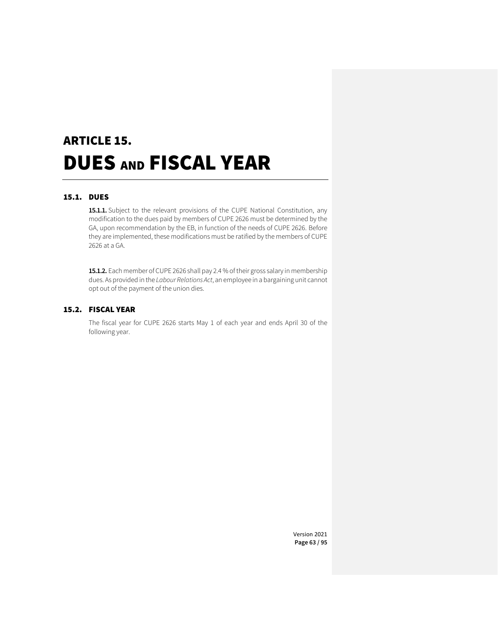# ARTICLE 15. DUES AND FISCAL YEAR

# 15.1. DUES

15.1.1. Subject to the relevant provisions of the CUPE National Constitution, any modification to the dues paid by members of CUPE 2626 must be determined by the GA, upon recommendation by the EB, in function of the needs of CUPE 2626. Before they are implemented, these modifications must be ratified by the members of CUPE 2626 at a GA.

**15.1.2.** Each member of CUPE 2626 shall pay 2.4 % of their gross salary in membership dues. As provided in the *Labour Relations Act*, an employee in a bargaining unit cannot opt out of the payment of the union dies.

# 15.2. FISCAL YEAR

The fiscal year for CUPE 2626 starts May 1 of each year and ends April 30 of the following year.

> Version 2021 **Page 63 / 95**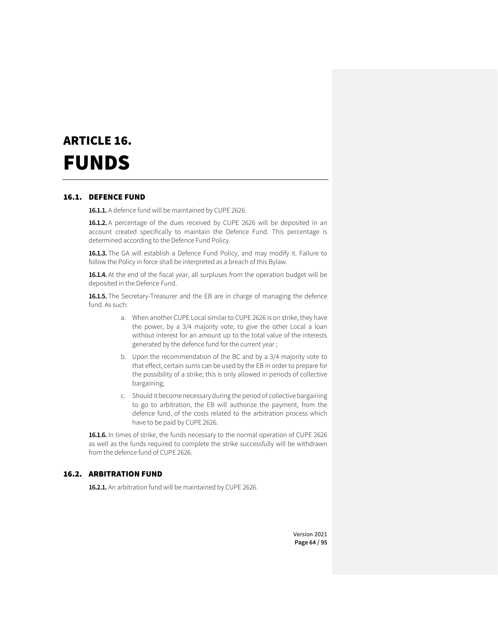# ARTICLE 16. FUNDS

# 16.1. DEFENCE FUND

**16.1.1.** A defence fund will be maintained by CUPE 2626.

**16.1.2.** A percentage of the dues received by CUPE 2626 will be deposited in an account created specifically to maintain the Defence Fund. This percentage is determined according to the Defence Fund Policy.

**16.1.3.** The GA will establish a Defence Fund Policy, and may modify it. Failure to follow the Policy in force shall be interpreted as a breach of this Bylaw.

**16.1.4.** At the end of the fiscal year, all surpluses from the operation budget will be deposited in the Defence Fund.

**16.1.5.** The Secretary-Treasurer and the EB are in charge of managing the defence fund. As such:

- a. When another CUPE Local similar to CUPE 2626 is on strike, they have the power, by a 3/4 majority vote, to give the other Local a loan without interest for an amount up to the total value of the interests generated by the defence fund for the current year ;
- b. Upon the recommendation of the BC and by a 3/4 majority vote to that effect, certain sums can be used by the EB in order to prepare for the possibility of a strike; this is only allowed in periods of collective bargaining;
- c. Should it become necessary during the period of collective bargaining to go to arbitration, the EB will authorize the payment, from the defence fund, of the costs related to the arbitration process which have to be paid by CUPE 2626.

**16.1.6.** In times of strike, the funds necessary to the normal operation of CUPE 2626 as well as the funds required to complete the strike successfully will be withdrawn from the defence fund of CUPE 2626.

# 16.2. ARBITRATION FUND

**16.2.1.** An arbitration fund will be maintained by CUPE 2626.

Version 2021 **Page 64 / 95**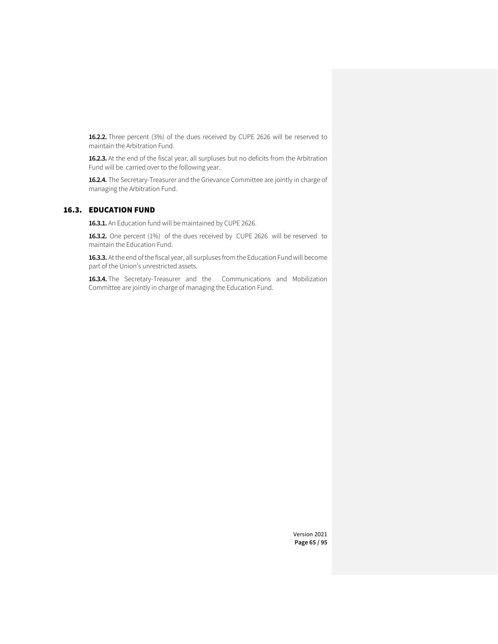**16.2.2.** Three percent (3%) of the dues received by CUPE 2626 will be reserved to maintain the Arbitration Fund.

16.2.3. At the end of the fiscal year, all surpluses but no deficits from the Arbitration Fund will be carried over to the following year..

**16.2.4.** The Secretary-Treasurer and the Grievance Committee are jointly in charge of managing the Arbitration Fund.

# 16.3. EDUCATION FUND

**16.3.1.** An Education fund will be maintained by CUPE 2626.

**16.3.2.** One percent (1%) of the dues received by CUPE 2626 will be reserved to maintain the Education Fund.

**16.3.3.** At the end of the fiscal year, all surpluses from the Education Fund will become part of the Union's unrestricted assets.

**16.3.4.** The Secretary-Treasurer and the Communications and Mobilization Committee are jointly in charge of managing the Education Fund.

> Version 2021 **Page 65 / 95**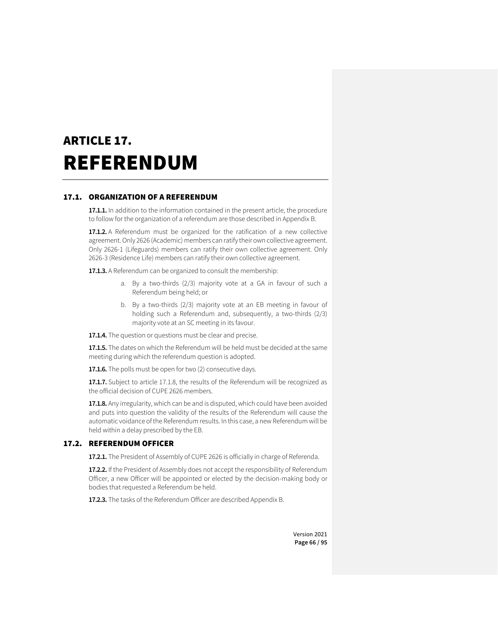# ARTICLE 17. REFERENDUM

# 17.1. ORGANIZATION OF A REFERENDUM

17.1.1. In addition to the information contained in the present article, the procedure to follow for the organization of a referendum are those described in Appendix B.

**17.1.2.** A Referendum must be organized for the ratification of a new collective agreement. Only 2626 (Academic) members can ratify their own collective agreement. Only 2626-1 (Lifeguards) members can ratify their own collective agreement. Only 2626-3 (Residence Life) members can ratify their own collective agreement.

**17.1.3.** A Referendum can be organized to consult the membership:

- a. By a two-thirds (2/3) majority vote at a GA in favour of such a Referendum being held; or
- b. By a two-thirds (2/3) majority vote at an EB meeting in favour of holding such a Referendum and, subsequently, a two-thirds (2/3) majority vote at an SC meeting in its favour.

**17.1.4.** The question or questions must be clear and precise.

**17.1.5.** The dates on which the Referendum will be held must be decided at the same meeting during which the referendum question is adopted.

**17.1.6.** The polls must be open for two (2) consecutive days.

17.1.7. Subject to article 17.1.8, the results of the Referendum will be recognized as the official decision of CUPE 2626 members.

**17.1.8.** Any irregularity, which can be and is disputed, which could have been avoided and puts into question the validity of the results of the Referendum will cause the automatic voidance of the Referendum results. In this case, a new Referendum will be held within a delay prescribed by the EB.

# 17.2. REFERENDUM OFFICER

**17.2.1.** The President of Assembly of CUPE 2626 is officially in charge of Referenda.

**17.2.2.** If the President of Assembly does not accept the responsibility of Referendum Officer, a new Officer will be appointed or elected by the decision-making body or bodies that requested a Referendum be held.

**17.2.3.** The tasks of the Referendum Officer are described Appendix B.

Version 2021 **Page 66 / 95**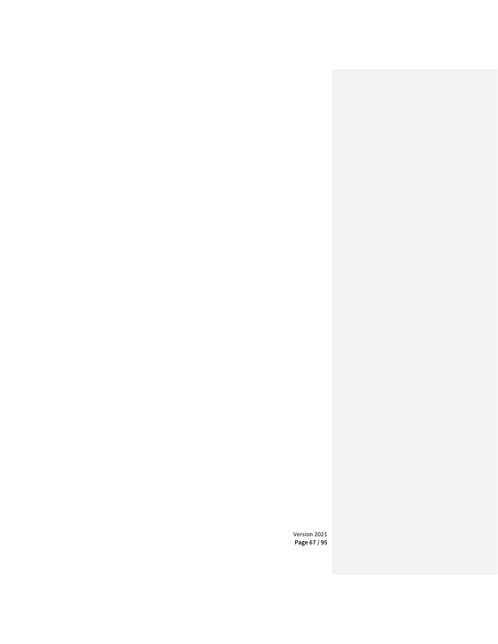Version 2021 **Page 67 / 95**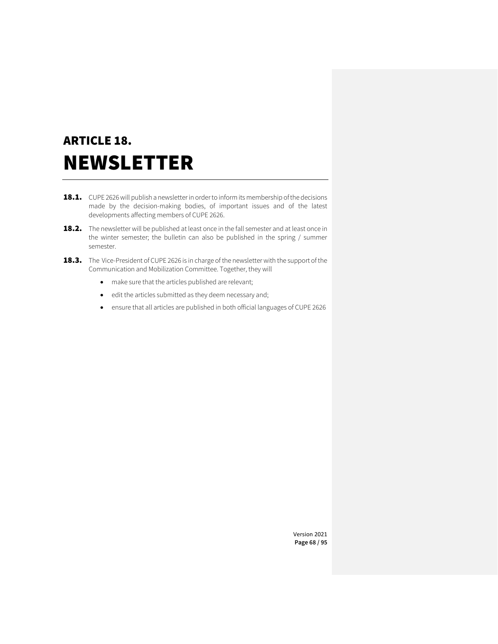# ARTICLE 18. NEWSLETTER

- 18.1. CUPE 2626 will publish a newsletter in order to inform its membership of the decisions made by the decision-making bodies, of important issues and of the latest developments affecting members of CUPE 2626.
- 18.2. The newsletter will be published at least once in the fall semester and at least once in the winter semester; the bulletin can also be published in the spring / summer semester.
- 18.3. The Vice-President of CUPE 2626 is in charge of the newsletter with the support of the Communication and Mobilization Committee. Together, they will
	- make sure that the articles published are relevant;
	- edit the articles submitted as they deem necessary and;
	- ensure that all articles are published in both official languages of CUPE 2626

Version 2021 **Page 68 / 95**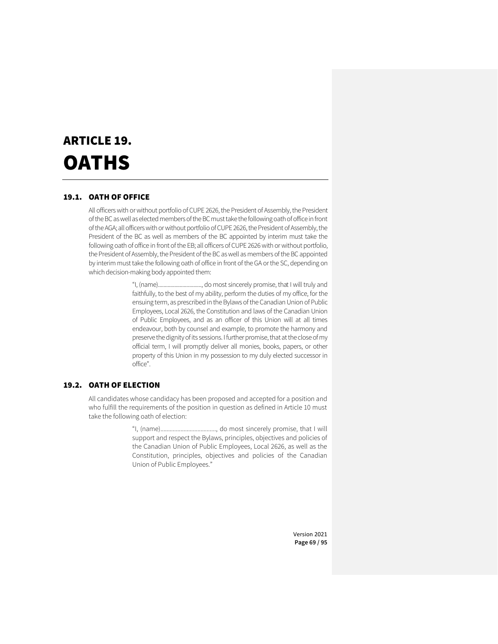# ARTICLE 19. **OATHS**

# 19.1. OATH OF OFFICE

All officers with or without portfolio of CUPE 2626, the President of Assembly, the President of the BC as well as elected members of the BC must take the following oath of office in front of the AGA; all officers with or without portfolio of CUPE 2626, the President of Assembly, the President of the BC as well as members of the BC appointed by interim must take the following oath of office in front of the EB; all officers of CUPE 2626 with or without portfolio, the President of Assembly, the President of the BC as well as members of the BC appointed by interim must take the following oath of office in front of the GA or the SC, depending on which decision-making body appointed them:

> "I, (name)................................, do most sincerely promise, that I will truly and faithfully, to the best of my ability, perform the duties of my office, for the ensuing term, as prescribed in the Bylaws of the Canadian Union of Public Employees, Local 2626, the Constitution and laws of the Canadian Union of Public Employees, and as an officer of this Union will at all times endeavour, both by counsel and example, to promote the harmony and preserve the dignity of its sessions. I further promise, that at the close of my official term, I will promptly deliver all monies, books, papers, or other property of this Union in my possession to my duly elected successor in office".

# 19.2. OATH OF ELECTION

All candidates whose candidacy has been proposed and accepted for a position and who fulfill the requirements of the position in question as defined in Article 10 must take the following oath of election:

> "I, (name)...................................., do most sincerely promise, that I will support and respect the Bylaws, principles, objectives and policies of the Canadian Union of Public Employees, Local 2626, as well as the Constitution, principles, objectives and policies of the Canadian Union of Public Employees."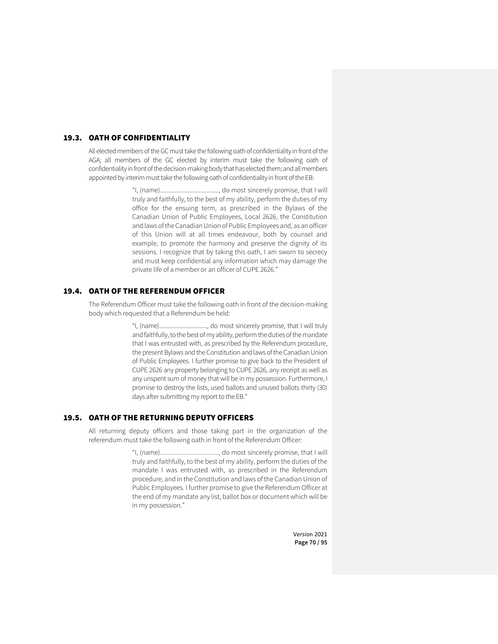### 19.3. OATH OF CONFIDENTIALITY

All elected members of the GC must take the following oath of confidentiality in front of the AGA; all members of the GC elected by interim must take the following oath of confidentiality in front of the decision-making body that has elected them; and all members appointed by interim must take the following oath of confidentiality in front of the EB:

> "I, (name)......................................, do most sincerely promise, that I will truly and faithfully, to the best of my ability, perform the duties of my office for the ensuing term, as prescribed in the Bylaws of the Canadian Union of Public Employees, Local 2626, the Constitution and laws of the Canadian Union of Public Employees and, as an officer of this Union will at all times endeavour, both by counsel and example, to promote the harmony and preserve the dignity of its sessions. I recognize that by taking this oath, I am sworn to secrecy and must keep confidential any information which may damage the private life of a member or an officer of CUPE 2626."

# 19.4. OATH OF THE REFERENDUM OFFICER

The Referendum Officer must take the following oath in front of the decision-making body which requested that a Referendum be held:

> "I, (name).................................., do most sincerely promise, that I will truly and faithfully, to the best of my ability, perform the duties of the mandate that I was entrusted with, as prescribed by the Referendum procedure, the present Bylaws and the Constitution and laws of the Canadian Union of Public Employees. I further promise to give back to the President of CUPE 2626 any property belonging to CUPE 2626, any receipt as well as any unspent sum of money that will be in my possession. Furthermore, I promise to destroy the lists, used ballots and unused ballots thirty (30) days after submitting my report to the EB."

# 19.5. OATH OF THE RETURNING DEPUTY OFFICERS

All returning deputy officers and those taking part in the organization of the referendum must take the following oath in front of the Referendum Officer:

> "I, (name)......................................, do most sincerely promise, that I will truly and faithfully, to the best of my ability, perform the duties of the mandate I was entrusted with, as prescribed in the Referendum procedure, and in the Constitution and laws of the Canadian Union of Public Employees. I further promise to give the Referendum Officer at the end of my mandate any list, ballot box or document which will be in my possession."

> > Version 2021 **Page 70 / 95**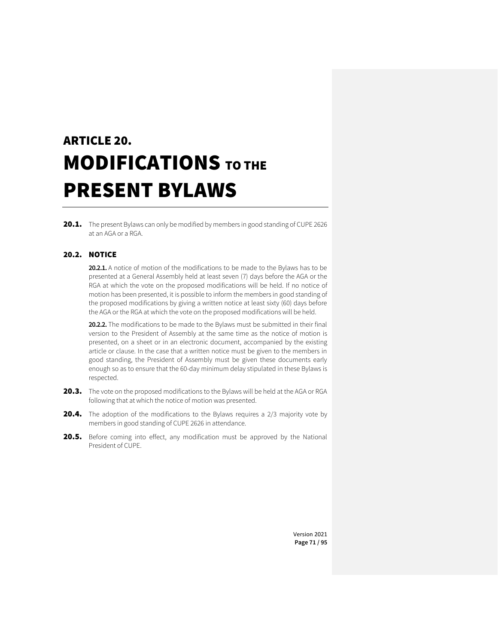# ARTICLE 20. **MODIFICATIONS TO THE** PRESENT BYLAWS

20.1. The present Bylaws can only be modified by members in good standing of CUPE 2626 at an AGA or a RGA.

# 20.2. NOTICE

**20.2.1.** A notice of motion of the modifications to be made to the Bylaws has to be presented at a General Assembly held at least seven (7) days before the AGA or the RGA at which the vote on the proposed modifications will be held. If no notice of motion has been presented, it is possible to inform the members in good standing of the proposed modifications by giving a written notice at least sixty (60) days before the AGA or the RGA at which the vote on the proposed modifications will be held.

**20.2.2.** The modifications to be made to the Bylaws must be submitted in their final version to the President of Assembly at the same time as the notice of motion is presented, on a sheet or in an electronic document, accompanied by the existing article or clause. In the case that a written notice must be given to the members in good standing, the President of Assembly must be given these documents early enough so as to ensure that the 60-day minimum delay stipulated in these Bylaws is respected.

- 20.3. The vote on the proposed modifications to the Bylaws will be held at the AGA or RGA following that at which the notice of motion was presented.
- **20.4.** The adoption of the modifications to the Bylaws requires a 2/3 majority vote by members in good standing of CUPE 2626 in attendance.
- 20.5. Before coming into effect, any modification must be approved by the National President of CUPE.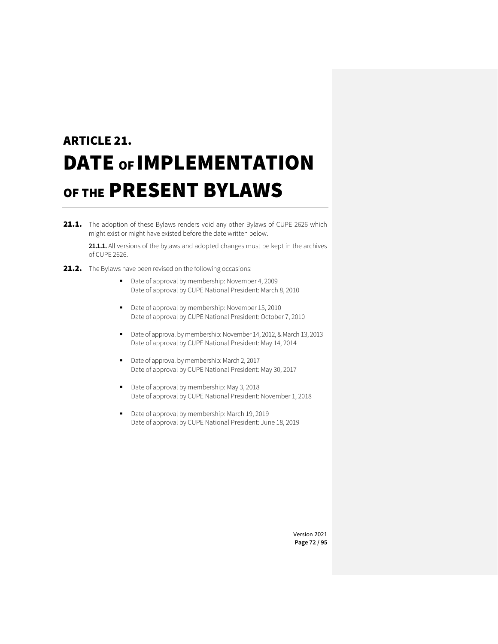# ARTICLE 21. DATE OF IMPLEMENTATION OF THE **PRESENT BYLAWS**

21.1. The adoption of these Bylaws renders void any other Bylaws of CUPE 2626 which might exist or might have existed before the date written below.

**21.1.1.** All versions of the bylaws and adopted changes must be kept in the archives of CUPE 2626.

- 21.2. The Bylaws have been revised on the following occasions:
	- Date of approval by membership: November 4, 2009 Date of approval by CUPE National President: March 8, 2010
	- Date of approval by membership: November 15, 2010 Date of approval by CUPE National President: October 7, 2010
	- Date of approval by membership: November 14, 2012, & March 13, 2013 Date of approval by CUPE National President: May 14, 2014
	- Date of approval by membership: March 2, 2017 Date of approval by CUPE National President: May 30, 2017
	- Date of approval by membership: May 3, 2018 Date of approval by CUPE National President: November 1, 2018
	- Date of approval by membership: March 19, 2019 Date of approval by CUPE National President: June 18, 2019

Version 2021 **Page 72 / 95**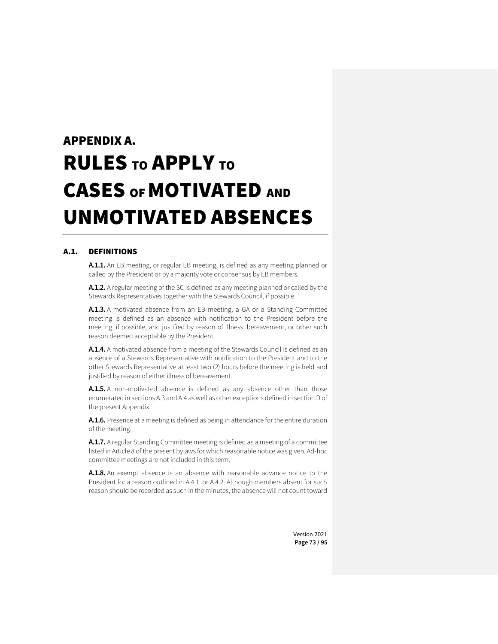# APPENDIX A. RULES TO APPLY TO CASES OF MOTIVATED AND UNMOTIVATED ABSENCES

## A.1. DEFINITIONS

**A.1.1.** An EB meeting, or regular EB meeting, is defined as any meeting planned or called by the President or by a majority vote or consensus by EB members.

**A.1.2.** A regular meeting of the SC is defined as any meeting planned or called by the Stewards Representatives together with the Stewards Council, if possible.

**A.1.3.** A motivated absence from an EB meeting, a GA or a Standing Committee meeting is defined as an absence with notification to the President before the meeting, if possible, and justified by reason of illness, bereavement, or other such reason deemed acceptable by the President.

**A.1.4.** A motivated absence from a meeting of the Stewards Council is defined as an absence of a Stewards Representative with notification to the President and to the other Stewards Representative at least two (2) hours before the meeting is held and justified by reason of either illness of bereavement.

**A.1.5.** A non-motivated absence is defined as any absence other than those enumerated in sections A.3 and A.4 as well as other exceptions defined in section D of the present Appendix.

**A.1.6.** Presence at a meeting is defined as being in attendance for the entire duration of the meeting.

**A.1.7.** A regular Standing Committee meeting is defined as a meeting of a committee listed in Article 8 of the present bylaws for which reasonable notice was given. Ad-hoc committee meetings are not included in this term.

**A.1.8.** An exempt absence is an absence with reasonable advance notice to the President for a reason outlined in A.4.1. or A.4.2. Although members absent for such reason should be recorded as such in the minutes, the absence will not count toward

> Version 2021 **Page 73 / 95**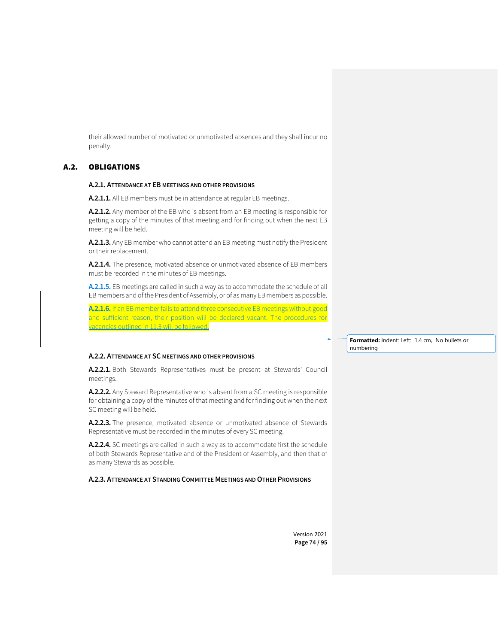their allowed number of motivated or unmotivated absences and they shall incur no penalty.

## A.2. OBLIGATIONS

### **A.2.1. ATTENDANCE AT EB MEETINGS AND OTHER PROVISIONS**

**A.2.1.1.** All EB members must be in attendance at regular EB meetings.

**A.2.1.2.** Any member of the EB who is absent from an EB meeting is responsible for getting a copy of the minutes of that meeting and for finding out when the next EB meeting will be held.

**A.2.1.3.** Any EB member who cannot attend an EB meeting must notify the President or their replacement.

**A.2.1.4.** The presence, motivated absence or unmotivated absence of EB members must be recorded in the minutes of EB meetings.

**A.2.1.5.** EB meetings are called in such a way as to accommodate the schedule of all EB members and of the President of Assembly, or of as many EB members as possible.

**A.2.1.6.** If an EB member fails to attend three consecutive EB meetings without good and sufficient reason, their position will be declared vacant. The procedures for vacancies outlined in 11.3 will be followed.

### **A.2.2. ATTENDANCE AT SC MEETINGS AND OTHER PROVISIONS**

**A.2.2.1.** Both Stewards Representatives must be present at Stewards' Council meetings.

**A.2.2.2.** Any Steward Representative who is absent from a SC meeting is responsible for obtaining a copy of the minutes of that meeting and for finding out when the next SC meeting will be held.

**A.2.2.3.** The presence, motivated absence or unmotivated absence of Stewards Representative must be recorded in the minutes of every SC meeting.

**A.2.2.4.** SC meetings are called in such a way as to accommodate first the schedule of both Stewards Representative and of the President of Assembly, and then that of as many Stewards as possible.

## **A.2.3. ATTENDANCE AT STANDING COMMITTEE MEETINGS AND OTHER PROVISIONS**

**Formatted:** Indent: Left: 1,4 cm, No bullets or numbering

Version 2021 **Page 74 / 95**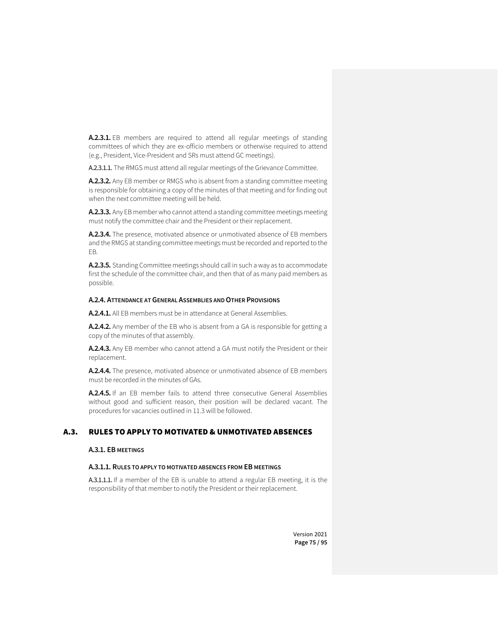**A.2.3.1.** EB members are required to attend all regular meetings of standing committees of which they are ex-officio members or otherwise required to attend (e.g., President, Vice-President and SRs must attend GC meetings).

A.2.3.1.1. The RMGS must attend all regular meetings of the Grievance Committee.

**A.2.3.2.** Any EB member or RMGS who is absent from a standing committee meeting is responsible for obtaining a copy of the minutes of that meeting and for finding out when the next committee meeting will be held.

**A.2.3.3.** Any EB member who cannot attend a standing committee meetings meeting must notify the committee chair and the President or their replacement.

**A.2.3.4.** The presence, motivated absence or unmotivated absence of EB members and the RMGS at standing committee meetings must be recorded and reported to the EB.

**A.2.3.5.** Standing Committee meetings should call in such a way as to accommodate first the schedule of the committee chair, and then that of as many paid members as possible.

### **A.2.4. ATTENDANCE AT GENERAL ASSEMBLIES AND OTHER PROVISIONS**

**A.2.4.1.** All EB members must be in attendance at General Assemblies.

**A.2.4.2.** Any member of the EB who is absent from a GA is responsible for getting a copy of the minutes of that assembly.

**A.2.4.3.** Any EB member who cannot attend a GA must notify the President or their replacement.

**A.2.4.4.** The presence, motivated absence or unmotivated absence of EB members must be recorded in the minutes of GAs.

**A.2.4.5.** If an EB member fails to attend three consecutive General Assemblies without good and sufficient reason, their position will be declared vacant. The procedures for vacancies outlined in 11.3 will be followed.

## A.3. RULES TO APPLY TO MOTIVATED & UNMOTIVATED ABSENCES

### **A.3.1. EB MEETINGS**

### **A.3.1.1. RULES TO APPLY TO MOTIVATED ABSENCES FROM EB MEETINGS**

A.3.1.1.1. If a member of the EB is unable to attend a regular EB meeting, it is the responsibility of that member to notify the President or their replacement.

> Version 2021 **Page 75 / 95**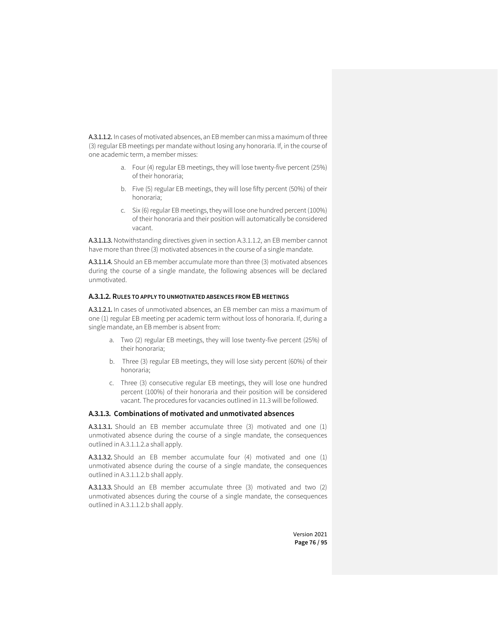A.3.1.1.2. In cases of motivated absences, an EB member can miss a maximum of three (3) regular EB meetings per mandate without losing any honoraria. If, in the course of one academic term, a member misses:

- a. Four (4) regular EB meetings, they will lose twenty-five percent (25%) of their honoraria;
- b. Five (5) regular EB meetings, they will lose fifty percent (50%) of their honoraria;
- c. Six (6) regular EB meetings, they will lose one hundred percent (100%) of their honoraria and their position will automatically be considered vacant.

A.3.1.1.3. Notwithstanding directives given in section A.3.1.1.2, an EB member cannot have more than three (3) motivated absences in the course of a single mandate.

A.3.1.1.4. Should an EB member accumulate more than three (3) motivated absences during the course of a single mandate, the following absences will be declared unmotivated.

### **A.3.1.2. RULES TO APPLY TO UNMOTIVATED ABSENCES FROM EB MEETINGS**

A.3.1.2.1. In cases of unmotivated absences, an EB member can miss a maximum of one (1) regular EB meeting per academic term without loss of honoraria. If, during a single mandate, an EB member is absent from:

- a. Two (2) regular EB meetings, they will lose twenty-five percent (25%) of their honoraria;
- b. Three (3) regular EB meetings, they will lose sixty percent (60%) of their honoraria;
- c. Three (3) consecutive regular EB meetings, they will lose one hundred percent (100%) of their honoraria and their position will be considered vacant. The procedures for vacancies outlined in 11.3 will be followed.

#### **A.3.1.3. Combinations of motivated and unmotivated absences**

A.3.1.3.1. Should an EB member accumulate three (3) motivated and one (1) unmotivated absence during the course of a single mandate, the consequences outlined in A.3.1.1.2.a shall apply.

A.3.1.3.2. Should an EB member accumulate four (4) motivated and one (1) unmotivated absence during the course of a single mandate, the consequences outlined in A.3.1.1.2.b shall apply.

A.3.1.3.3. Should an EB member accumulate three (3) motivated and two (2) unmotivated absences during the course of a single mandate, the consequences outlined in A.3.1.1.2.b shall apply.

> Version 2021 **Page 76 / 95**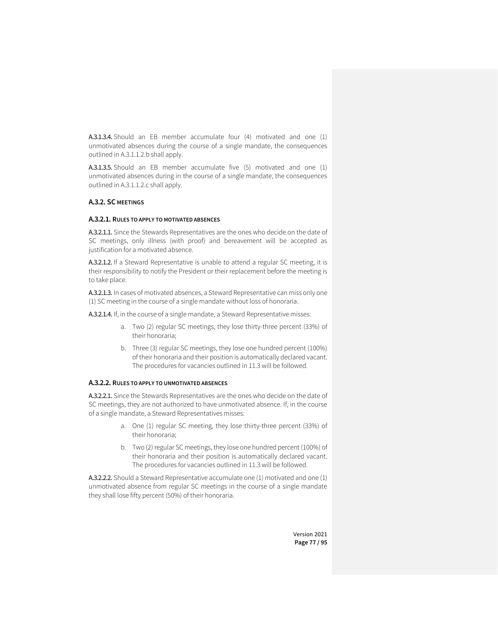A.3.1.3.4. Should an EB member accumulate four (4) motivated and one (1) unmotivated absences during the course of a single mandate, the consequences outlined in A.3.1.1.2.b shall apply.

A.3.1.3.5. Should an EB member accumulate five (5) motivated and one (1) unmotivated absences during in the course of a single mandate, the consequences outlined in A.3.1.1.2.c shall apply.

### **A.3.2. SC MEETINGS**

#### **A.3.2.1. RULES TO APPLY TO MOTIVATED ABSENCES**

A.3.2.1.1. Since the Stewards Representatives are the ones who decide on the date of SC meetings, only illness (with proof) and bereavement will be accepted as justification for a motivated absence.

A.3.2.1.2. If a Steward Representative is unable to attend a regular SC meeting, it is their responsibility to notify the President or their replacement before the meeting is to take place.

A.3.2.1.3. In cases of motivated absences, a Steward Representative can miss only one (1) SC meeting in the course of a single mandate without loss of honoraria.

A.3.2.1.4. If, in the course of a single mandate, a Steward Representative misses:

- a. Two (2) regular SC meetings, they lose thirty-three percent (33%) of their honoraria;
- b. Three (3) regular SC meetings, they lose one hundred percent (100%) of their honoraria and their position is automatically declared vacant. The procedures for vacancies outlined in 11.3 will be followed.

### **A.3.2.2. RULES TO APPLY TO UNMOTIVATED ABSENCES**

A.3.2.2.1. Since the Stewards Representatives are the ones who decide on the date of SC meetings, they are not authorized to have unmotivated absence. If, in the course of a single mandate, a Steward Representatives misses:

- a. One (1) regular SC meeting, they lose thirty-three percent (33%) of their honoraria;
- b. Two (2) regular SC meetings, they lose one hundred percent (100%) of their honoraria and their position is automatically declared vacant. The procedures for vacancies outlined in 11.3 will be followed.

A.3.2.2.2. Should a Steward Representative accumulate one (1) motivated and one (1) unmotivated absence from regular SC meetings in the course of a single mandate they shall lose fifty percent (50%) of their honoraria.

> Version 2021 **Page 77 / 95**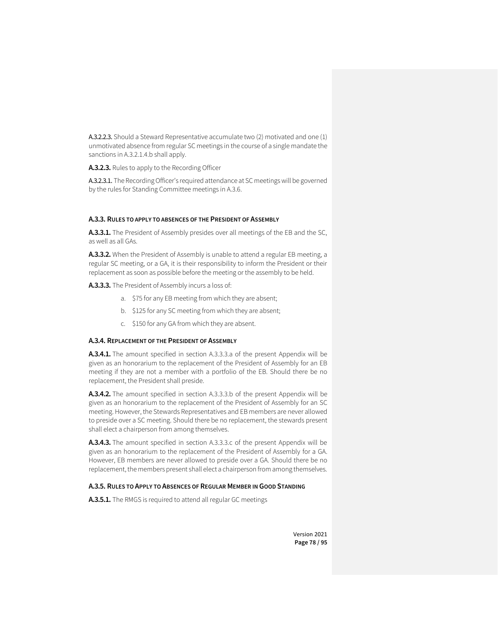A.3.2.2.3. Should a Steward Representative accumulate two (2) motivated and one (1) unmotivated absence from regular SC meetings in the course of a single mandate the sanctions in A.3.2.1.4.b shall apply.

**A.3.2.3.** Rules to apply to the Recording Officer

A.3.2.3.1. The Recording Officer's required attendance at SC meetings will be governed by the rules for Standing Committee meetings in A.3.6.

### **A.3.3. RULES TO APPLY TO ABSENCES OF THE PRESIDENT OF ASSEMBLY**

**A.3.3.1.** The President of Assembly presides over all meetings of the EB and the SC, as well as all GAs.

**A.3.3.2.** When the President of Assembly is unable to attend a regular EB meeting, a regular SC meeting, or a GA, it is their responsibility to inform the President or their replacement as soon as possible before the meeting or the assembly to be held.

**A.3.3.3.** The President of Assembly incurs a loss of:

- a. \$75 for any EB meeting from which they are absent;
- b. \$125 for any SC meeting from which they are absent;
- c. \$150 for any GA from which they are absent.

### **A.3.4. REPLACEMENT OF THE PRESIDENT OF ASSEMBLY**

**A.3.4.1.** The amount specified in section A.3.3.3.a of the present Appendix will be given as an honorarium to the replacement of the President of Assembly for an EB meeting if they are not a member with a portfolio of the EB. Should there be no replacement, the President shall preside.

**A.3.4.2.** The amount specified in section A.3.3.3.b of the present Appendix will be given as an honorarium to the replacement of the President of Assembly for an SC meeting. However, the Stewards Representatives and EB members are never allowed to preside over a SC meeting. Should there be no replacement, the stewards present shall elect a chairperson from among themselves.

**A.3.4.3.** The amount specified in section A.3.3.3.c of the present Appendix will be given as an honorarium to the replacement of the President of Assembly for a GA. However, EB members are never allowed to preside over a GA. Should there be no replacement, the members present shall elect a chairperson from among themselves.

### **A.3.5. RULES TO APPLY TO ABSENCES OF REGULAR MEMBER IN GOOD STANDING**

**A.3.5.1.** The RMGS is required to attend all regular GC meetings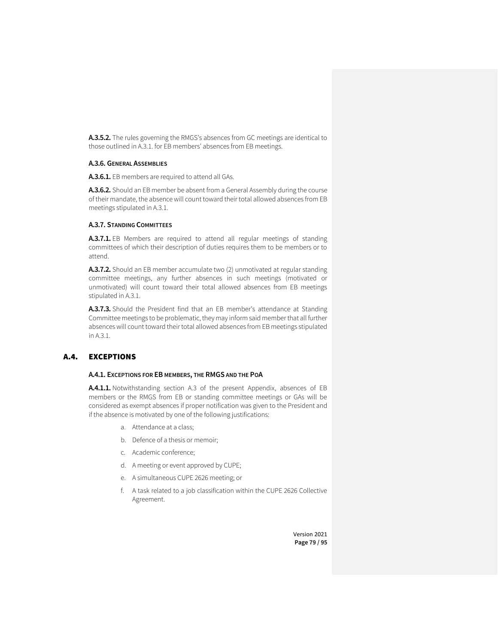**A.3.5.2.** The rules governing the RMGS's absences from GC meetings are identical to those outlined in A.3.1. for EB members' absences from EB meetings.

### **A.3.6. GENERAL ASSEMBLIES**

**A.3.6.1.** EB members are required to attend all GAs.

**A.3.6.2.** Should an EB member be absent from a General Assembly during the course of their mandate, the absence will count toward their total allowed absences from EB meetings stipulated in A.3.1.

### **A.3.7. STANDING COMMITTEES**

**A.3.7.1.** EB Members are required to attend all regular meetings of standing committees of which their description of duties requires them to be members or to attend.

**A.3.7.2.** Should an EB member accumulate two (2) unmotivated at regular standing committee meetings, any further absences in such meetings (motivated or unmotivated) will count toward their total allowed absences from EB meetings stipulated in A.3.1.

**A.3.7.3.** Should the President find that an EB member's attendance at Standing Committee meetings to be problematic, they may inform said member that all further absences will count toward their total allowed absences from EB meetings stipulated in A.3.1.

## A.4. EXCEPTIONS

### **A.4.1. EXCEPTIONS FOR EB MEMBERS, THE RMGS AND THE POA**

**A.4.1.1.** Notwithstanding section A.3 of the present Appendix, absences of EB members or the RMGS from EB or standing committee meetings or GAs will be considered as exempt absences if proper notification was given to the President and if the absence is motivated by one of the following justifications:

- a. Attendance at a class;
- b. Defence of a thesis or memoir;
- c. Academic conference;
- d. A meeting or event approved by CUPE;
- e. A simultaneous CUPE 2626 meeting; or
- f. A task related to a job classification within the CUPE 2626 Collective Agreement.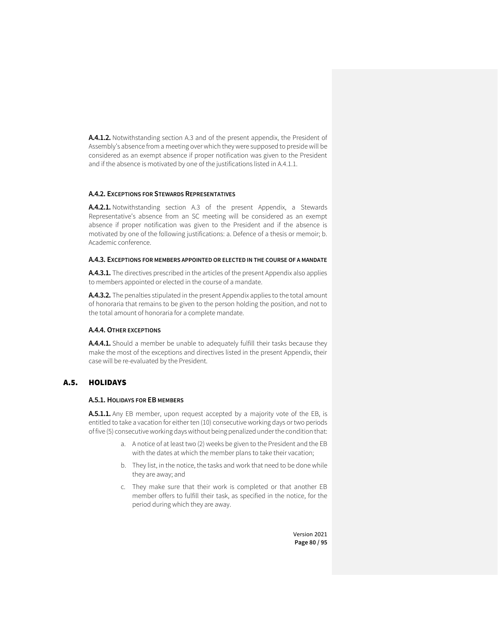**A.4.1.2.** Notwithstanding section A.3 and of the present appendix, the President of Assembly's absence from a meeting over which they were supposed to preside will be considered as an exempt absence if proper notification was given to the President and if the absence is motivated by one of the justifications listed in A.4.1.1.

### **A.4.2. EXCEPTIONS FOR STEWARDS REPRESENTATIVES**

**A.4.2.1.** Notwithstanding section A.3 of the present Appendix, a Stewards Representative's absence from an SC meeting will be considered as an exempt absence if proper notification was given to the President and if the absence is motivated by one of the following justifications: a. Defence of a thesis or memoir; b. Academic conference.

### **A.4.3. EXCEPTIONS FOR MEMBERS APPOINTED OR ELECTED IN THE COURSE OF A MANDATE**

**A.4.3.1.** The directives prescribed in the articles of the present Appendix also applies to members appointed or elected in the course of a mandate.

**A.4.3.2.** The penalties stipulated in the present Appendix applies to the total amount of honoraria that remains to be given to the person holding the position, and not to the total amount of honoraria for a complete mandate.

### **A.4.4. OTHER EXCEPTIONS**

**A.4.4.1.** Should a member be unable to adequately fulfill their tasks because they make the most of the exceptions and directives listed in the present Appendix, their case will be re-evaluated by the President.

## A.5. HOLIDAYS

### **A.5.1. HOLIDAYS FOR EB MEMBERS**

**A.5.1.1.** Any EB member, upon request accepted by a majority vote of the EB, is entitled to take a vacation for either ten (10) consecutive working days or two periods of five (5) consecutive working days without being penalized under the condition that:

- a. A notice of at least two (2) weeks be given to the President and the EB with the dates at which the member plans to take their vacation;
- b. They list, in the notice, the tasks and work that need to be done while they are away; and
- c. They make sure that their work is completed or that another EB member offers to fulfill their task, as specified in the notice, for the period during which they are away.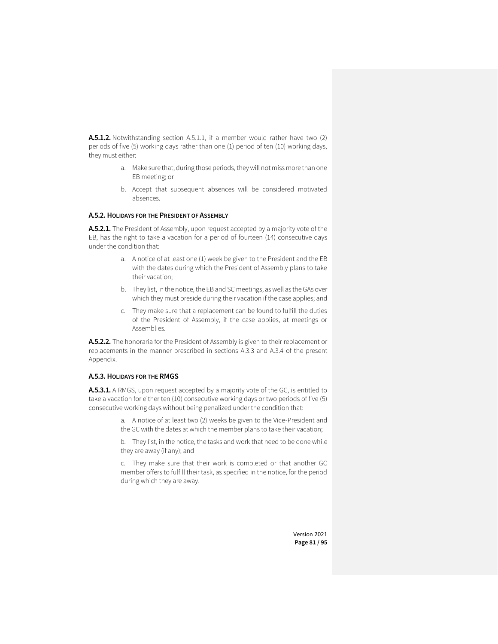**A.5.1.2.** Notwithstanding section A.5.1.1, if a member would rather have two (2) periods of five (5) working days rather than one (1) period of ten (10) working days, they must either:

- a. Make sure that, during those periods, they will not miss more than one EB meeting; or
- b. Accept that subsequent absences will be considered motivated absences.

## **A.5.2. HOLIDAYS FOR THE PRESIDENT OF ASSEMBLY**

**A.5.2.1.** The President of Assembly, upon request accepted by a majority vote of the EB, has the right to take a vacation for a period of fourteen (14) consecutive days under the condition that:

- a. A notice of at least one (1) week be given to the President and the EB with the dates during which the President of Assembly plans to take their vacation;
- b. They list, in the notice, the EB and SC meetings, as well as the GAs over which they must preside during their vacation if the case applies; and
- c. They make sure that a replacement can be found to fulfill the duties of the President of Assembly, if the case applies, at meetings or Assemblies.

**A.5.2.2.** The honoraria for the President of Assembly is given to their replacement or replacements in the manner prescribed in sections A.3.3 and A.3.4 of the present Appendix.

### **A.5.3. HOLIDAYS FOR THE RMGS**

**A.5.3.1.** A RMGS, upon request accepted by a majority vote of the GC, is entitled to take a vacation for either ten (10) consecutive working days or two periods of five (5) consecutive working days without being penalized under the condition that:

> a. A notice of at least two (2) weeks be given to the Vice-President and the GC with the dates at which the member plans to take their vacation;

> b. They list, in the notice, the tasks and work that need to be done while they are away (if any); and

> c. They make sure that their work is completed or that another GC member offers to fulfill their task, as specified in the notice, for the period during which they are away.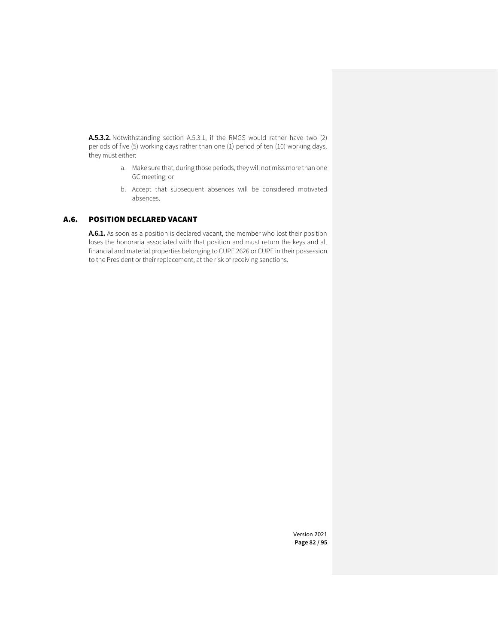**A.5.3.2.** Notwithstanding section A.5.3.1, if the RMGS would rather have two (2) periods of five (5) working days rather than one (1) period of ten (10) working days, they must either:

- a. Make sure that, during those periods, they will not miss more than one GC meeting; or
- b. Accept that subsequent absences will be considered motivated absences.

## A.6. POSITION DECLARED VACANT

**A.6.1.** As soon as a position is declared vacant, the member who lost their position loses the honoraria associated with that position and must return the keys and all financial and material properties belonging to CUPE 2626 or CUPE in their possession to the President or their replacement, at the risk of receiving sanctions.

> Version 2021 **Page 82 / 95**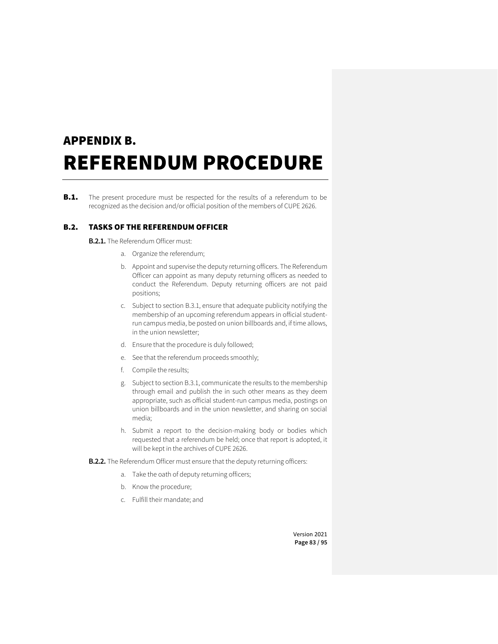## APPENDIX B. REFERENDUM PROCEDURE

**B.1.** The present procedure must be respected for the results of a referendum to be recognized as the decision and/or official position of the members of CUPE 2626.

## B.2. TASKS OF THE REFERENDUM OFFICER

**B.2.1.** The Referendum Officer must:

- a. Organize the referendum;
- b. Appoint and supervise the deputy returning officers. The Referendum Officer can appoint as many deputy returning officers as needed to conduct the Referendum. Deputy returning officers are not paid positions;
- c. Subject to section B.3.1, ensure that adequate publicity notifying the membership of an upcoming referendum appears in official studentrun campus media, be posted on union billboards and, if time allows, in the union newsletter;
- d. Ensure that the procedure is duly followed;
- e. See that the referendum proceeds smoothly;
- f. Compile the results;
- g. Subject to section B.3.1, communicate the results to the membership through email and publish the in such other means as they deem appropriate, such as official student-run campus media, postings on union billboards and in the union newsletter, and sharing on social media;
- h. Submit a report to the decision-making body or bodies which requested that a referendum be held; once that report is adopted, it will be kept in the archives of CUPE 2626.
- **B.2.2.** The Referendum Officer must ensure that the deputy returning officers:
	- a. Take the oath of deputy returning officers;
	- b. Know the procedure;
	- c. Fulfill their mandate; and

Version 2021 **Page 83 / 95**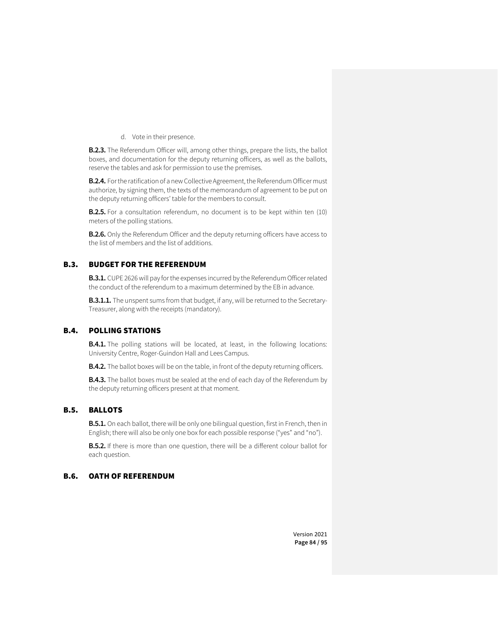d. Vote in their presence.

**B.2.3.** The Referendum Officer will, among other things, prepare the lists, the ballot boxes, and documentation for the deputy returning officers, as well as the ballots, reserve the tables and ask for permission to use the premises.

**B.2.4.** For the ratification of a new Collective Agreement, the Referendum Officer must authorize, by signing them, the texts of the memorandum of agreement to be put on the deputy returning officers' table for the members to consult.

**B.2.5.** For a consultation referendum, no document is to be kept within ten (10) meters of the polling stations.

**B.2.6.** Only the Referendum Officer and the deputy returning officers have access to the list of members and the list of additions.

## B.3. BUDGET FOR THE REFERENDUM

**B.3.1.** CUPE 2626 will pay for the expenses incurred by the Referendum Officer related the conduct of the referendum to a maximum determined by the EB in advance.

**B.3.1.1.** The unspent sums from that budget, if any, will be returned to the Secretary-Treasurer, along with the receipts (mandatory).

## B.4. POLLING STATIONS

**B.4.1.** The polling stations will be located, at least, in the following locations: University Centre, Roger-Guindon Hall and Lees Campus.

**B.4.2.** The ballot boxes will be on the table, in front of the deputy returning officers.

**B.4.3.** The ballot boxes must be sealed at the end of each day of the Referendum by the deputy returning officers present at that moment.

## B.5. BALLOTS

**B.5.1.** On each ballot, there will be only one bilingual question, first in French, then in English; there will also be only one box for each possible response ("yes" and "no").

**B.5.2.** If there is more than one question, there will be a different colour ballot for each question.

## B.6. OATH OF REFERENDUM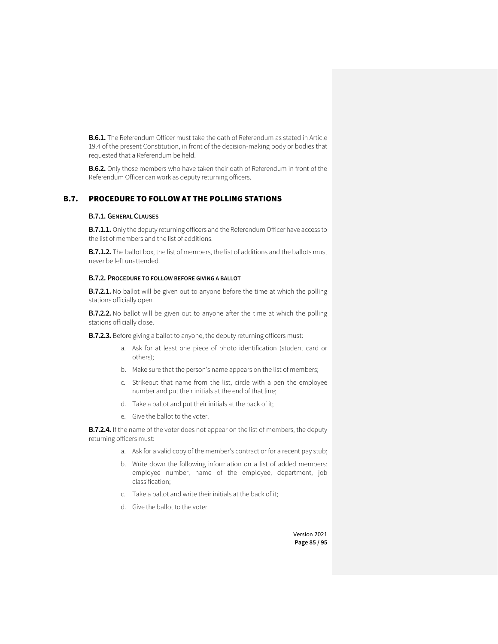**B.6.1.** The Referendum Officer must take the oath of Referendum as stated in Article 19.4 of the present Constitution, in front of the decision-making body or bodies that requested that a Referendum be held.

**B.6.2.** Only those members who have taken their oath of Referendum in front of the Referendum Officer can work as deputy returning officers.

## B.7. PROCEDURE TO FOLLOW AT THE POLLING STATIONS

### **B.7.1. GENERAL CLAUSES**

**B.7.1.1.** Only the deputy returning officers and the Referendum Officer have access to the list of members and the list of additions.

**B.7.1.2.** The ballot box, the list of members, the list of additions and the ballots must never be left unattended.

## **B.7.2. PROCEDURE TO FOLLOW BEFORE GIVING A BALLOT**

**B.7.2.1.** No ballot will be given out to anyone before the time at which the polling stations officially open.

**B.7.2.2.** No ballot will be given out to anyone after the time at which the polling stations officially close.

**B.7.2.3.** Before giving a ballot to anyone, the deputy returning officers must:

- a. Ask for at least one piece of photo identification (student card or others);
- b. Make sure that the person's name appears on the list of members;
- c. Strikeout that name from the list, circle with a pen the employee number and put their initials at the end of that line;
- d. Take a ballot and put their initials at the back of it;
- e. Give the ballot to the voter.

**B.7.2.4.** If the name of the voter does not appear on the list of members, the deputy returning officers must:

- a. Ask for a valid copy of the member's contract or for a recent pay stub;
- b. Write down the following information on a list of added members: employee number, name of the employee, department, job classification;
- c. Take a ballot and write their initials at the back of it;
- d. Give the ballot to the voter.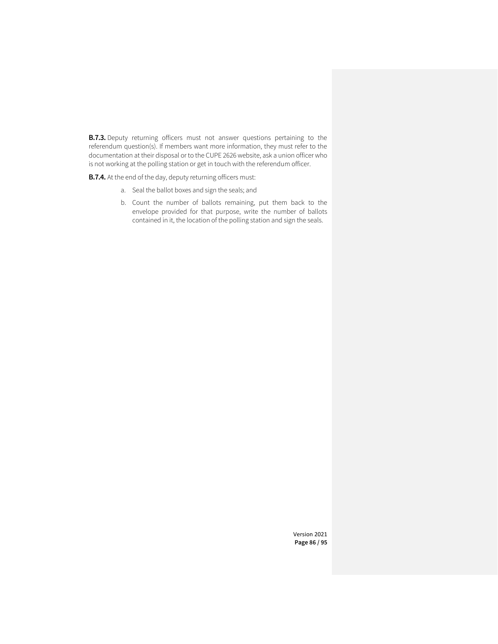**B.7.3.** Deputy returning officers must not answer questions pertaining to the referendum question(s). If members want more information, they must refer to the documentation at their disposal or to the CUPE 2626 website, ask a union officer who is not working at the polling station or get in touch with the referendum officer.

**B.7.4.** At the end of the day, deputy returning officers must:

- a. Seal the ballot boxes and sign the seals; and
- b. Count the number of ballots remaining, put them back to the envelope provided for that purpose, write the number of ballots contained in it, the location of the polling station and sign the seals.

Version 2021 **Page 86 / 95**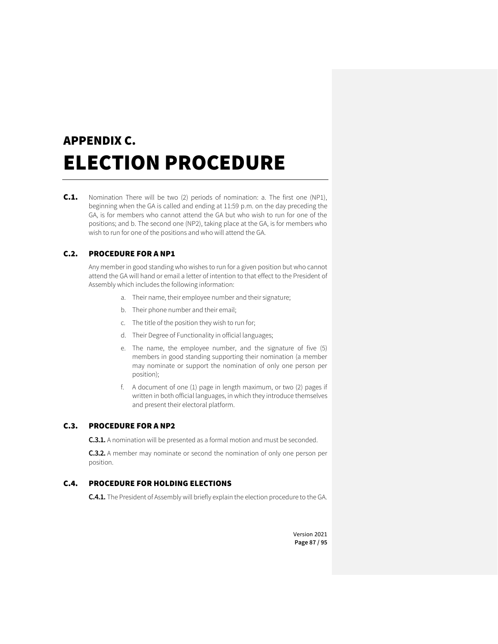## APPENDIX C. ELECTION PROCEDURE

C.1. Nomination There will be two (2) periods of nomination: a. The first one (NP1), beginning when the GA is called and ending at 11:59 p.m. on the day preceding the GA, is for members who cannot attend the GA but who wish to run for one of the positions; and b. The second one (NP2), taking place at the GA, is for members who wish to run for one of the positions and who will attend the GA.

## C.2. PROCEDURE FOR A NP1

Any member in good standing who wishes to run for a given position but who cannot attend the GA will hand or email a letter of intention to that effect to the President of Assembly which includes the following information:

- a. Their name, their employee number and their signature;
- b. Their phone number and their email;
- c. The title of the position they wish to run for;
- d. Their Degree of Functionality in official languages;
- e. The name, the employee number, and the signature of five (5) members in good standing supporting their nomination (a member may nominate or support the nomination of only one person per position);
- f. A document of one (1) page in length maximum, or two (2) pages if written in both official languages, in which they introduce themselves and present their electoral platform.

## C.3. PROCEDURE FOR A NP2

**C.3.1.** A nomination will be presented as a formal motion and must be seconded.

**C.3.2.** A member may nominate or second the nomination of only one person per position.

## C.4. PROCEDURE FOR HOLDING ELECTIONS

**C.4.1.** The President of Assembly will briefly explain the election procedure to the GA.

Version 2021 **Page 87 / 95**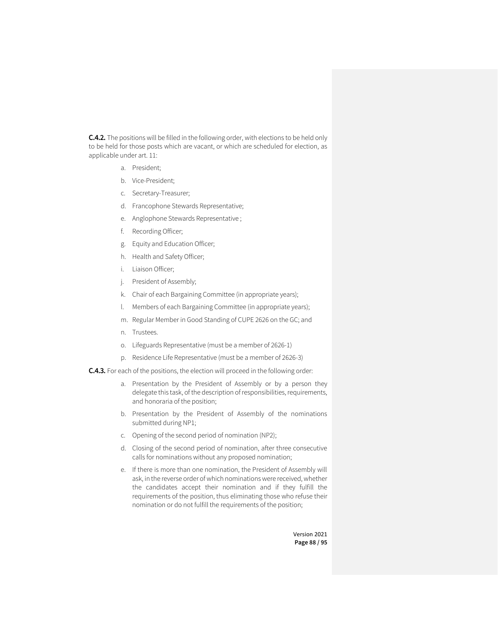**C.4.2.** The positions will be filled in the following order, with elections to be held only to be held for those posts which are vacant, or which are scheduled for election, as applicable under art. 11:

- a. President;
- b. Vice-President;
- c. Secretary-Treasurer;
- d. Francophone Stewards Representative;
- e. Anglophone Stewards Representative ;
- f. Recording Officer;
- g. Equity and Education Officer;
- h. Health and Safety Officer;
- i. Liaison Officer;
- j. President of Assembly;
- k. Chair of each Bargaining Committee (in appropriate years);
- l. Members of each Bargaining Committee (in appropriate years);
- m. Regular Member in Good Standing of CUPE 2626 on the GC; and
- n. Trustees.
- o. Lifeguards Representative (must be a member of 2626-1)
- p. Residence Life Representative (must be a member of 2626-3)

**C.4.3.** For each of the positions, the election will proceed in the following order:

- a. Presentation by the President of Assembly or by a person they delegate this task, of the description of responsibilities, requirements, and honoraria of the position;
- b. Presentation by the President of Assembly of the nominations submitted during NP1;
- c. Opening of the second period of nomination (NP2);
- d. Closing of the second period of nomination, after three consecutive calls for nominations without any proposed nomination;
- e. If there is more than one nomination, the President of Assembly will ask, in the reverse order of which nominations were received, whether the candidates accept their nomination and if they fulfill the requirements of the position, thus eliminating those who refuse their nomination or do not fulfill the requirements of the position;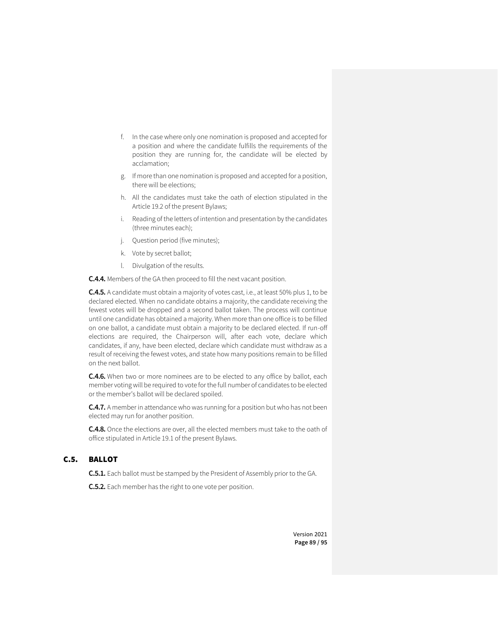- f. In the case where only one nomination is proposed and accepted for a position and where the candidate fulfills the requirements of the position they are running for, the candidate will be elected by acclamation;
- g. If more than one nomination is proposed and accepted for a position, there will be elections;
- h. All the candidates must take the oath of election stipulated in the Article 19.2 of the present Bylaws;
- i. Reading of the letters of intention and presentation by the candidates (three minutes each);
- j. Ouestion period (five minutes);
- k. Vote by secret ballot;
- l. Divulgation of the results.

**C.4.4.** Members of the GA then proceed to fill the next vacant position.

**C.4.5.** A candidate must obtain a majority of votes cast, i.e., at least 50% plus 1, to be declared elected. When no candidate obtains a majority, the candidate receiving the fewest votes will be dropped and a second ballot taken. The process will continue until one candidate has obtained a majority. When more than one office is to be filled on one ballot, a candidate must obtain a majority to be declared elected. If run-off elections are required, the Chairperson will, after each vote, declare which candidates, if any, have been elected, declare which candidate must withdraw as a result of receiving the fewest votes, and state how many positions remain to be filled on the next ballot.

**C.4.6.** When two or more nominees are to be elected to any office by ballot, each member voting will be required to vote for the full number of candidates to be elected or the member's ballot will be declared spoiled.

**C.4.7.** A member in attendance who was running for a position but who has not been elected may run for another position.

**C.4.8.** Once the elections are over, all the elected members must take to the oath of office stipulated in Article 19.1 of the present Bylaws.

## C.5. BALLOT

**C.5.1.** Each ballot must be stamped by the President of Assembly prior to the GA.

**C.5.2.** Each member has the right to one vote per position.

Version 2021 **Page 89 / 95**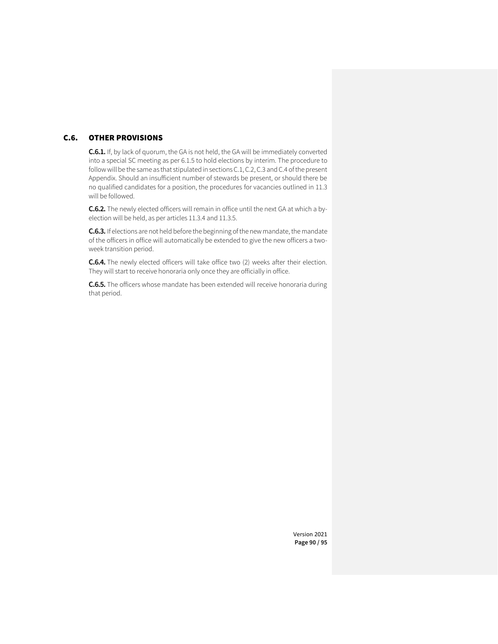## C.6. OTHER PROVISIONS

**C.6.1.** If, by lack of quorum, the GA is not held, the GA will be immediately converted into a special SC meeting as per 6.1.5 to hold elections by interim. The procedure to follow will be the same as that stipulated in sections C.1, C.2, C.3 and C.4 of the present Appendix. Should an insufficient number of stewards be present, or should there be no qualified candidates for a position, the procedures for vacancies outlined in 11.3 will be followed.

**C.6.2.** The newly elected officers will remain in office until the next GA at which a byelection will be held, as per articles 11.3.4 and 11.3.5.

**C.6.3.** If elections are not held before the beginning of the new mandate, the mandate of the officers in office will automatically be extended to give the new officers a twoweek transition period.

**C.6.4.** The newly elected officers will take office two (2) weeks after their election. They will start to receive honoraria only once they are officially in office.

**C.6.5.** The officers whose mandate has been extended will receive honoraria during that period.

> Version 2021 **Page 90 / 95**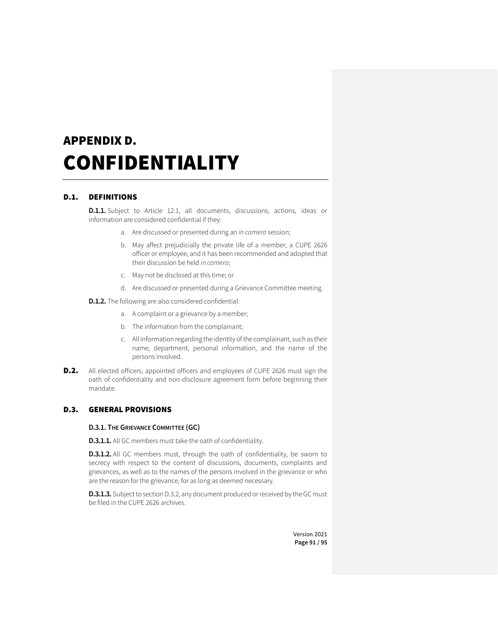## APPENDIX D. CONFIDENTIALITY

## D.1. DEFINITIONS

**D.1.1.** Subject to Article 12.1, all documents, discussions, actions, ideas or information are considered confidential if they:

- a. Are discussed or presented during an *in camera* session;
- b. May affect prejudicially the private life of a member, a CUPE 2626 officer or employee, and it has been recommended and adopted that their discussion be held *in camera*;
- c. May not be disclosed at this time; or
- d. Are discussed or presented during a Grievance Committee meeting.
- **D.1.2.** The following are also considered confidential:
	- a. A complaint or a grievance by a member;
	- b. The information from the complainant;
	- c. All information regarding the identity of the complainant, such as their name, department, personal information, and the name of the persons involved.
- **D.2.** All elected officers, appointed officers and employees of CUPE 2626 must sign the oath of confidentiality and non-disclosure agreement form before beginning their mandate.

## D.3. GENERAL PROVISIONS

### **D.3.1. THE GRIEVANCE COMMITTEE (GC)**

**D.3.1.1.** All GC members must take the oath of confidentiality.

**D.3.1.2.** All GC members must, through the oath of confidentiality, be sworn to secrecy with respect to the content of discussions, documents, complaints and grievances, as well as to the names of the persons involved in the grievance or who are the reason for the grievance, for as long as deemed necessary.

**D.3.1.3.** Subject to section D.3.2, any document produced or received by the GC must be filed in the CUPE 2626 archives.

> Version 2021 **Page 91 / 95**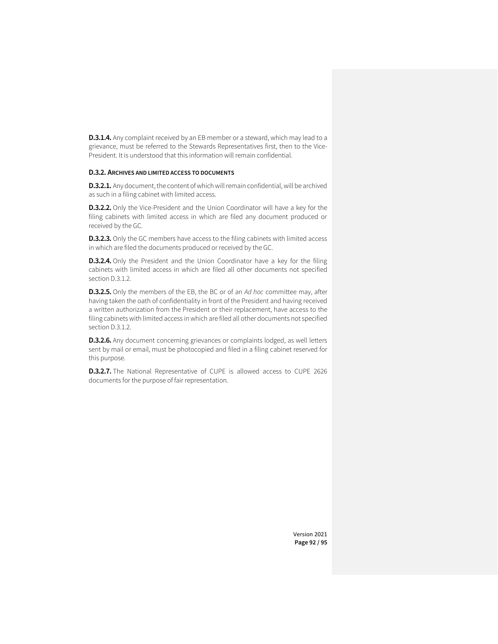**D.3.1.4.** Any complaint received by an EB member or a steward, which may lead to a grievance, must be referred to the Stewards Representatives first, then to the Vice-President. It is understood that this information will remain confidential.

## **D.3.2. ARCHIVES AND LIMITED ACCESS TO DOCUMENTS**

**D.3.2.1.** Any document, the content of which will remain confidential, will be archived as such in a filing cabinet with limited access.

**D.3.2.2.** Only the Vice-President and the Union Coordinator will have a key for the filing cabinets with limited access in which are filed any document produced or received by the GC.

**D.3.2.3.** Only the GC members have access to the filing cabinets with limited access in which are filed the documents produced or received by the GC.

**D.3.2.4.** Only the President and the Union Coordinator have a key for the filing cabinets with limited access in which are filed all other documents not specified section D.3.1.2.

**D.3.2.5.** Only the members of the EB, the BC or of an *Ad hoc* committee may, after having taken the oath of confidentiality in front of the President and having received a written authorization from the President or their replacement, have access to the filing cabinets with limited access in which are filed all other documents not specified section D.3.1.2.

**D.3.2.6.** Any document concerning grievances or complaints lodged, as well letters sent by mail or email, must be photocopied and filed in a filing cabinet reserved for this purpose.

**D.3.2.7.** The National Representative of CUPE is allowed access to CUPE 2626 documents for the purpose of fair representation.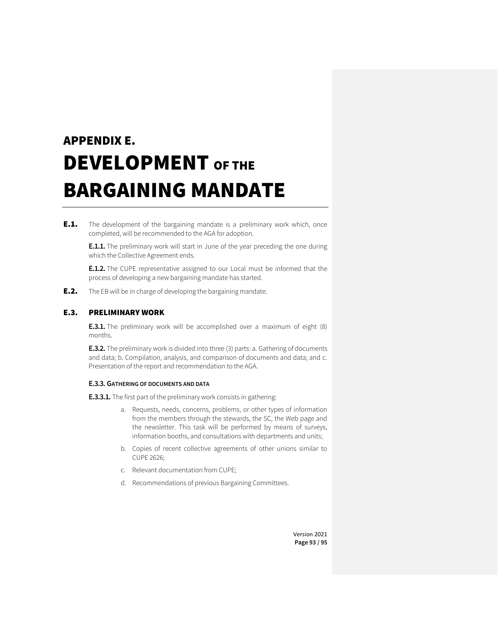# APPENDIX E. DEVELOPMENT OF THE BARGAINING MANDATE

**E.1.** The development of the bargaining mandate is a preliminary work which, once completed, will be recommended to the AGA for adoption.

**E.1.1.** The preliminary work will start in June of the year preceding the one during which the Collective Agreement ends.

**E.1.2.** The CUPE representative assigned to our Local must be informed that the process of developing a new bargaining mandate has started.

**E.2.** The EB will be in charge of developing the bargaining mandate.

## E.3. PRELIMINARY WORK

**E.3.1.** The preliminary work will be accomplished over a maximum of eight (8) months.

**E.3.2.** The preliminary work is divided into three (3) parts: a. Gathering of documents and data; b. Compilation, analysis, and comparison of documents and data; and c. Presentation of the report and recommendation to the AGA.

## **E.3.3. GATHERING OF DOCUMENTS AND DATA**

**E.3.3.1.** The first part of the preliminary work consists in gathering:

- a. Requests, needs, concerns, problems, or other types of information from the members through the stewards, the SC, the Web page and the newsletter. This task will be performed by means of surveys, information booths, and consultations with departments and units;
- b. Copies of recent collective agreements of other unions similar to CUPE 2626;
- c. Relevant documentation from CUPE;
- d. Recommendations of previous Bargaining Committees.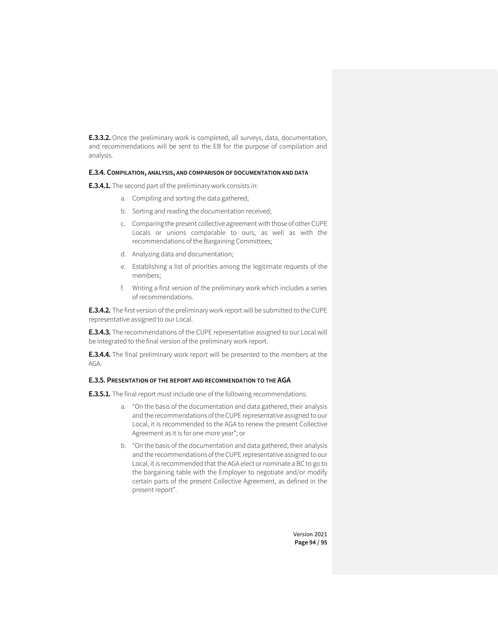**E.3.3.2.** Once the preliminary work is completed, all surveys, data, documentation, and recommendations will be sent to the EB for the purpose of compilation and analysis.

### **E.3.4. COMPILATION, ANALYSIS, AND COMPARISON OF DOCUMENTATION AND DATA**

**E.3.4.1.** The second part of the preliminary work consists in:

- a. Compiling and sorting the data gathered;
- b. Sorting and reading the documentation received;
- c. Comparing the present collective agreement with those of other CUPE Locals or unions comparable to ours, as well as with the recommendations of the Bargaining Committees;
- d. Analyzing data and documentation;
- e. Establishing a list of priorities among the legitimate requests of the members;
- f. Writing a first version of the preliminary work which includes a series of recommendations.

**E.3.4.2.** The first version of the preliminary work report will be submitted to the CUPE representative assigned to our Local.

**E.3.4.3.** The recommendations of the CUPE representative assigned to our Local will be integrated to the final version of the preliminary work report.

**E.3.4.4.** The final preliminary work report will be presented to the members at the AGA.

### **E.3.5. PRESENTATION OF THE REPORT AND RECOMMENDATION TO THE AGA**

**E.3.5.1.** The final report must include one of the following recommendations:

- a. "On the basis of the documentation and data gathered, their analysis and the recommendations of the CUPE representative assigned to our Local, it is recommended to the AGA to renew the present Collective Agreement as it is for one more year"; or
- b. "On the basis of the documentation and data gathered, their analysis and the recommendations of the CUPE representative assigned to our Local, it is recommended that the AGA elect or nominate a BC to go to the bargaining table with the Employer to negotiate and/or modify certain parts of the present Collective Agreement, as defined in the present report".